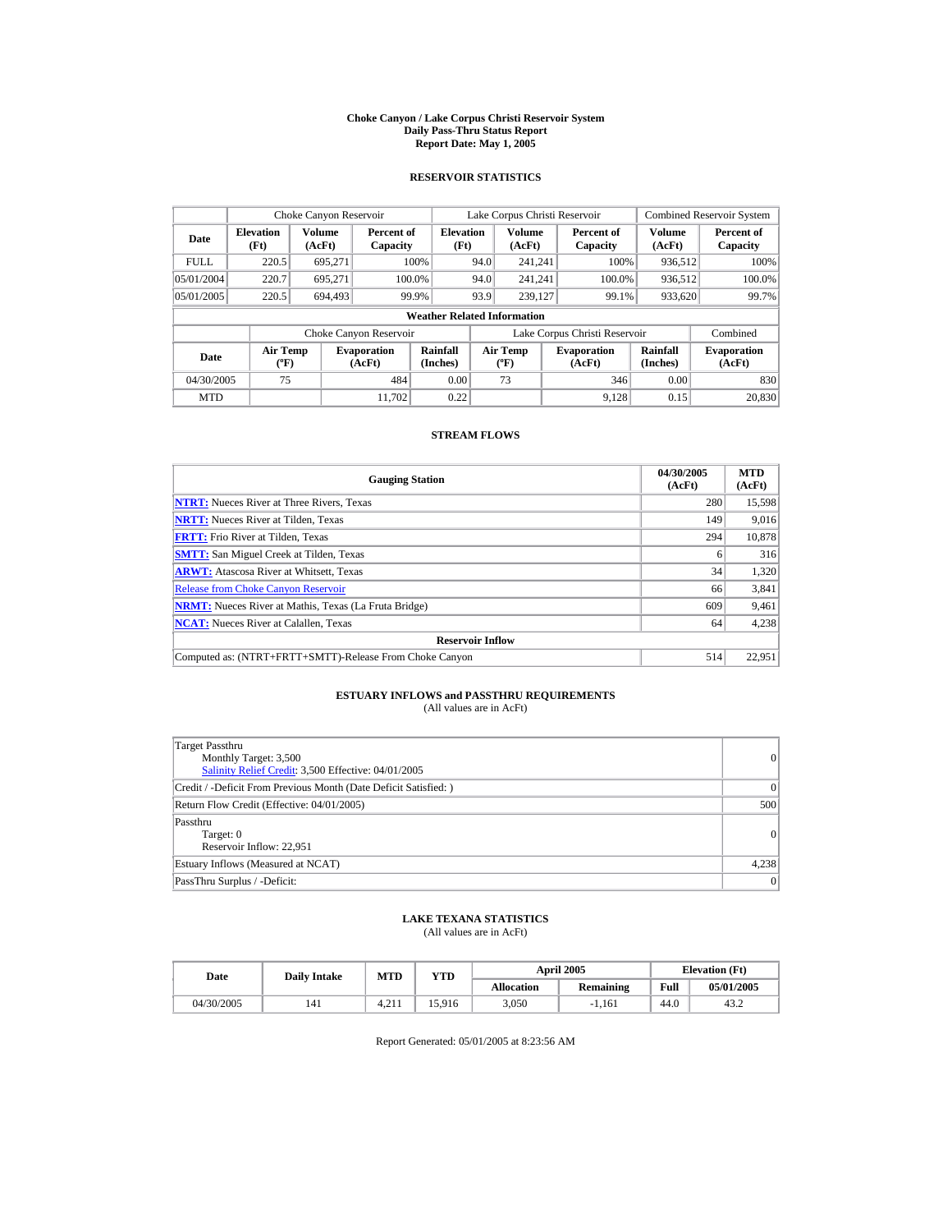#### **Choke Canyon / Lake Corpus Christi Reservoir System Daily Pass-Thru Status Report Report Date: May 1, 2005**

## **RESERVOIR STATISTICS**

| Choke Canyon Reservoir |                          |                                                                                                                                                                                                         |                        |                                    |      | Lake Corpus Christi Reservoir |                               |                  | <b>Combined Reservoir System</b> |
|------------------------|--------------------------|---------------------------------------------------------------------------------------------------------------------------------------------------------------------------------------------------------|------------------------|------------------------------------|------|-------------------------------|-------------------------------|------------------|----------------------------------|
| Date                   | <b>Elevation</b><br>(Ft) | Volume<br>(AcFt)                                                                                                                                                                                        | Percent of<br>Capacity | <b>Elevation</b><br>(Ft)           |      | <b>Volume</b><br>(AcFt)       | Percent of<br>Capacity        | Volume<br>(AcFt) | Percent of<br>Capacity           |
| <b>FULL</b>            | 220.5                    | 695.271                                                                                                                                                                                                 |                        | 100%                               | 94.0 | 241.241                       | 100%                          | 936.512          | 100%                             |
| 05/01/2004             | 220.7                    | 695.271                                                                                                                                                                                                 | 100.0%                 |                                    | 94.0 | 241.241                       | 100.0%                        | 936,512          | 100.0%                           |
| 05/01/2005             | 220.5                    | 694.493                                                                                                                                                                                                 |                        | 99.9%                              | 93.9 | 239,127                       | 99.1%                         | 933,620          | 99.7%                            |
|                        |                          |                                                                                                                                                                                                         |                        | <b>Weather Related Information</b> |      |                               |                               |                  |                                  |
|                        |                          |                                                                                                                                                                                                         | Choke Canyon Reservoir |                                    |      |                               | Lake Corpus Christi Reservoir |                  | Combined                         |
| Date                   |                          | Rainfall<br><b>Air Temp</b><br>Rainfall<br><b>Air Temp</b><br><b>Evaporation</b><br><b>Evaporation</b><br>(Inches)<br>(Inches)<br>$({}^{\circ}\mathrm{F})$<br>(AcFt)<br>(AcFt)<br>$({}^{\circ}{\rm F})$ |                        | <b>Evaporation</b><br>(AcFt)       |      |                               |                               |                  |                                  |
| 04/30/2005             | 75                       |                                                                                                                                                                                                         | 484                    | 0.00                               |      | 73                            | 346                           | 0.00             | 830                              |
| <b>MTD</b>             |                          |                                                                                                                                                                                                         | 11.702                 | 0.22                               |      |                               | 9.128                         | 0.15             | 20,830                           |

## **STREAM FLOWS**

| <b>Gauging Station</b>                                       | 04/30/2005<br>(AcFt) | <b>MTD</b><br>(AcFt) |
|--------------------------------------------------------------|----------------------|----------------------|
| <b>NTRT:</b> Nueces River at Three Rivers, Texas             | 280                  | 15,598               |
| <b>NRTT:</b> Nueces River at Tilden, Texas                   | 149                  | 9.016                |
| <b>FRTT:</b> Frio River at Tilden, Texas                     | 294                  | 10,878               |
| <b>SMTT:</b> San Miguel Creek at Tilden, Texas               | 6                    | 316                  |
| <b>ARWT:</b> Atascosa River at Whitsett, Texas               | 34                   | 1,320                |
| <b>Release from Choke Canvon Reservoir</b>                   | 66                   | 3,841                |
| <b>NRMT:</b> Nueces River at Mathis, Texas (La Fruta Bridge) | 609                  | 9,461                |
| <b>NCAT:</b> Nueces River at Calallen, Texas                 | 64                   | 4,238                |
| <b>Reservoir Inflow</b>                                      |                      |                      |
| Computed as: (NTRT+FRTT+SMTT)-Release From Choke Canyon      | 514                  | 22.951               |

# **ESTUARY INFLOWS and PASSTHRU REQUIREMENTS**<br>(All values are in AcFt)

| Target Passthru<br>Monthly Target: 3,500<br>Salinity Relief Credit: 3,500 Effective: 04/01/2005 | 0     |
|-------------------------------------------------------------------------------------------------|-------|
| Credit / -Deficit From Previous Month (Date Deficit Satisfied: )                                | 0     |
| Return Flow Credit (Effective: 04/01/2005)                                                      | 500   |
| Passthru<br>Target: 0<br>Reservoir Inflow: 22.951                                               | 0     |
| Estuary Inflows (Measured at NCAT)                                                              | 4,238 |
| PassThru Surplus / -Deficit:                                                                    | 0     |

## **LAKE TEXANA STATISTICS**

(All values are in AcFt)

| Date       | <b>Daily Intake</b> | <b>MTD</b> | <b>April 2005</b><br>YTD |                   |                  |      | <b>Elevation</b> (Ft) |
|------------|---------------------|------------|--------------------------|-------------------|------------------|------|-----------------------|
|            |                     |            |                          | <b>Allocation</b> | <b>Remaining</b> | Full | 05/01/2005            |
| 04/30/2005 | 141                 | 4.21       | 15.916                   | 3.050             | $-1.161$         | 44.0 | 43.2                  |

Report Generated: 05/01/2005 at 8:23:56 AM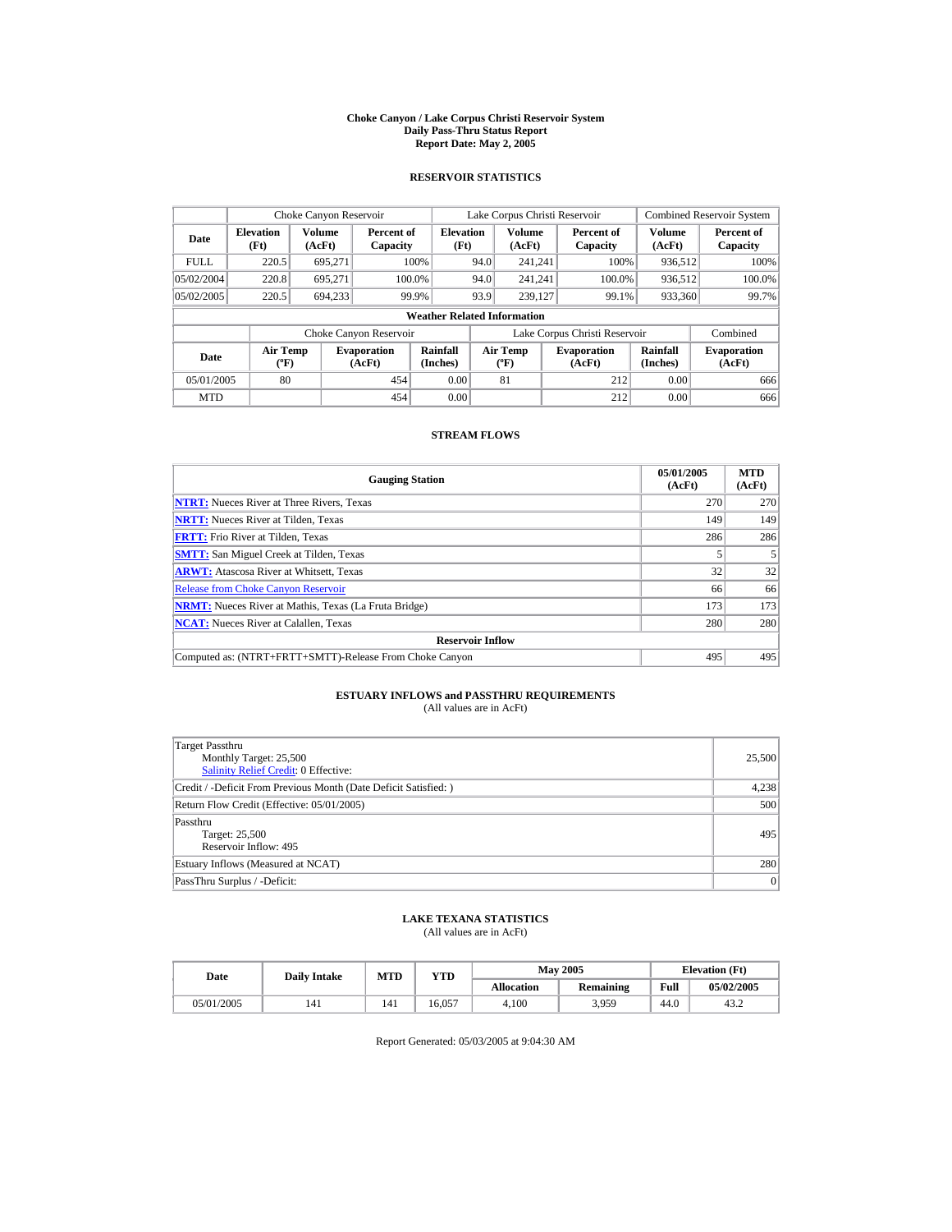#### **Choke Canyon / Lake Corpus Christi Reservoir System Daily Pass-Thru Status Report Report Date: May 2, 2005**

## **RESERVOIR STATISTICS**

|             | Choke Canyon Reservoir                                                                                                                                                                                  |                  |                              |                                    |      | Lake Corpus Christi Reservoir |                               |                         | <b>Combined Reservoir System</b> |
|-------------|---------------------------------------------------------------------------------------------------------------------------------------------------------------------------------------------------------|------------------|------------------------------|------------------------------------|------|-------------------------------|-------------------------------|-------------------------|----------------------------------|
| Date        | <b>Elevation</b><br>(Ft)                                                                                                                                                                                | Volume<br>(AcFt) | Percent of<br>Capacity       | <b>Elevation</b><br>(Ft)           |      | Volume<br>(AcFt)              | Percent of<br>Capacity        | <b>Volume</b><br>(AcFt) | Percent of<br>Capacity           |
| <b>FULL</b> | 220.5                                                                                                                                                                                                   | 695,271          |                              | 100%                               | 94.0 | 241.241                       | 100%                          | 936.512                 | 100%                             |
| 05/02/2004  | 220.8                                                                                                                                                                                                   | 695.271          |                              | 100.0%                             | 94.0 | 241.241                       | 100.0%                        | 936,512                 | 100.0%                           |
| 05/02/2005  | 220.5                                                                                                                                                                                                   | 694,233          |                              | 99.9%                              | 93.9 | 239.127                       | 99.1%                         | 933,360                 | 99.7%                            |
|             |                                                                                                                                                                                                         |                  |                              | <b>Weather Related Information</b> |      |                               |                               |                         |                                  |
|             |                                                                                                                                                                                                         |                  | Choke Canyon Reservoir       |                                    |      |                               | Lake Corpus Christi Reservoir |                         | Combined                         |
| Date        | Rainfall<br><b>Air Temp</b><br>Rainfall<br><b>Air Temp</b><br><b>Evaporation</b><br><b>Evaporation</b><br>(Inches)<br>(AcFt)<br>(Inches)<br>$({}^{\circ}\mathrm{F})$<br>(AcFt)<br>$({}^{\circ}{\rm F})$ |                  | <b>Evaporation</b><br>(AcFt) |                                    |      |                               |                               |                         |                                  |
| 05/01/2005  | 80                                                                                                                                                                                                      |                  | 454                          | 0.00                               |      | 81                            | 212                           | 0.00                    | 666                              |
| <b>MTD</b>  |                                                                                                                                                                                                         |                  | 454                          | 0.00                               |      |                               | 212                           | 0.00                    | 666                              |

## **STREAM FLOWS**

| <b>Gauging Station</b>                                       | 05/01/2005<br>(AcFt) | <b>MTD</b><br>(AcFt) |
|--------------------------------------------------------------|----------------------|----------------------|
| <b>NTRT:</b> Nueces River at Three Rivers, Texas             | 270                  | 270                  |
| <b>NRTT:</b> Nueces River at Tilden, Texas                   | 149                  | 149                  |
| <b>FRTT:</b> Frio River at Tilden, Texas                     | 286                  | 286                  |
| <b>SMTT:</b> San Miguel Creek at Tilden, Texas               |                      |                      |
| <b>ARWT:</b> Atascosa River at Whitsett, Texas               | 32                   | 32                   |
| <b>Release from Choke Canyon Reservoir</b>                   | 66                   | 66                   |
| <b>NRMT:</b> Nueces River at Mathis, Texas (La Fruta Bridge) | 173                  | 173                  |
| <b>NCAT:</b> Nueces River at Calallen, Texas                 | 280                  | 280                  |
| <b>Reservoir Inflow</b>                                      |                      |                      |
| Computed as: (NTRT+FRTT+SMTT)-Release From Choke Canyon      | 495                  | 495                  |

# **ESTUARY INFLOWS and PASSTHRU REQUIREMENTS**<br>(All values are in AcFt)

| Target Passthru<br>Monthly Target: 25,500<br><b>Salinity Relief Credit: 0 Effective:</b> | 25,500 |
|------------------------------------------------------------------------------------------|--------|
| Credit / -Deficit From Previous Month (Date Deficit Satisfied: )                         | 4,238  |
| Return Flow Credit (Effective: 05/01/2005)                                               | 500    |
| Passthru<br>Target: 25,500<br>Reservoir Inflow: 495                                      | 495    |
| Estuary Inflows (Measured at NCAT)                                                       | 280    |
| PassThru Surplus / -Deficit:                                                             | 0      |

## **LAKE TEXANA STATISTICS**

(All values are in AcFt)

| Date       | <b>Daily Intake</b> | MTD | YTD    |                   | <b>May 2005</b>  |      | <b>Elevation</b> (Ft) |
|------------|---------------------|-----|--------|-------------------|------------------|------|-----------------------|
|            |                     |     |        | <b>Allocation</b> | <b>Remaining</b> | Full | 05/02/2005            |
| 05/01/2005 | 141                 | 141 | 16.057 | 4.100             | 3,959            | 44.0 | 43.2                  |

Report Generated: 05/03/2005 at 9:04:30 AM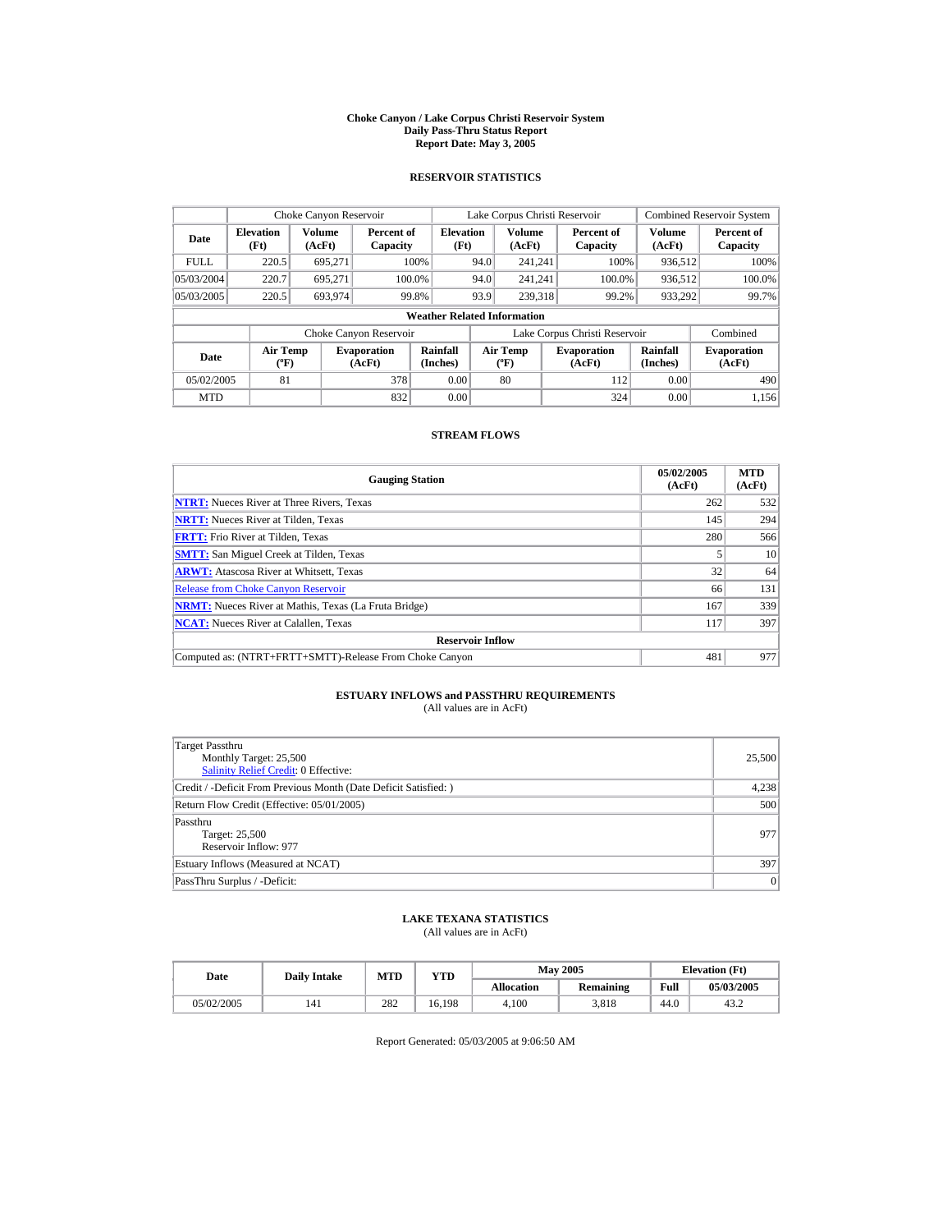#### **Choke Canyon / Lake Corpus Christi Reservoir System Daily Pass-Thru Status Report Report Date: May 3, 2005**

## **RESERVOIR STATISTICS**

| Choke Canyon Reservoir |                                             |                  |                                                                                                                                                          |                                    |                              | Lake Corpus Christi Reservoir |                               |                         | <b>Combined Reservoir System</b> |
|------------------------|---------------------------------------------|------------------|----------------------------------------------------------------------------------------------------------------------------------------------------------|------------------------------------|------------------------------|-------------------------------|-------------------------------|-------------------------|----------------------------------|
| Date                   | <b>Elevation</b><br>(Ft)                    | Volume<br>(AcFt) | Percent of<br>Capacity                                                                                                                                   | <b>Elevation</b><br>(Ft)           |                              | <b>Volume</b><br>(AcFt)       | Percent of<br>Capacity        | <b>Volume</b><br>(AcFt) | Percent of<br>Capacity           |
| <b>FULL</b>            | 220.5                                       | 695,271          |                                                                                                                                                          | 100%                               | 94.0                         | 241.241                       | 100%                          | 936.512                 | 100%                             |
| 05/03/2004             | 220.7                                       | 695.271          | 100.0%                                                                                                                                                   |                                    | 94.0                         | 241.241                       | 100.0%                        | 936,512                 | 100.0%                           |
| 05/03/2005             | 220.5                                       | 693.974          | 99.8%                                                                                                                                                    |                                    | 93.9                         | 239,318                       | 99.2%                         | 933,292                 | 99.7%                            |
|                        |                                             |                  |                                                                                                                                                          | <b>Weather Related Information</b> |                              |                               |                               |                         |                                  |
|                        |                                             |                  | Choke Canyon Reservoir                                                                                                                                   |                                    |                              |                               | Lake Corpus Christi Reservoir |                         | Combined                         |
| Date                   | <b>Air Temp</b><br>$({}^{\circ}\mathrm{F})$ |                  | Rainfall<br><b>Air Temp</b><br>Rainfall<br><b>Evaporation</b><br><b>Evaporation</b><br>(Inches)<br>(AcFt)<br>(Inches)<br>(AcFt)<br>$({}^{\circ}{\rm F})$ |                                    | <b>Evaporation</b><br>(AcFt) |                               |                               |                         |                                  |
| 05/02/2005             | 81                                          |                  | 378                                                                                                                                                      | 0.00                               |                              | 80                            | 112                           | 0.00                    | 490                              |
| <b>MTD</b>             |                                             |                  | 832                                                                                                                                                      | 0.00                               |                              |                               | 324                           | 0.00                    | 1.156                            |

## **STREAM FLOWS**

| <b>Gauging Station</b>                                       | 05/02/2005<br>(AcFt) | <b>MTD</b><br>(AcFt) |
|--------------------------------------------------------------|----------------------|----------------------|
| <b>NTRT:</b> Nueces River at Three Rivers, Texas             | 262                  | 532                  |
| <b>NRTT:</b> Nueces River at Tilden, Texas                   | 145                  | 294                  |
| <b>FRTT:</b> Frio River at Tilden, Texas                     | 280                  | 566                  |
| <b>SMTT:</b> San Miguel Creek at Tilden, Texas               |                      | 10 <sup>1</sup>      |
| <b>ARWT:</b> Atascosa River at Whitsett, Texas               | 32                   | 64                   |
| <b>Release from Choke Canyon Reservoir</b>                   | 66                   | 131                  |
| <b>NRMT:</b> Nueces River at Mathis, Texas (La Fruta Bridge) | 167                  | 339                  |
| <b>NCAT:</b> Nueces River at Calallen, Texas                 | 117                  | 397                  |
| <b>Reservoir Inflow</b>                                      |                      |                      |
| Computed as: (NTRT+FRTT+SMTT)-Release From Choke Canyon      | 481                  | 977                  |

# **ESTUARY INFLOWS and PASSTHRU REQUIREMENTS**<br>(All values are in AcFt)

| Target Passthru<br>Monthly Target: 25,500<br>Salinity Relief Credit: 0 Effective: | 25,500 |
|-----------------------------------------------------------------------------------|--------|
| Credit / -Deficit From Previous Month (Date Deficit Satisfied: )                  | 4,238  |
| Return Flow Credit (Effective: 05/01/2005)                                        | 500    |
| Passthru<br>Target: 25,500<br>Reservoir Inflow: 977                               | 977    |
| Estuary Inflows (Measured at NCAT)                                                | 397    |
| PassThru Surplus / -Deficit:                                                      | 0      |

## **LAKE TEXANA STATISTICS**

(All values are in AcFt)

| Date       | <b>Daily Intake</b> | MTD | YTD    |                   | <b>May 2005</b>  |      | <b>Elevation</b> (Ft) |
|------------|---------------------|-----|--------|-------------------|------------------|------|-----------------------|
|            |                     |     |        | <b>Allocation</b> | <b>Remaining</b> | Full | 05/03/2005            |
| 05/02/2005 |                     | 282 | 16.198 | 4.100             | 3.818            | 44.0 | 43.2                  |

Report Generated: 05/03/2005 at 9:06:50 AM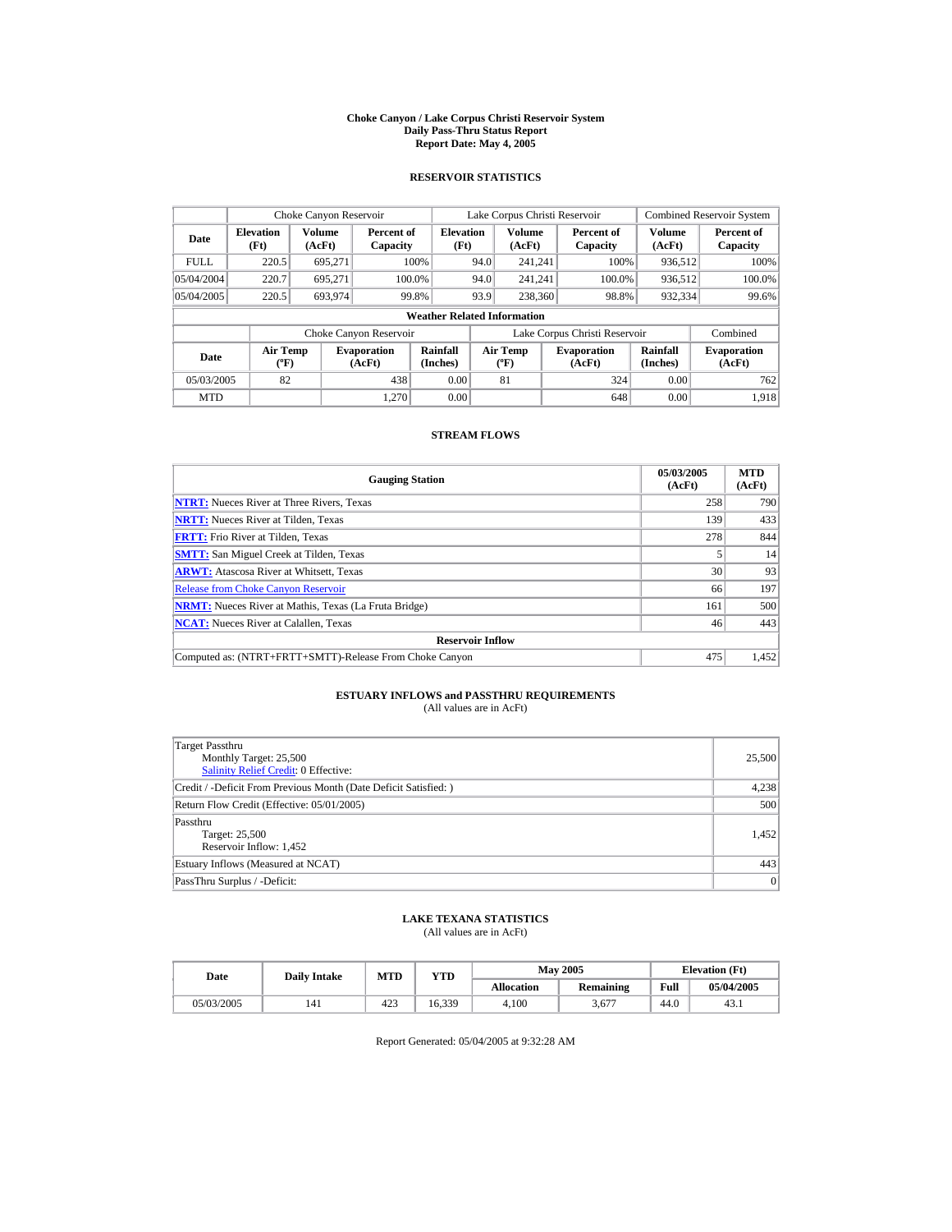#### **Choke Canyon / Lake Corpus Christi Reservoir System Daily Pass-Thru Status Report Report Date: May 4, 2005**

## **RESERVOIR STATISTICS**

|             | Choke Canyon Reservoir   |                                                                                                                                                                                                         |                        |                                    |                              | Lake Corpus Christi Reservoir |                               |                  | <b>Combined Reservoir System</b> |
|-------------|--------------------------|---------------------------------------------------------------------------------------------------------------------------------------------------------------------------------------------------------|------------------------|------------------------------------|------------------------------|-------------------------------|-------------------------------|------------------|----------------------------------|
| Date        | <b>Elevation</b><br>(Ft) | Volume<br>(AcFt)                                                                                                                                                                                        | Percent of<br>Capacity | <b>Elevation</b><br>(Ft)           |                              | <b>Volume</b><br>(AcFt)       | Percent of<br>Capacity        | Volume<br>(AcFt) | Percent of<br>Capacity           |
| <b>FULL</b> | 220.5                    | 695.271                                                                                                                                                                                                 |                        | 100%                               | 94.0                         | 241.241                       | 100%                          | 936.512          | 100%                             |
| 05/04/2004  | 220.7                    | 695.271                                                                                                                                                                                                 |                        | 100.0%                             | 94.0                         | 241.241                       | 100.0%                        | 936,512          | 100.0%                           |
| 05/04/2005  | 220.5                    | 693.974                                                                                                                                                                                                 |                        | 99.8%                              | 93.9                         | 238,360                       | 98.8%                         | 932,334          | 99.6%                            |
|             |                          |                                                                                                                                                                                                         |                        | <b>Weather Related Information</b> |                              |                               |                               |                  |                                  |
|             |                          |                                                                                                                                                                                                         | Choke Canyon Reservoir |                                    |                              |                               | Lake Corpus Christi Reservoir |                  | Combined                         |
| Date        |                          | Rainfall<br><b>Air Temp</b><br>Rainfall<br><b>Air Temp</b><br><b>Evaporation</b><br><b>Evaporation</b><br>(Inches)<br>(Inches)<br>$({}^{\circ}\mathrm{F})$<br>(AcFt)<br>(AcFt)<br>$({}^{\circ}{\rm F})$ |                        |                                    | <b>Evaporation</b><br>(AcFt) |                               |                               |                  |                                  |
| 05/03/2005  | 82                       |                                                                                                                                                                                                         | 438                    | 0.00                               |                              | 81                            | 324                           | 0.00             | 762                              |
| <b>MTD</b>  |                          |                                                                                                                                                                                                         | 1.270                  | 0.00                               |                              |                               | 648                           | 0.00             | 1.918                            |

## **STREAM FLOWS**

| <b>Gauging Station</b>                                       | 05/03/2005<br>(AcFt) | <b>MTD</b><br>(AcFt) |
|--------------------------------------------------------------|----------------------|----------------------|
| <b>NTRT:</b> Nueces River at Three Rivers, Texas             | 258                  | 790                  |
| <b>NRTT:</b> Nueces River at Tilden, Texas                   | 139                  | 433                  |
| <b>FRTT:</b> Frio River at Tilden, Texas                     | 278                  | 844                  |
| <b>SMTT:</b> San Miguel Creek at Tilden, Texas               |                      | 14                   |
| <b>ARWT:</b> Atascosa River at Whitsett, Texas               | 30                   | 93                   |
| <b>Release from Choke Canyon Reservoir</b>                   | 66                   | 197                  |
| <b>NRMT:</b> Nueces River at Mathis, Texas (La Fruta Bridge) | 161                  | 500                  |
| <b>NCAT:</b> Nueces River at Calallen, Texas                 | 46                   | 443                  |
| <b>Reservoir Inflow</b>                                      |                      |                      |
| Computed as: (NTRT+FRTT+SMTT)-Release From Choke Canyon      | 475                  | 1,452                |

# **ESTUARY INFLOWS and PASSTHRU REQUIREMENTS**<br>(All values are in AcFt)

| Target Passthru<br>Monthly Target: 25,500<br>Salinity Relief Credit: 0 Effective: | 25,500 |
|-----------------------------------------------------------------------------------|--------|
| Credit / -Deficit From Previous Month (Date Deficit Satisfied: )                  | 4,238  |
| Return Flow Credit (Effective: 05/01/2005)                                        | 500    |
| Passthru<br>Target: 25,500<br>Reservoir Inflow: 1,452                             | 1.452  |
| Estuary Inflows (Measured at NCAT)                                                | 443    |
| PassThru Surplus / -Deficit:                                                      | 0      |

## **LAKE TEXANA STATISTICS**

(All values are in AcFt)

| Date       | <b>Daily Intake</b> | MTD | YTD    |                   | <b>May 2005</b>  |      | <b>Elevation</b> (Ft) |
|------------|---------------------|-----|--------|-------------------|------------------|------|-----------------------|
|            |                     |     |        | <b>Allocation</b> | <b>Remaining</b> | Full | 05/04/2005            |
| 05/03/2005 |                     | 423 | 16.339 | 4.100             | 3,677            | 44.0 | 43.1                  |

Report Generated: 05/04/2005 at 9:32:28 AM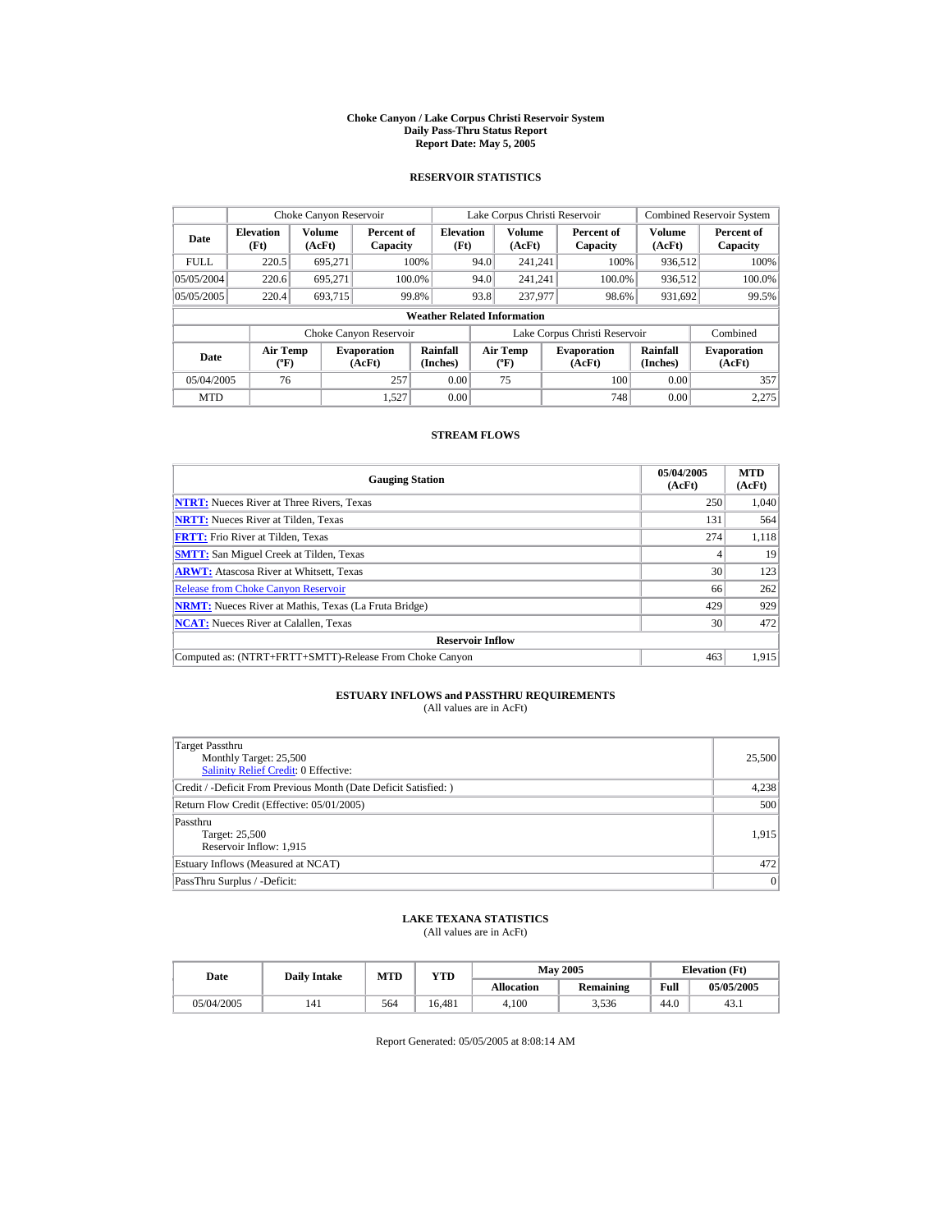#### **Choke Canyon / Lake Corpus Christi Reservoir System Daily Pass-Thru Status Report Report Date: May 5, 2005**

## **RESERVOIR STATISTICS**

|             | Choke Canyon Reservoir                      |                  |                                                                                                                                                                 |                                    |      | Lake Corpus Christi Reservoir |                               |                  | <b>Combined Reservoir System</b> |
|-------------|---------------------------------------------|------------------|-----------------------------------------------------------------------------------------------------------------------------------------------------------------|------------------------------------|------|-------------------------------|-------------------------------|------------------|----------------------------------|
| Date        | <b>Elevation</b><br>(Ft)                    | Volume<br>(AcFt) | Percent of<br>Capacity                                                                                                                                          | <b>Elevation</b><br>(Ft)           |      | <b>Volume</b><br>(AcFt)       | Percent of<br>Capacity        | Volume<br>(AcFt) | Percent of<br>Capacity           |
| <b>FULL</b> | 220.5                                       | 695.271          |                                                                                                                                                                 | 100%                               | 94.0 | 241.241                       | 100%                          | 936.512          | 100%                             |
| 05/05/2004  | 220.6                                       | 695.271          | 100.0%                                                                                                                                                          |                                    | 94.0 | 241.241                       | 100.0%                        | 936,512          | 100.0%                           |
| 05/05/2005  | 220.4                                       | 693,715          |                                                                                                                                                                 | 99.8%                              | 93.8 | 237,977                       | 98.6%                         | 931,692          | 99.5%                            |
|             |                                             |                  |                                                                                                                                                                 | <b>Weather Related Information</b> |      |                               |                               |                  |                                  |
|             |                                             |                  | Choke Canyon Reservoir                                                                                                                                          |                                    |      |                               | Lake Corpus Christi Reservoir |                  | Combined                         |
| Date        | <b>Air Temp</b><br>$({}^{\circ}\mathrm{F})$ |                  | <b>Rainfall</b><br><b>Air Temp</b><br>Rainfall<br><b>Evaporation</b><br><b>Evaporation</b><br>(Inches)<br>(AcFt)<br>(Inches)<br>(AcFt)<br>$({}^{\circ}{\rm F})$ |                                    |      | <b>Evaporation</b><br>(AcFt)  |                               |                  |                                  |
| 05/04/2005  | 76                                          |                  | 257                                                                                                                                                             | 0.00                               |      | 75                            | 100                           | 0.00             | 357                              |
| <b>MTD</b>  |                                             |                  | 1.527                                                                                                                                                           | 0.00                               |      |                               | 748                           | 0.00             | 2.275                            |

## **STREAM FLOWS**

| <b>Gauging Station</b>                                       | 05/04/2005<br>(AcFt) | <b>MTD</b><br>(AcFt) |
|--------------------------------------------------------------|----------------------|----------------------|
| <b>NTRT:</b> Nueces River at Three Rivers, Texas             | 250                  | 1.040                |
| <b>NRTT:</b> Nueces River at Tilden, Texas                   | 131                  | 564                  |
| <b>FRTT:</b> Frio River at Tilden, Texas                     | 274                  | 1,118                |
| <b>SMTT:</b> San Miguel Creek at Tilden, Texas               |                      | 19                   |
| <b>ARWT:</b> Atascosa River at Whitsett, Texas               | 30                   | 123                  |
| <b>Release from Choke Canyon Reservoir</b>                   | 66                   | 262                  |
| <b>NRMT:</b> Nueces River at Mathis, Texas (La Fruta Bridge) | 429                  | 929                  |
| <b>NCAT:</b> Nueces River at Calallen, Texas                 | 30                   | 472                  |
| <b>Reservoir Inflow</b>                                      |                      |                      |
| Computed as: (NTRT+FRTT+SMTT)-Release From Choke Canyon      | 463                  | 1,915                |

# **ESTUARY INFLOWS and PASSTHRU REQUIREMENTS**<br>(All values are in AcFt)

| Target Passthru<br>Monthly Target: 25,500<br><b>Salinity Relief Credit: 0 Effective:</b> | 25,500 |
|------------------------------------------------------------------------------------------|--------|
| Credit / -Deficit From Previous Month (Date Deficit Satisfied: )                         | 4,238  |
| Return Flow Credit (Effective: 05/01/2005)                                               | 500    |
| Passthru<br>Target: 25,500<br>Reservoir Inflow: 1,915                                    | 1.915  |
| Estuary Inflows (Measured at NCAT)                                                       | 472    |
| PassThru Surplus / -Deficit:                                                             | 0      |

## **LAKE TEXANA STATISTICS**

(All values are in AcFt)

| Date       | <b>Daily Intake</b> | MTD | YTD    |                   | <b>May 2005</b>  |      | <b>Elevation</b> (Ft) |
|------------|---------------------|-----|--------|-------------------|------------------|------|-----------------------|
|            |                     |     |        | <b>Allocation</b> | <b>Remaining</b> | Full | 05/05/2005            |
| 05/04/2005 |                     | 564 | 16.481 | 4.100             | 3.536            | 44.0 | 43.1                  |

Report Generated: 05/05/2005 at 8:08:14 AM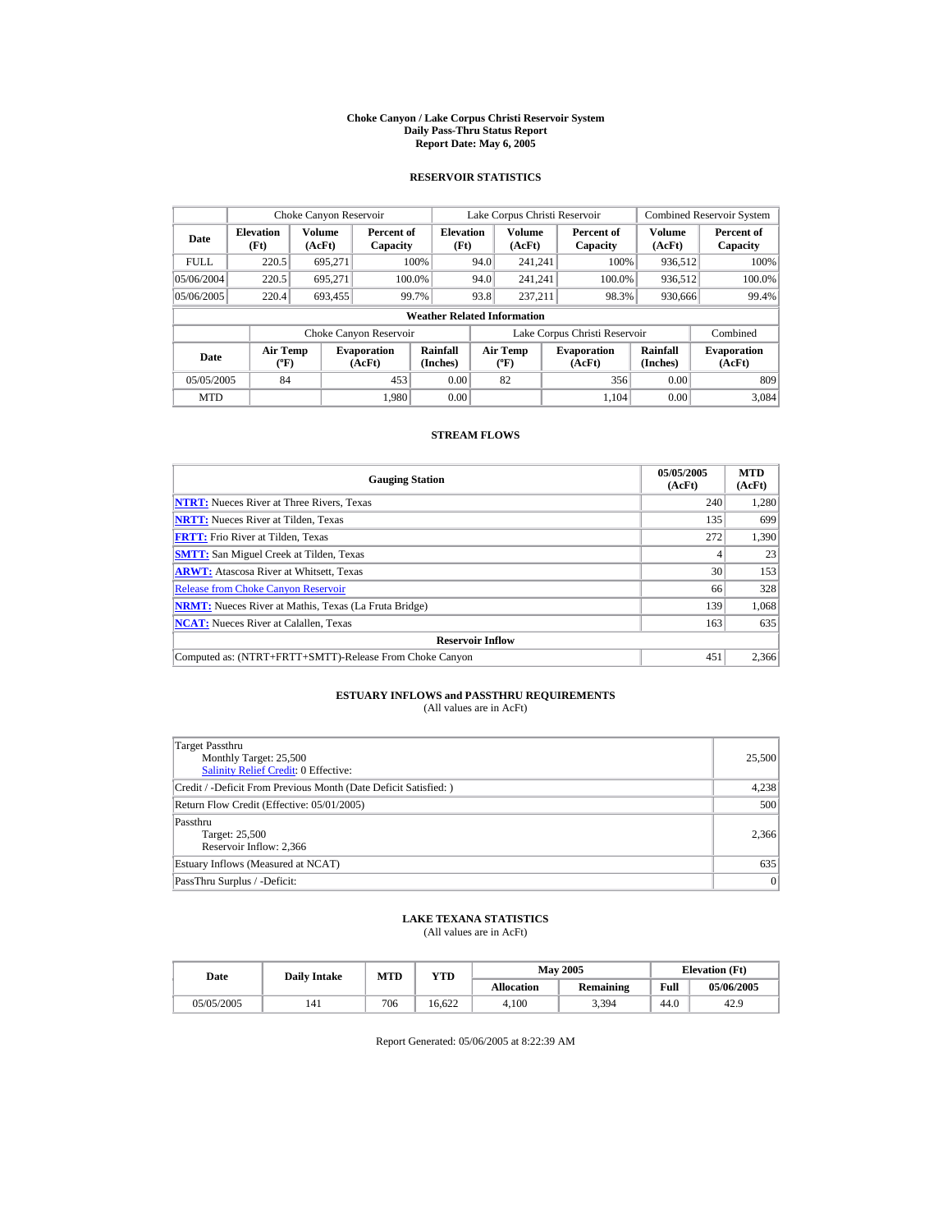#### **Choke Canyon / Lake Corpus Christi Reservoir System Daily Pass-Thru Status Report Report Date: May 6, 2005**

## **RESERVOIR STATISTICS**

|             | Choke Canyon Reservoir      |                  |                              |                                    |      | Lake Corpus Christi Reservoir             |                               |                         | <b>Combined Reservoir System</b> |
|-------------|-----------------------------|------------------|------------------------------|------------------------------------|------|-------------------------------------------|-------------------------------|-------------------------|----------------------------------|
| Date        | <b>Elevation</b><br>(Ft)    | Volume<br>(AcFt) | Percent of<br>Capacity       | <b>Elevation</b><br>(Ft)           |      | Volume<br>(AcFt)                          | Percent of<br>Capacity        | <b>Volume</b><br>(AcFt) | Percent of<br>Capacity           |
| <b>FULL</b> | 220.5                       | 695.271          |                              | 100%                               | 94.0 | 241.241                                   | 100%                          | 936.512                 | 100%                             |
| 05/06/2004  | 220.5                       | 695.271          |                              | 100.0%                             | 94.0 | 241.241                                   | 100.0%                        | 936,512                 | $100.0\%$                        |
| 05/06/2005  | 220.4                       | 693,455          |                              | 99.7%                              | 93.8 | 237.211                                   | 98.3%                         | 930,666                 | 99.4%                            |
|             |                             |                  |                              | <b>Weather Related Information</b> |      |                                           |                               |                         |                                  |
|             |                             |                  | Choke Canyon Reservoir       |                                    |      |                                           | Lake Corpus Christi Reservoir |                         | Combined                         |
| Date        | Air Temp<br>$({}^{\circ}F)$ |                  | <b>Evaporation</b><br>(AcFt) | Rainfall<br>(Inches)               |      | <b>Air Temp</b><br>$({}^{\circ}\text{F})$ | <b>Evaporation</b><br>(AcFt)  | Rainfall<br>(Inches)    | <b>Evaporation</b><br>(AcFt)     |
| 05/05/2005  | 84                          |                  | 453                          | 0.00                               |      | 82                                        | 356                           | 0.00                    | 809                              |
| <b>MTD</b>  |                             |                  | 1.980                        | 0.00                               |      |                                           | 1.104                         | 0.00                    | 3.084                            |

## **STREAM FLOWS**

| <b>Gauging Station</b>                                       | 05/05/2005<br>(AcFt) | <b>MTD</b><br>(AcFt) |
|--------------------------------------------------------------|----------------------|----------------------|
| <b>NTRT:</b> Nueces River at Three Rivers, Texas             | 240                  | 1,280                |
| <b>NRTT:</b> Nueces River at Tilden, Texas                   | 135                  | 699                  |
| <b>FRTT:</b> Frio River at Tilden, Texas                     | 272                  | 1,390                |
| <b>SMTT:</b> San Miguel Creek at Tilden, Texas               |                      | 23                   |
| <b>ARWT:</b> Atascosa River at Whitsett, Texas               | 30                   | 153                  |
| <b>Release from Choke Canyon Reservoir</b>                   | 66                   | 328                  |
| <b>NRMT:</b> Nueces River at Mathis, Texas (La Fruta Bridge) | 139                  | 1.068                |
| <b>NCAT:</b> Nueces River at Calallen, Texas                 | 163                  | 635                  |
| <b>Reservoir Inflow</b>                                      |                      |                      |
| Computed as: (NTRT+FRTT+SMTT)-Release From Choke Canyon      | 451                  | 2.366                |

# **ESTUARY INFLOWS and PASSTHRU REQUIREMENTS**<br>(All values are in AcFt)

| Target Passthru<br>Monthly Target: 25,500<br>Salinity Relief Credit: 0 Effective: | 25,500 |
|-----------------------------------------------------------------------------------|--------|
| Credit / -Deficit From Previous Month (Date Deficit Satisfied: )                  | 4,238  |
| Return Flow Credit (Effective: 05/01/2005)                                        | 500    |
| Passthru<br>Target: 25,500<br>Reservoir Inflow: 2,366                             | 2,366  |
| Estuary Inflows (Measured at NCAT)                                                | 635    |
| PassThru Surplus / -Deficit:                                                      | 0      |

## **LAKE TEXANA STATISTICS**

(All values are in AcFt)

| Date       | <b>Daily Intake</b> | MTD | YTD    |                   | <b>May 2005</b>  |      | <b>Elevation</b> (Ft) |
|------------|---------------------|-----|--------|-------------------|------------------|------|-----------------------|
|            |                     |     |        | <b>Allocation</b> | <b>Remaining</b> | Full | 05/06/2005            |
| 05/05/2005 |                     | 706 | 16.622 | 4.100             | 3,394            | 44.0 | 42.9                  |

Report Generated: 05/06/2005 at 8:22:39 AM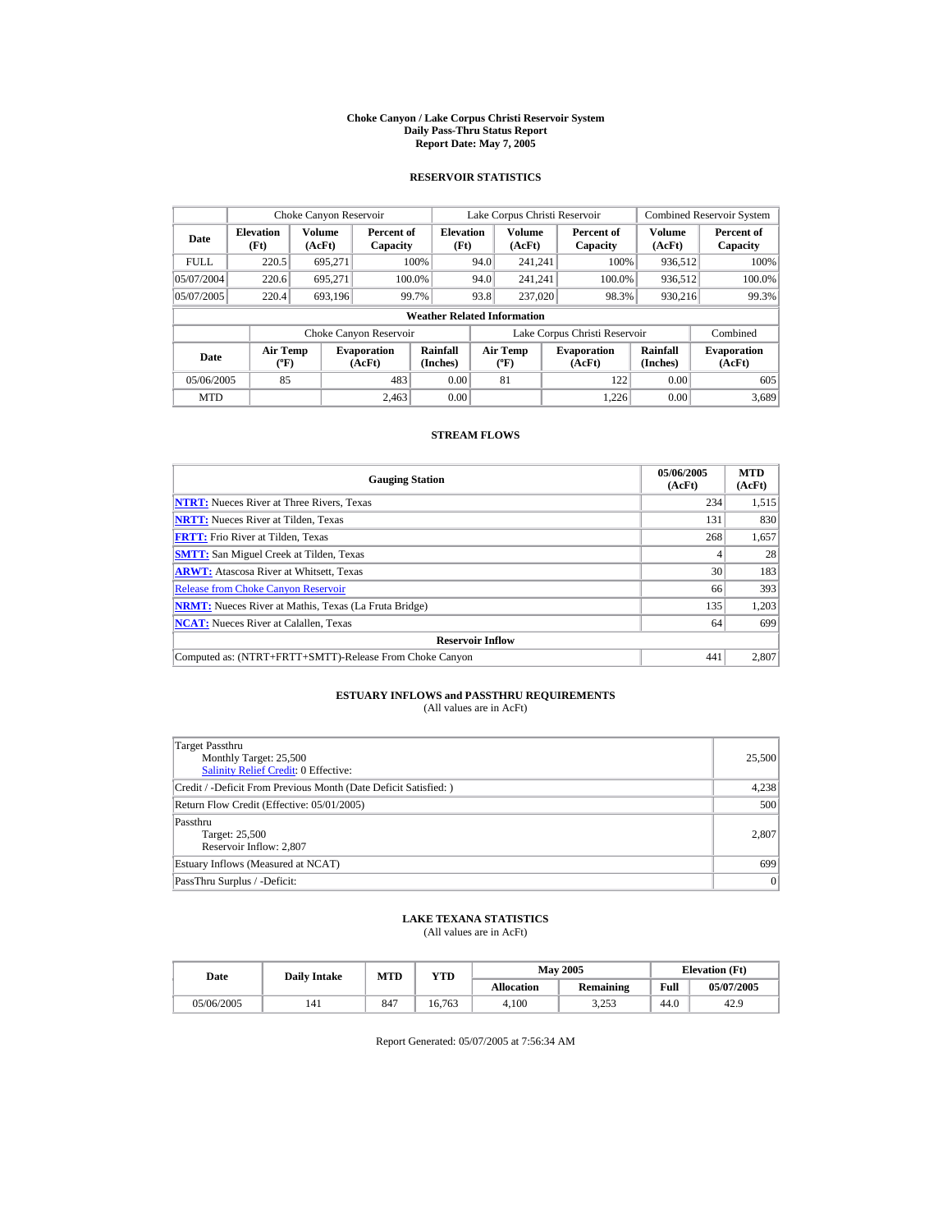#### **Choke Canyon / Lake Corpus Christi Reservoir System Daily Pass-Thru Status Report Report Date: May 7, 2005**

## **RESERVOIR STATISTICS**

|             | Choke Canyon Reservoir                      |                  |                              |                                    |      | Lake Corpus Christi Reservoir            |                               |                      | <b>Combined Reservoir System</b> |
|-------------|---------------------------------------------|------------------|------------------------------|------------------------------------|------|------------------------------------------|-------------------------------|----------------------|----------------------------------|
| Date        | <b>Elevation</b><br>(Ft)                    | Volume<br>(AcFt) | Percent of<br>Capacity       | <b>Elevation</b><br>(Ft)           |      | <b>Volume</b><br>(AcFt)                  | Percent of<br>Capacity        | Volume<br>(AcFt)     | Percent of<br>Capacity           |
| <b>FULL</b> | 220.5                                       | 695.271          |                              | 100%                               | 94.0 | 241.241                                  | 100%                          | 936.512              | 100%                             |
| 05/07/2004  | 220.6                                       | 695.271          |                              | 100.0%                             | 94.0 | 241.241                                  | 100.0%                        | 936,512              | 100.0%                           |
| 05/07/2005  | 220.4                                       | 693,196          |                              | 99.7%                              | 93.8 | 237,020                                  | 98.3%                         | 930,216              | 99.3%                            |
|             |                                             |                  |                              | <b>Weather Related Information</b> |      |                                          |                               |                      |                                  |
|             |                                             |                  | Choke Canyon Reservoir       |                                    |      |                                          | Lake Corpus Christi Reservoir |                      | Combined                         |
| Date        | <b>Air Temp</b><br>$({}^{\circ}\mathrm{F})$ |                  | <b>Evaporation</b><br>(AcFt) | <b>Rainfall</b><br>(Inches)        |      | <b>Air Temp</b><br>$({}^{\circ}{\rm F})$ | <b>Evaporation</b><br>(AcFt)  | Rainfall<br>(Inches) | <b>Evaporation</b><br>(AcFt)     |
| 05/06/2005  | 85                                          |                  | 483                          | 0.00                               |      | 81                                       | 122                           | 0.00                 | 605                              |
| <b>MTD</b>  |                                             |                  | 2.463                        | 0.00                               |      |                                          | 1.226                         | 0.00                 | 3.689                            |

## **STREAM FLOWS**

| <b>Gauging Station</b>                                       | 05/06/2005<br>(AcFt) | <b>MTD</b><br>(AcFt) |
|--------------------------------------------------------------|----------------------|----------------------|
| <b>NTRT:</b> Nueces River at Three Rivers, Texas             | 234                  | 1,515                |
| <b>NRTT:</b> Nueces River at Tilden, Texas                   | 131                  | 830                  |
| <b>FRTT:</b> Frio River at Tilden, Texas                     | 268                  | 1,657                |
| <b>SMTT:</b> San Miguel Creek at Tilden, Texas               |                      | 28                   |
| <b>ARWT:</b> Atascosa River at Whitsett, Texas               | 30                   | 183                  |
| <b>Release from Choke Canyon Reservoir</b>                   | 66                   | 393                  |
| <b>NRMT:</b> Nueces River at Mathis, Texas (La Fruta Bridge) | 135                  | 1,203                |
| <b>NCAT:</b> Nueces River at Calallen, Texas                 | 64                   | 699                  |
| <b>Reservoir Inflow</b>                                      |                      |                      |
| Computed as: (NTRT+FRTT+SMTT)-Release From Choke Canyon      | 441                  | 2.807                |

# **ESTUARY INFLOWS and PASSTHRU REQUIREMENTS**<br>(All values are in AcFt)

| Target Passthru<br>Monthly Target: 25,500<br>Salinity Relief Credit: 0 Effective: | 25,500 |
|-----------------------------------------------------------------------------------|--------|
| Credit / -Deficit From Previous Month (Date Deficit Satisfied:)                   | 4,238  |
| Return Flow Credit (Effective: 05/01/2005)                                        | 500    |
| Passthru<br>Target: 25,500<br>Reservoir Inflow: 2,807                             | 2,807  |
| Estuary Inflows (Measured at NCAT)                                                | 699    |
| PassThru Surplus / -Deficit:                                                      | 0      |

## **LAKE TEXANA STATISTICS**

(All values are in AcFt)

| Date       | <b>Daily Intake</b> | MTD | YTD    | <b>May 2005</b>   |                   |      | <b>Elevation</b> (Ft) |
|------------|---------------------|-----|--------|-------------------|-------------------|------|-----------------------|
|            |                     |     |        | <b>Allocation</b> | <b>Remaining</b>  | Full | 05/07/2005            |
| 05/06/2005 | 141                 | 847 | 16.763 | 4.100             | 3 253<br>ل ل کے د | 44.0 | 42.9                  |

Report Generated: 05/07/2005 at 7:56:34 AM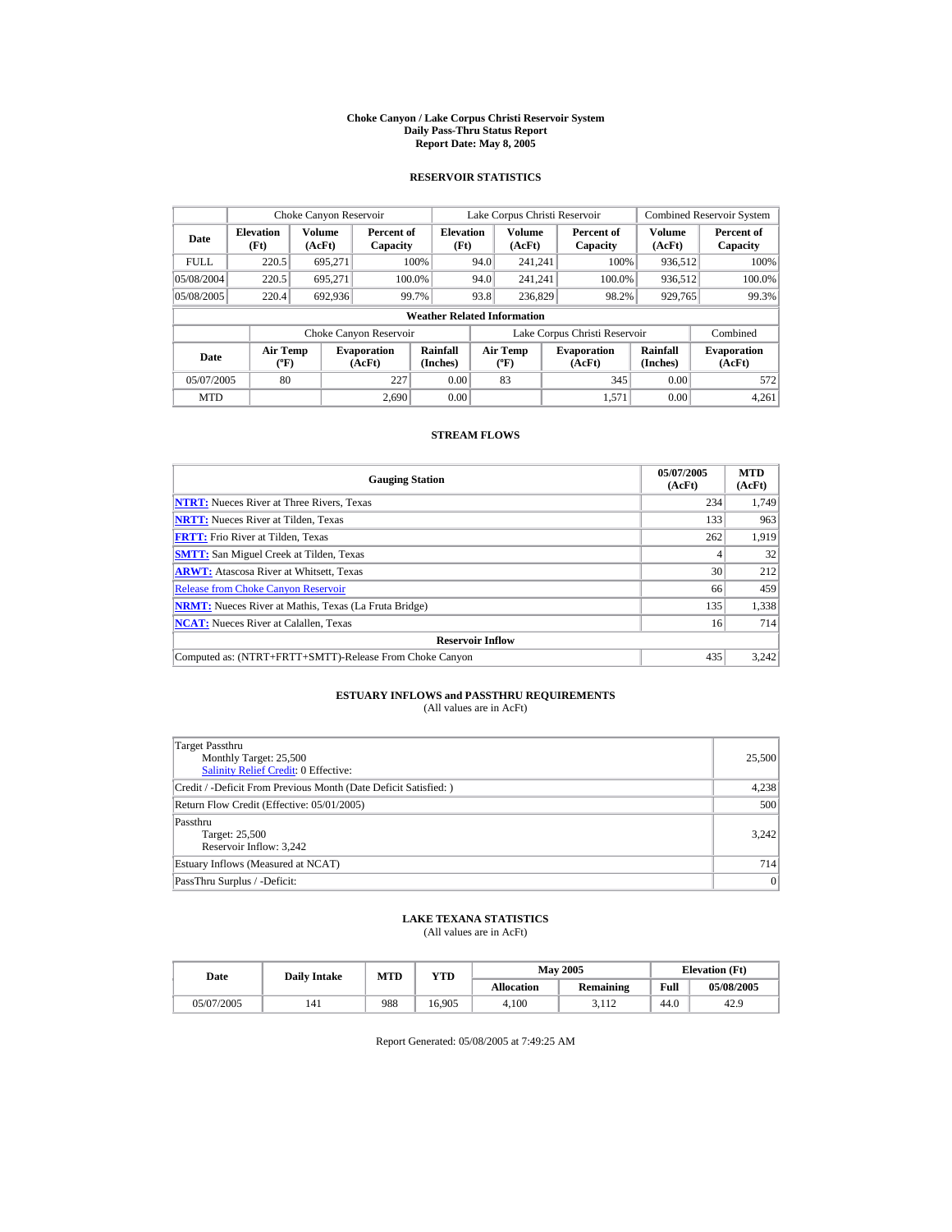#### **Choke Canyon / Lake Corpus Christi Reservoir System Daily Pass-Thru Status Report Report Date: May 8, 2005**

## **RESERVOIR STATISTICS**

|             | Choke Canyon Reservoir                       |         |                              |                                    |      | Lake Corpus Christi Reservoir             |                               |                      | <b>Combined Reservoir System</b> |
|-------------|----------------------------------------------|---------|------------------------------|------------------------------------|------|-------------------------------------------|-------------------------------|----------------------|----------------------------------|
| Date        | Volume<br><b>Elevation</b><br>(Ft)<br>(AcFt) |         | Percent of<br>Capacity       | <b>Elevation</b><br>(Ft)           |      | <b>Volume</b><br>(AcFt)                   | Percent of<br>Capacity        | Volume<br>(AcFt)     | Percent of<br>Capacity           |
| <b>FULL</b> | 220.5                                        | 695.271 |                              | 100%                               | 94.0 | 241.241                                   | 100%                          | 936,512              | 100%                             |
| 05/08/2004  | 220.5                                        | 695.271 | 100.0%                       |                                    | 94.0 | 241.241                                   | 100.0%                        | 936,512              | 100.0%                           |
| 05/08/2005  | 220.4                                        | 692,936 |                              | 99.7%                              | 93.8 | 236,829                                   | 98.2%                         | 929,765              | 99.3%                            |
|             |                                              |         |                              | <b>Weather Related Information</b> |      |                                           |                               |                      |                                  |
|             |                                              |         | Choke Canyon Reservoir       |                                    |      |                                           | Lake Corpus Christi Reservoir |                      | Combined                         |
| Date        | Air Temp<br>$({}^{\mathrm{o}}\mathrm{F})$    |         | <b>Evaporation</b><br>(AcFt) | Rainfall<br>(Inches)               |      | <b>Air Temp</b><br>$({}^{\circ}\text{F})$ | <b>Evaporation</b><br>(AcFt)  | Rainfall<br>(Inches) | <b>Evaporation</b><br>(AcFt)     |
| 05/07/2005  | 80                                           |         | 227                          | 0.00                               |      | 83                                        | 345                           | 0.00                 | 572                              |
| <b>MTD</b>  |                                              |         | 2.690                        | 0.00                               |      |                                           | 1,571                         | 0.00                 | 4,261                            |

## **STREAM FLOWS**

| <b>Gauging Station</b>                                       | 05/07/2005<br>(AcFt) | <b>MTD</b><br>(AcFt) |
|--------------------------------------------------------------|----------------------|----------------------|
| <b>NTRT:</b> Nueces River at Three Rivers, Texas             | 234                  | 1,749                |
| <b>NRTT:</b> Nueces River at Tilden, Texas                   | 133                  | 963                  |
| <b>FRTT:</b> Frio River at Tilden. Texas                     | 262                  | 1.919                |
| <b>SMTT:</b> San Miguel Creek at Tilden, Texas               |                      | 32                   |
| <b>ARWT:</b> Atascosa River at Whitsett, Texas               | 30                   | 212                  |
| <b>Release from Choke Canyon Reservoir</b>                   | 66                   | 459                  |
| <b>NRMT:</b> Nueces River at Mathis, Texas (La Fruta Bridge) | 135                  | 1,338                |
| <b>NCAT:</b> Nueces River at Calallen, Texas                 | 16                   | 714                  |
| <b>Reservoir Inflow</b>                                      |                      |                      |
| Computed as: (NTRT+FRTT+SMTT)-Release From Choke Canyon      | 435                  | 3,242                |

## **ESTUARY INFLOWS and PASSTHRU REQUIREMENTS**<br>(All values are in AcFt)

| Target Passthru<br>Monthly Target: 25,500<br>Salinity Relief Credit: 0 Effective: | 25,500 |
|-----------------------------------------------------------------------------------|--------|
| Credit / -Deficit From Previous Month (Date Deficit Satisfied: )                  | 4,238  |
| Return Flow Credit (Effective: 05/01/2005)                                        | 500    |
| Passthru<br>Target: 25,500<br>Reservoir Inflow: 3,242                             | 3.242  |
| Estuary Inflows (Measured at NCAT)                                                | 714    |
| PassThru Surplus / -Deficit:                                                      | 0      |

## **LAKE TEXANA STATISTICS**

(All values are in AcFt)

| Date       | <b>Daily Intake</b> | MTD<br>YTD |        | <b>May 2005</b>   |                  |      | <b>Elevation</b> (Ft) |
|------------|---------------------|------------|--------|-------------------|------------------|------|-----------------------|
|            |                     |            |        | <b>Allocation</b> | <b>Remaining</b> | Full | 05/08/2005            |
| 05/07/2005 |                     | 988        | 16.905 | 4.100             | 2117<br>J.II 4   | 44.0 | 42.9                  |

Report Generated: 05/08/2005 at 7:49:25 AM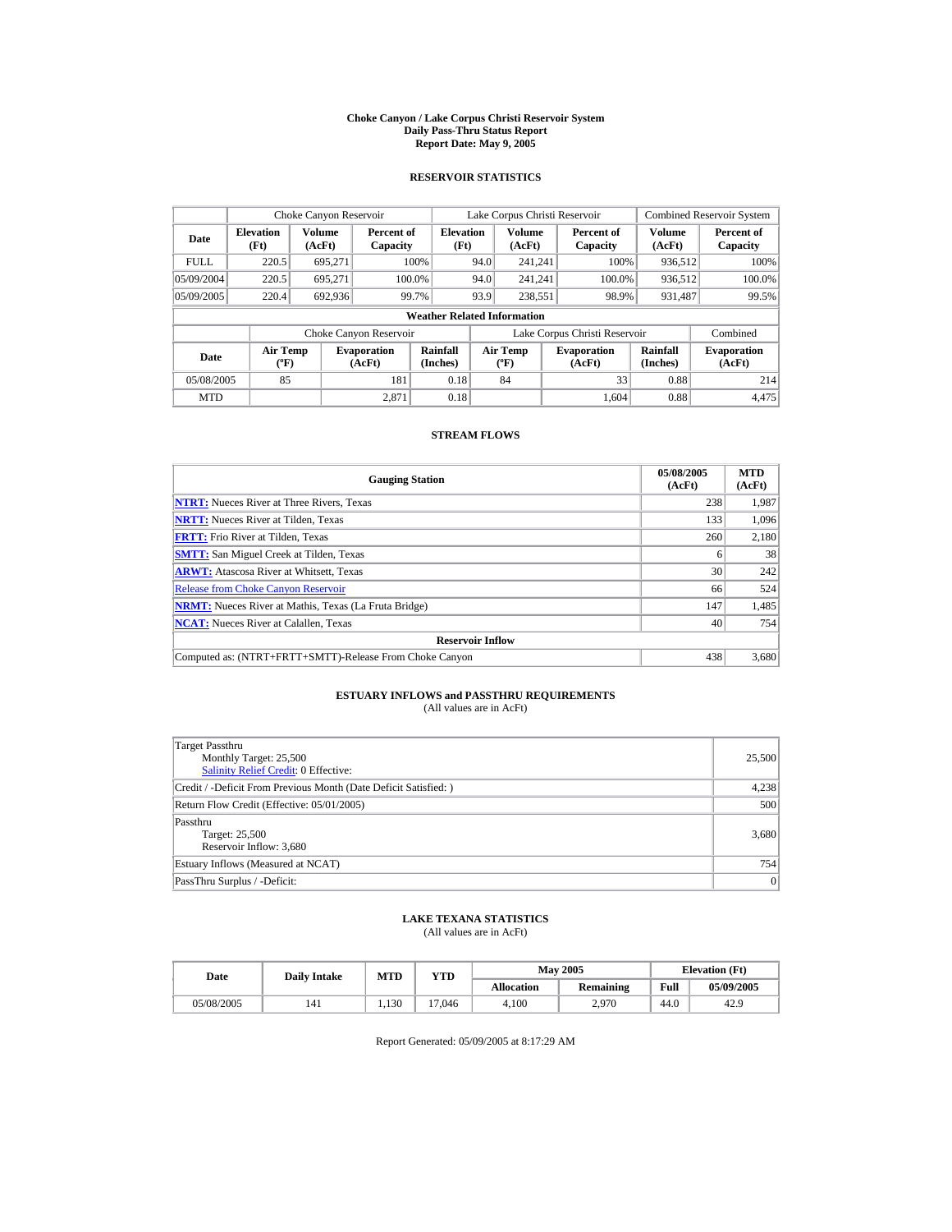#### **Choke Canyon / Lake Corpus Christi Reservoir System Daily Pass-Thru Status Report Report Date: May 9, 2005**

## **RESERVOIR STATISTICS**

|             | Choke Canyon Reservoir                      |                  |                              |                                    |      | Lake Corpus Christi Reservoir            |                               |                      | <b>Combined Reservoir System</b> |
|-------------|---------------------------------------------|------------------|------------------------------|------------------------------------|------|------------------------------------------|-------------------------------|----------------------|----------------------------------|
| Date        | <b>Elevation</b><br>(Ft)                    | Volume<br>(AcFt) | Percent of<br>Capacity       | <b>Elevation</b><br>(Ft)           |      | <b>Volume</b><br>(AcFt)                  | Percent of<br>Capacity        | Volume<br>(AcFt)     | Percent of<br>Capacity           |
| <b>FULL</b> | 220.5                                       | 695.271          |                              | 100%                               | 94.0 | 241.241                                  | 100%                          | 936.512              | 100%                             |
| 05/09/2004  | 220.5                                       | 695.271          | 100.0%                       |                                    | 94.0 | 241.241                                  | 100.0%                        | 936,512              | 100.0%                           |
| 05/09/2005  | 220.4                                       | 692,936          |                              | 99.7%                              | 93.9 | 238,551                                  | 98.9%                         | 931,487              | 99.5%                            |
|             |                                             |                  |                              | <b>Weather Related Information</b> |      |                                          |                               |                      |                                  |
|             |                                             |                  | Choke Canyon Reservoir       |                                    |      |                                          | Lake Corpus Christi Reservoir |                      | Combined                         |
| Date        | <b>Air Temp</b><br>$({}^{\circ}\mathrm{F})$ |                  | <b>Evaporation</b><br>(AcFt) | Rainfall<br>(Inches)               |      | <b>Air Temp</b><br>$({}^{\circ}{\rm F})$ | <b>Evaporation</b><br>(AcFt)  | Rainfall<br>(Inches) | <b>Evaporation</b><br>(AcFt)     |
| 05/08/2005  | 85                                          |                  | 181                          | 0.18                               |      | 84                                       | 33                            | 0.88                 | 214                              |
| <b>MTD</b>  |                                             |                  | 2.871                        | 0.18                               |      |                                          | 1.604                         | 0.88                 | 4.475                            |

## **STREAM FLOWS**

| <b>Gauging Station</b>                                       | 05/08/2005<br>(AcFt) | <b>MTD</b><br>(AcFt) |
|--------------------------------------------------------------|----------------------|----------------------|
| <b>NTRT:</b> Nueces River at Three Rivers, Texas             | 238                  | 1,987                |
| <b>NRTT:</b> Nueces River at Tilden, Texas                   | 133                  | 1.096                |
| <b>FRTT:</b> Frio River at Tilden, Texas                     | 260                  | 2,180                |
| <b>SMTT:</b> San Miguel Creek at Tilden, Texas               | 6                    | 38                   |
| <b>ARWT:</b> Atascosa River at Whitsett, Texas               | 30                   | 242                  |
| <b>Release from Choke Canyon Reservoir</b>                   | 66                   | 524                  |
| <b>NRMT:</b> Nueces River at Mathis, Texas (La Fruta Bridge) | 147                  | 1,485                |
| <b>NCAT:</b> Nueces River at Calallen, Texas                 | 40                   | 754                  |
| <b>Reservoir Inflow</b>                                      |                      |                      |
| Computed as: (NTRT+FRTT+SMTT)-Release From Choke Canyon      | 438                  | 3,680                |

# **ESTUARY INFLOWS and PASSTHRU REQUIREMENTS**<br>(All values are in AcFt)

| Target Passthru<br>Monthly Target: 25,500<br>Salinity Relief Credit: 0 Effective: | 25,500 |
|-----------------------------------------------------------------------------------|--------|
| Credit / -Deficit From Previous Month (Date Deficit Satisfied:)                   | 4,238  |
| Return Flow Credit (Effective: 05/01/2005)                                        | 500    |
| Passthru<br>Target: 25,500<br>Reservoir Inflow: 3,680                             | 3,680  |
| Estuary Inflows (Measured at NCAT)                                                | 754    |
| PassThru Surplus / -Deficit:                                                      | 0      |

## **LAKE TEXANA STATISTICS**

(All values are in AcFt)

| Date       | <b>Daily Intake</b> | MTD  | YTD    |                   | <b>May 2005</b>  | <b>Elevation</b> (Ft) |            |
|------------|---------------------|------|--------|-------------------|------------------|-----------------------|------------|
|            |                     |      |        | <b>Allocation</b> | <b>Remaining</b> | Full                  | 05/09/2005 |
| 05/08/2005 | 141                 | .130 | 17.046 | 4.100             | 2,970            | 44.0                  | 42.9       |

Report Generated: 05/09/2005 at 8:17:29 AM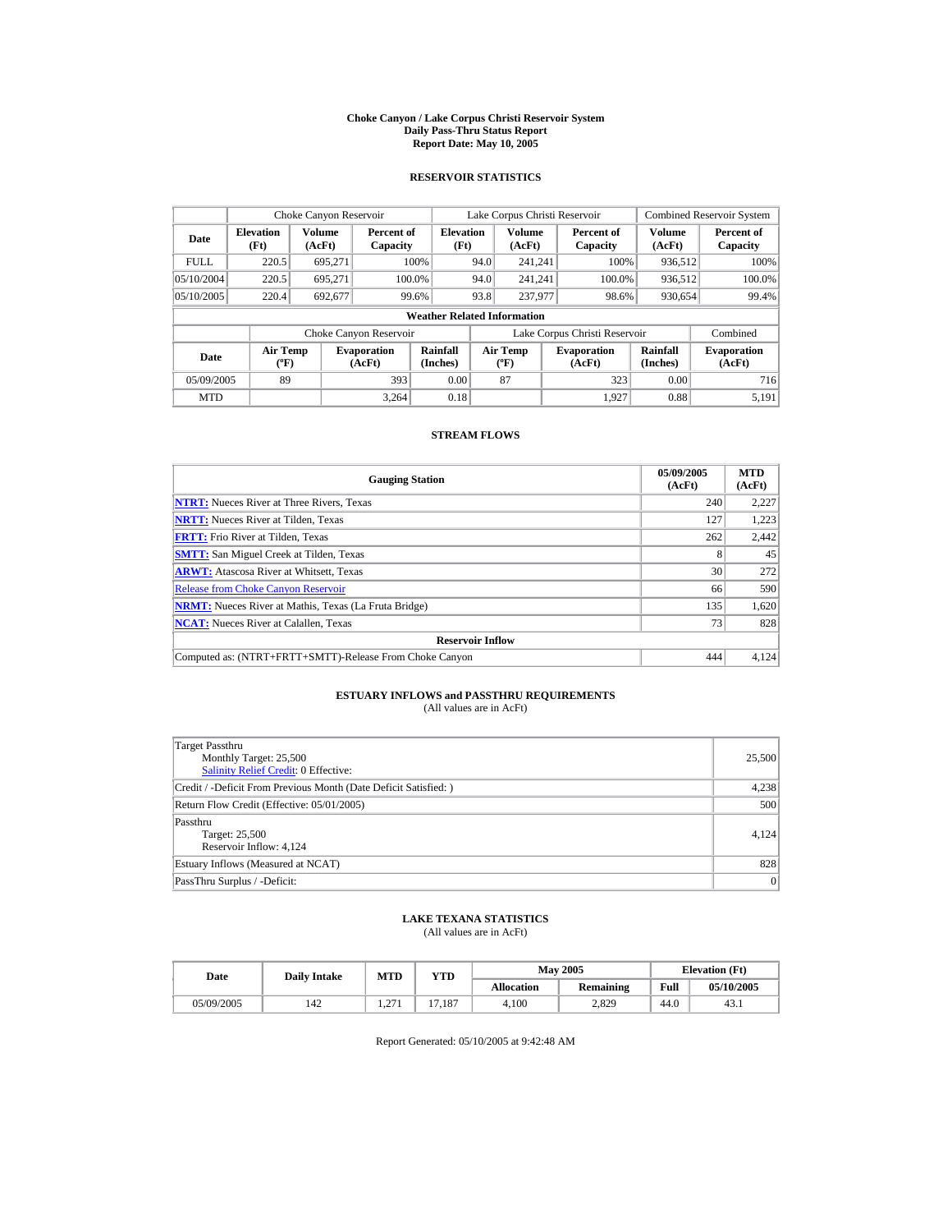#### **Choke Canyon / Lake Corpus Christi Reservoir System Daily Pass-Thru Status Report Report Date: May 10, 2005**

## **RESERVOIR STATISTICS**

|             | Choke Canyon Reservoir               |                         |                              |                          | Lake Corpus Christi Reservoir     |                         |  |                               |                         | <b>Combined Reservoir System</b> |  |  |
|-------------|--------------------------------------|-------------------------|------------------------------|--------------------------|-----------------------------------|-------------------------|--|-------------------------------|-------------------------|----------------------------------|--|--|
| Date        | <b>Elevation</b><br>(Ft)             | <b>Volume</b><br>(AcFt) | Percent of<br>Capacity       | <b>Elevation</b><br>(Ft) |                                   | <b>Volume</b><br>(AcFt) |  | Percent of<br>Capacity        | <b>Volume</b><br>(AcFt) | Percent of<br>Capacity           |  |  |
| <b>FULL</b> | 220.5                                | 695.271                 |                              | 100%                     | 94.0                              | 241.241                 |  | 100%                          | 936,512                 | 100%                             |  |  |
| 05/10/2004  | 220.5                                | 695.271                 |                              | 100.0%                   | 94.0                              | 241.241                 |  | 100.0%                        | 936,512                 | 100.0%                           |  |  |
| 05/10/2005  | 220.4                                | 692,677                 |                              | 99.6%                    | 93.8                              | 237,977                 |  | 98.6%                         | 930,654                 | 99.4%                            |  |  |
|             | <b>Weather Related Information</b>   |                         |                              |                          |                                   |                         |  |                               |                         |                                  |  |  |
|             |                                      |                         | Choke Canyon Reservoir       |                          |                                   |                         |  | Lake Corpus Christi Reservoir |                         | Combined                         |  |  |
| Date        | Air Temp<br>$({}^{\circ}\mathrm{F})$ |                         | <b>Evaporation</b><br>(AcFt) | Rainfall<br>(Inches)     | Air Temp<br>$({}^{\circ}{\rm F})$ |                         |  | <b>Evaporation</b><br>(AcFt)  | Rainfall<br>(Inches)    | <b>Evaporation</b><br>(AcFt)     |  |  |
| 05/09/2005  | 89                                   |                         | 393                          | 0.00                     |                                   | 87                      |  | 323                           | 0.00                    | 716                              |  |  |
| <b>MTD</b>  |                                      |                         | 3.264                        | 0.18                     |                                   |                         |  | 1.927                         | 0.88                    | 5.191                            |  |  |

## **STREAM FLOWS**

| <b>Gauging Station</b>                                       | 05/09/2005<br>(AcFt) | <b>MTD</b><br>(AcFt) |
|--------------------------------------------------------------|----------------------|----------------------|
| <b>NTRT:</b> Nueces River at Three Rivers, Texas             | 240                  | 2,227                |
| <b>NRTT:</b> Nueces River at Tilden, Texas                   | 127                  | 1.223                |
| <b>FRTT:</b> Frio River at Tilden, Texas                     | 262                  | 2,442                |
| <b>SMTT:</b> San Miguel Creek at Tilden, Texas               | 8                    | 45                   |
| <b>ARWT:</b> Atascosa River at Whitsett, Texas               | 30                   | 272                  |
| <b>Release from Choke Canyon Reservoir</b>                   | 66                   | 590                  |
| <b>NRMT:</b> Nueces River at Mathis, Texas (La Fruta Bridge) | 135                  | 1.620                |
| <b>NCAT:</b> Nueces River at Calallen, Texas                 | 73                   | 828                  |
| <b>Reservoir Inflow</b>                                      |                      |                      |
| Computed as: (NTRT+FRTT+SMTT)-Release From Choke Canyon      | 444                  | 4,124                |

## **ESTUARY INFLOWS and PASSTHRU REQUIREMENTS**<br>(All values are in AcFt)

| Target Passthru<br>Monthly Target: 25,500<br><b>Salinity Relief Credit: 0 Effective:</b> | 25,500 |
|------------------------------------------------------------------------------------------|--------|
| Credit / -Deficit From Previous Month (Date Deficit Satisfied: )                         | 4,238  |
| Return Flow Credit (Effective: 05/01/2005)                                               | 500    |
| Passthru<br>Target: 25,500<br>Reservoir Inflow: 4,124                                    | 4.124  |
| Estuary Inflows (Measured at NCAT)                                                       | 828    |
| PassThru Surplus / -Deficit:                                                             | 0      |

## **LAKE TEXANA STATISTICS**

(All values are in AcFt)

| Date       | <b>Daily Intake</b> | <b>MTD</b>          | $_{\rm VTD}$ |                   | <b>May 2005</b> | <b>Elevation</b> (Ft) |            |
|------------|---------------------|---------------------|--------------|-------------------|-----------------|-----------------------|------------|
|            |                     |                     |              | <b>Allocation</b> | Remaining       | Full                  | 05/10/2005 |
| 05/09/2005 | 142                 | $\sim$<br>۰ می شود. | .187<br>—    | 4.100             | 2.829           | 44.0                  | 43.1       |

Report Generated: 05/10/2005 at 9:42:48 AM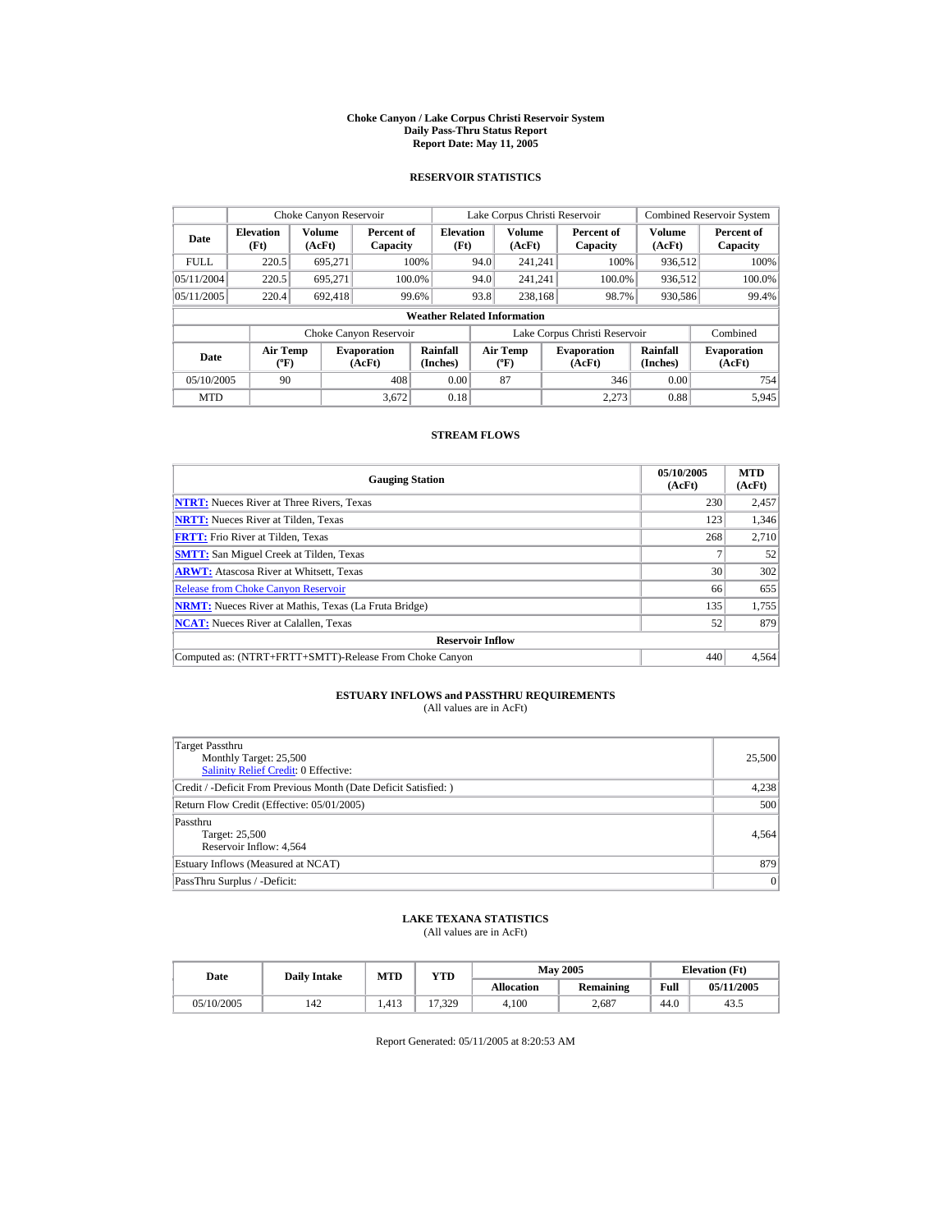#### **Choke Canyon / Lake Corpus Christi Reservoir System Daily Pass-Thru Status Report Report Date: May 11, 2005**

## **RESERVOIR STATISTICS**

|             | Choke Canyon Reservoir                      |                  |                              |                          | Lake Corpus Christi Reservoir |                                          |  |                               |                      | <b>Combined Reservoir System</b> |  |  |
|-------------|---------------------------------------------|------------------|------------------------------|--------------------------|-------------------------------|------------------------------------------|--|-------------------------------|----------------------|----------------------------------|--|--|
| Date        | <b>Elevation</b><br>(Ft)                    | Volume<br>(AcFt) | Percent of<br>Capacity       | <b>Elevation</b><br>(Ft) |                               | <b>Volume</b><br>(AcFt)                  |  | Percent of<br>Capacity        | Volume<br>(AcFt)     | Percent of<br>Capacity           |  |  |
| <b>FULL</b> | 220.5                                       | 695.271          |                              | 100%                     | 94.0                          | 241.241                                  |  | 100%                          | 936.512              | 100%                             |  |  |
| 05/11/2004  | 220.5                                       | 695.271          | 100.0%                       |                          | 94.0                          | 241.241                                  |  | 100.0%                        | 936,512              | 100.0%                           |  |  |
| 05/11/2005  | 220.4                                       | 692.418          |                              | 99.6%                    | 93.8                          | 238.168                                  |  | 98.7%                         | 930,586              | 99.4%                            |  |  |
|             | <b>Weather Related Information</b>          |                  |                              |                          |                               |                                          |  |                               |                      |                                  |  |  |
|             |                                             |                  | Choke Canyon Reservoir       |                          |                               |                                          |  | Lake Corpus Christi Reservoir |                      | Combined                         |  |  |
| Date        | <b>Air Temp</b><br>$({}^{\circ}\mathrm{F})$ |                  | <b>Evaporation</b><br>(AcFt) | Rainfall<br>(Inches)     |                               | <b>Air Temp</b><br>$({}^{\circ}{\rm F})$ |  | <b>Evaporation</b><br>(AcFt)  | Rainfall<br>(Inches) | <b>Evaporation</b><br>(AcFt)     |  |  |
| 05/10/2005  | 90                                          |                  | 408                          | 0.00                     |                               | 87                                       |  | 346                           | 0.00                 | 754                              |  |  |
| <b>MTD</b>  |                                             |                  | 3.672                        | 0.18                     |                               |                                          |  | 2.273                         | 0.88                 | 5.945                            |  |  |

## **STREAM FLOWS**

| <b>Gauging Station</b>                                       | 05/10/2005<br>(AcFt) | <b>MTD</b><br>(AcFt) |
|--------------------------------------------------------------|----------------------|----------------------|
| <b>NTRT:</b> Nueces River at Three Rivers, Texas             | 230                  | 2,457                |
| <b>NRTT:</b> Nueces River at Tilden, Texas                   | 123                  | 1.346                |
| <b>FRTT:</b> Frio River at Tilden, Texas                     | 268                  | 2.710                |
| <b>SMTT:</b> San Miguel Creek at Tilden, Texas               |                      | 52                   |
| <b>ARWT:</b> Atascosa River at Whitsett, Texas               | 30                   | 302                  |
| <b>Release from Choke Canyon Reservoir</b>                   | 66                   | 655                  |
| <b>NRMT:</b> Nueces River at Mathis, Texas (La Fruta Bridge) | 135                  | 1,755                |
| <b>NCAT:</b> Nueces River at Calallen, Texas                 | 52                   | 879                  |
| <b>Reservoir Inflow</b>                                      |                      |                      |
| Computed as: (NTRT+FRTT+SMTT)-Release From Choke Canyon      | 440                  | 4.564                |

# **ESTUARY INFLOWS and PASSTHRU REQUIREMENTS**<br>(All values are in AcFt)

| Target Passthru<br>Monthly Target: 25,500<br>Salinity Relief Credit: 0 Effective: | 25,500 |
|-----------------------------------------------------------------------------------|--------|
| Credit / -Deficit From Previous Month (Date Deficit Satisfied:)                   | 4,238  |
| Return Flow Credit (Effective: 05/01/2005)                                        | 500    |
| Passthru<br>Target: 25,500<br>Reservoir Inflow: 4,564                             | 4,564  |
| Estuary Inflows (Measured at NCAT)                                                | 879    |
| PassThru Surplus / -Deficit:                                                      | 0      |

## **LAKE TEXANA STATISTICS**

(All values are in AcFt)

| Date       | <b>Daily Intake</b> | MTD   | YTD    |                   | <b>May 2005</b>  | <b>Elevation</b> (Ft) |            |
|------------|---------------------|-------|--------|-------------------|------------------|-----------------------|------------|
|            |                     |       |        | <b>Allocation</b> | <b>Remaining</b> | Full                  | 05/11/2005 |
| 05/10/2005 | 142                 | 1.413 | 17.329 | 4.100             | 2.687            | 44.0                  | 43.5       |

Report Generated: 05/11/2005 at 8:20:53 AM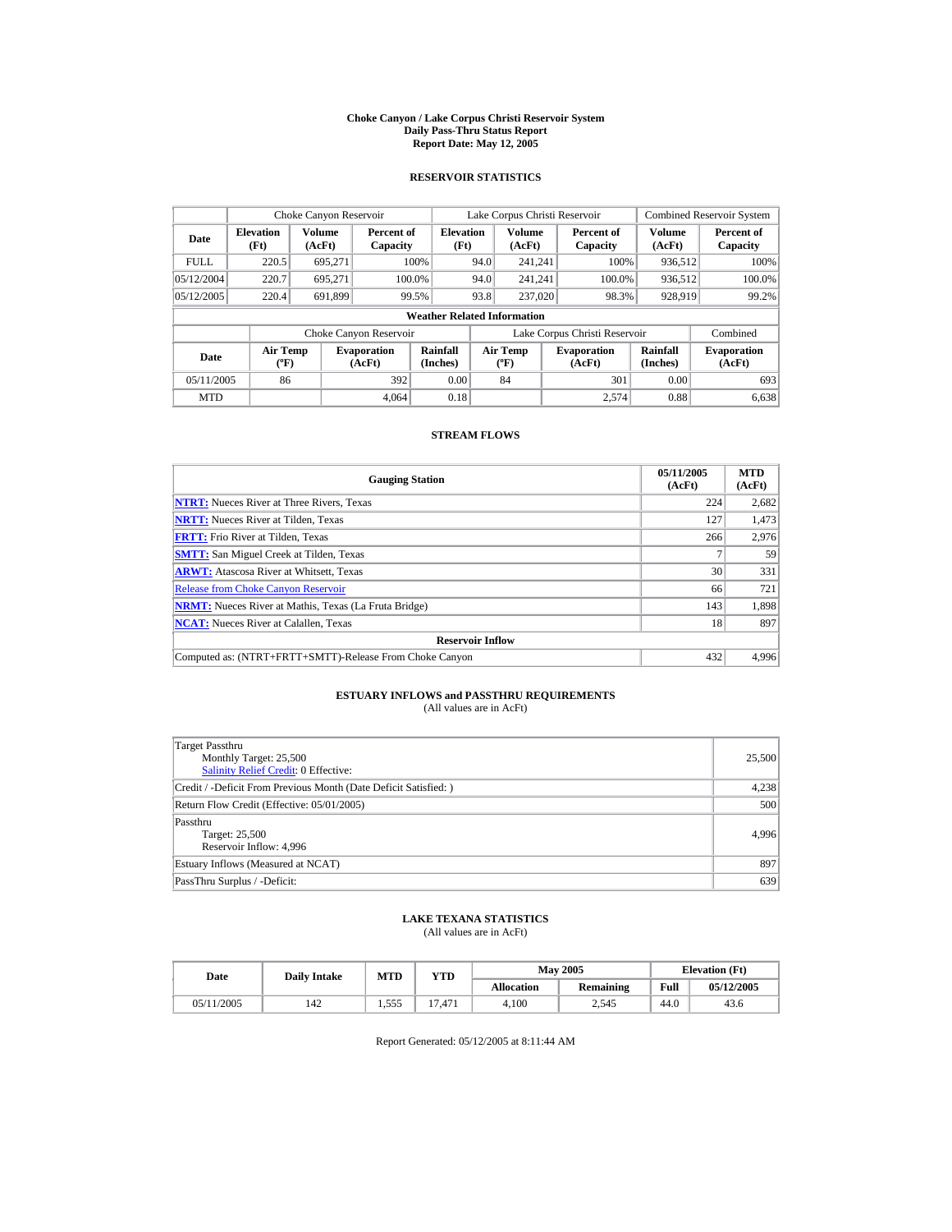#### **Choke Canyon / Lake Corpus Christi Reservoir System Daily Pass-Thru Status Report Report Date: May 12, 2005**

## **RESERVOIR STATISTICS**

|             | Choke Canyon Reservoir                      |                  |                              |                          | Lake Corpus Christi Reservoir |                                          |  |                               |                      | <b>Combined Reservoir System</b> |  |  |
|-------------|---------------------------------------------|------------------|------------------------------|--------------------------|-------------------------------|------------------------------------------|--|-------------------------------|----------------------|----------------------------------|--|--|
| Date        | <b>Elevation</b><br>(Ft)                    | Volume<br>(AcFt) | Percent of<br>Capacity       | <b>Elevation</b><br>(Ft) |                               | <b>Volume</b><br>(AcFt)                  |  | Percent of<br>Capacity        | Volume<br>(AcFt)     | Percent of<br>Capacity           |  |  |
| <b>FULL</b> | 220.5                                       | 695.271          |                              | 100%                     | 94.0                          | 241.241                                  |  | 100%                          | 936.512              | 100%                             |  |  |
| 05/12/2004  | 220.7                                       | 695.271          |                              | 100.0%                   | 94.0                          | 241.241                                  |  | 100.0%                        | 936,512              | 100.0%                           |  |  |
| 05/12/2005  | 220.4                                       | 691,899          |                              | 99.5%                    | 93.8                          | 237,020                                  |  | 98.3%                         | 928,919              | 99.2%                            |  |  |
|             | <b>Weather Related Information</b>          |                  |                              |                          |                               |                                          |  |                               |                      |                                  |  |  |
|             |                                             |                  | Choke Canyon Reservoir       |                          |                               |                                          |  | Lake Corpus Christi Reservoir |                      | Combined                         |  |  |
| Date        | <b>Air Temp</b><br>$({}^{\circ}\mathrm{F})$ |                  | <b>Evaporation</b><br>(AcFt) | Rainfall<br>(Inches)     |                               | <b>Air Temp</b><br>$({}^{\circ}{\rm F})$ |  | <b>Evaporation</b><br>(AcFt)  | Rainfall<br>(Inches) | <b>Evaporation</b><br>(AcFt)     |  |  |
| 05/11/2005  | 86                                          |                  | 392                          | 0.00                     |                               | 84                                       |  | 301                           | 0.00                 | 693                              |  |  |
| <b>MTD</b>  |                                             |                  | 4.064                        | 0.18                     |                               |                                          |  | 2.574                         | 0.88                 | 6.638                            |  |  |

## **STREAM FLOWS**

| <b>Gauging Station</b>                                       | 05/11/2005<br>(AcFt) | <b>MTD</b><br>(AcFt) |
|--------------------------------------------------------------|----------------------|----------------------|
| <b>NTRT:</b> Nueces River at Three Rivers, Texas             | 224                  | 2,682                |
| <b>NRTT:</b> Nueces River at Tilden, Texas                   | 127                  | 1,473                |
| <b>FRTT:</b> Frio River at Tilden, Texas                     | 266                  | 2,976                |
| <b>SMTT:</b> San Miguel Creek at Tilden, Texas               |                      | 59                   |
| <b>ARWT:</b> Atascosa River at Whitsett, Texas               | 30                   | 331                  |
| <b>Release from Choke Canvon Reservoir</b>                   | 66                   | 721                  |
| <b>NRMT:</b> Nueces River at Mathis, Texas (La Fruta Bridge) | 143                  | 1,898                |
| <b>NCAT:</b> Nueces River at Calallen, Texas                 | 18                   | 897                  |
| <b>Reservoir Inflow</b>                                      |                      |                      |
| Computed as: (NTRT+FRTT+SMTT)-Release From Choke Canyon      | 432                  | 4.996                |

# **ESTUARY INFLOWS and PASSTHRU REQUIREMENTS**<br>(All values are in AcFt)

| Target Passthru<br>Monthly Target: 25,500<br>Salinity Relief Credit: 0 Effective: | 25,500 |
|-----------------------------------------------------------------------------------|--------|
| Credit / -Deficit From Previous Month (Date Deficit Satisfied:)                   | 4,238  |
| Return Flow Credit (Effective: 05/01/2005)                                        | 500    |
| Passthru<br>Target: 25,500<br>Reservoir Inflow: 4,996                             | 4.996  |
| Estuary Inflows (Measured at NCAT)                                                | 897    |
| PassThru Surplus / -Deficit:                                                      | 639    |

## **LAKE TEXANA STATISTICS**

(All values are in AcFt)

| Date       | <b>Daily Intake</b> | MTD            | YTD                   |                   | <b>May 2005</b>  | <b>Elevation</b> (Ft) |            |
|------------|---------------------|----------------|-----------------------|-------------------|------------------|-----------------------|------------|
|            |                     |                |                       | <b>Allocation</b> | <b>Remaining</b> | Full                  | 05/12/2005 |
| 05/11/2005 | 142                 | 555<br>د رود 1 | '.471<br>$\mathbf{z}$ | 4.100             | 2.545            | 44.0                  | 43.6       |

Report Generated: 05/12/2005 at 8:11:44 AM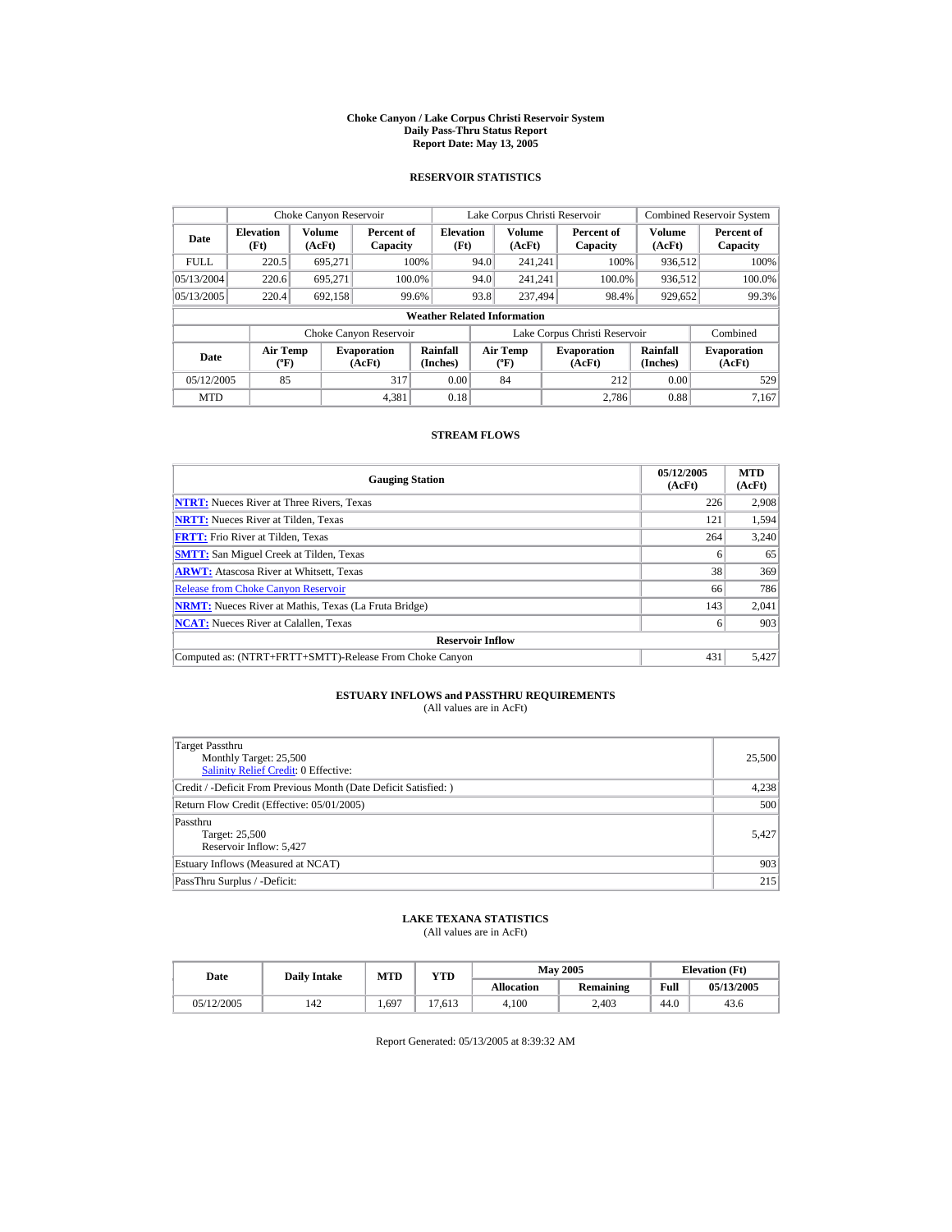#### **Choke Canyon / Lake Corpus Christi Reservoir System Daily Pass-Thru Status Report Report Date: May 13, 2005**

## **RESERVOIR STATISTICS**

|             | Choke Canyon Reservoir             |                  |                              |                          | Lake Corpus Christi Reservoir |                                                  |  |                               |                         | <b>Combined Reservoir System</b> |  |  |
|-------------|------------------------------------|------------------|------------------------------|--------------------------|-------------------------------|--------------------------------------------------|--|-------------------------------|-------------------------|----------------------------------|--|--|
| Date        | <b>Elevation</b><br>(Ft)           | Volume<br>(AcFt) | Percent of<br>Capacity       | <b>Elevation</b><br>(Ft) |                               | <b>Volume</b><br>(AcFt)                          |  | Percent of<br>Capacity        | <b>Volume</b><br>(AcFt) | Percent of<br>Capacity           |  |  |
| <b>FULL</b> | 220.5                              | 695.271          |                              | 100%                     | 94.0                          | 241.241                                          |  | 100%                          | 936,512                 | 100%                             |  |  |
| 05/13/2004  | 220.6                              | 695.271          |                              | 100.0%                   | 94.0                          | 241.241                                          |  | 100.0%                        | 936,512                 | $100.0\%$                        |  |  |
| 05/13/2005  | 220.4                              | 692,158          |                              | 99.6%                    | 93.8                          | 237.494                                          |  | 98.4%                         | 929,652                 | 99.3%                            |  |  |
|             | <b>Weather Related Information</b> |                  |                              |                          |                               |                                                  |  |                               |                         |                                  |  |  |
|             |                                    |                  | Choke Canyon Reservoir       |                          |                               |                                                  |  | Lake Corpus Christi Reservoir |                         | Combined                         |  |  |
| <b>Date</b> | Air Temp<br>$({}^{\circ}F)$        |                  | <b>Evaporation</b><br>(AcFt) | Rainfall<br>(Inches)     |                               | <b>Air Temp</b><br>$({}^{\mathrm{o}}\mathrm{F})$ |  | <b>Evaporation</b><br>(AcFt)  | Rainfall<br>(Inches)    | <b>Evaporation</b><br>(AcFt)     |  |  |
| 05/12/2005  | 85                                 |                  | 317                          | 0.00                     |                               | 84                                               |  | 212                           | 0.00                    | 529                              |  |  |
| <b>MTD</b>  |                                    |                  | 4.381                        | 0.18                     |                               |                                                  |  | 2.786                         | 0.88                    | 7.167                            |  |  |

## **STREAM FLOWS**

| <b>Gauging Station</b>                                       | 05/12/2005<br>(AcFt) | <b>MTD</b><br>(AcFt) |
|--------------------------------------------------------------|----------------------|----------------------|
| <b>NTRT:</b> Nueces River at Three Rivers, Texas             | 226                  | 2,908                |
| <b>NRTT:</b> Nueces River at Tilden, Texas                   | 121                  | 1,594                |
| <b>FRTT:</b> Frio River at Tilden, Texas                     | 264                  | 3,240                |
| <b>SMTT:</b> San Miguel Creek at Tilden, Texas               | 6                    | 65                   |
| <b>ARWT:</b> Atascosa River at Whitsett, Texas               | 38                   | 369                  |
| <b>Release from Choke Canyon Reservoir</b>                   | 66                   | 786                  |
| <b>NRMT:</b> Nueces River at Mathis, Texas (La Fruta Bridge) | 143                  | 2.041                |
| <b>NCAT:</b> Nueces River at Calallen, Texas                 | 6                    | 903                  |
| <b>Reservoir Inflow</b>                                      |                      |                      |
| Computed as: (NTRT+FRTT+SMTT)-Release From Choke Canyon      | 431                  | 5.427                |

# **ESTUARY INFLOWS and PASSTHRU REQUIREMENTS**<br>(All values are in AcFt)

| Target Passthru<br>Monthly Target: 25,500<br>Salinity Relief Credit: 0 Effective: | 25,500 |
|-----------------------------------------------------------------------------------|--------|
| Credit / -Deficit From Previous Month (Date Deficit Satisfied:)                   | 4,238  |
| Return Flow Credit (Effective: 05/01/2005)                                        | 500    |
| Passthru<br>Target: 25,500<br>Reservoir Inflow: 5,427                             | 5,427  |
| Estuary Inflows (Measured at NCAT)                                                | 903    |
| PassThru Surplus / -Deficit:                                                      | 215    |

## **LAKE TEXANA STATISTICS**

(All values are in AcFt)

| Date       | <b>Daily Intake</b> | <b>MTD</b> | $_{\rm VTD}$ |                   | <b>May 2005</b> | <b>Elevation</b> (Ft) |            |
|------------|---------------------|------------|--------------|-------------------|-----------------|-----------------------|------------|
|            |                     |            |              | <b>Allocation</b> | Remaining       | Full                  | 05/13/2005 |
| 05/12/2005 | 142                 | .,697      | 17.613       | 4.100             | 2.403           | 44.0                  | 43.6       |

Report Generated: 05/13/2005 at 8:39:32 AM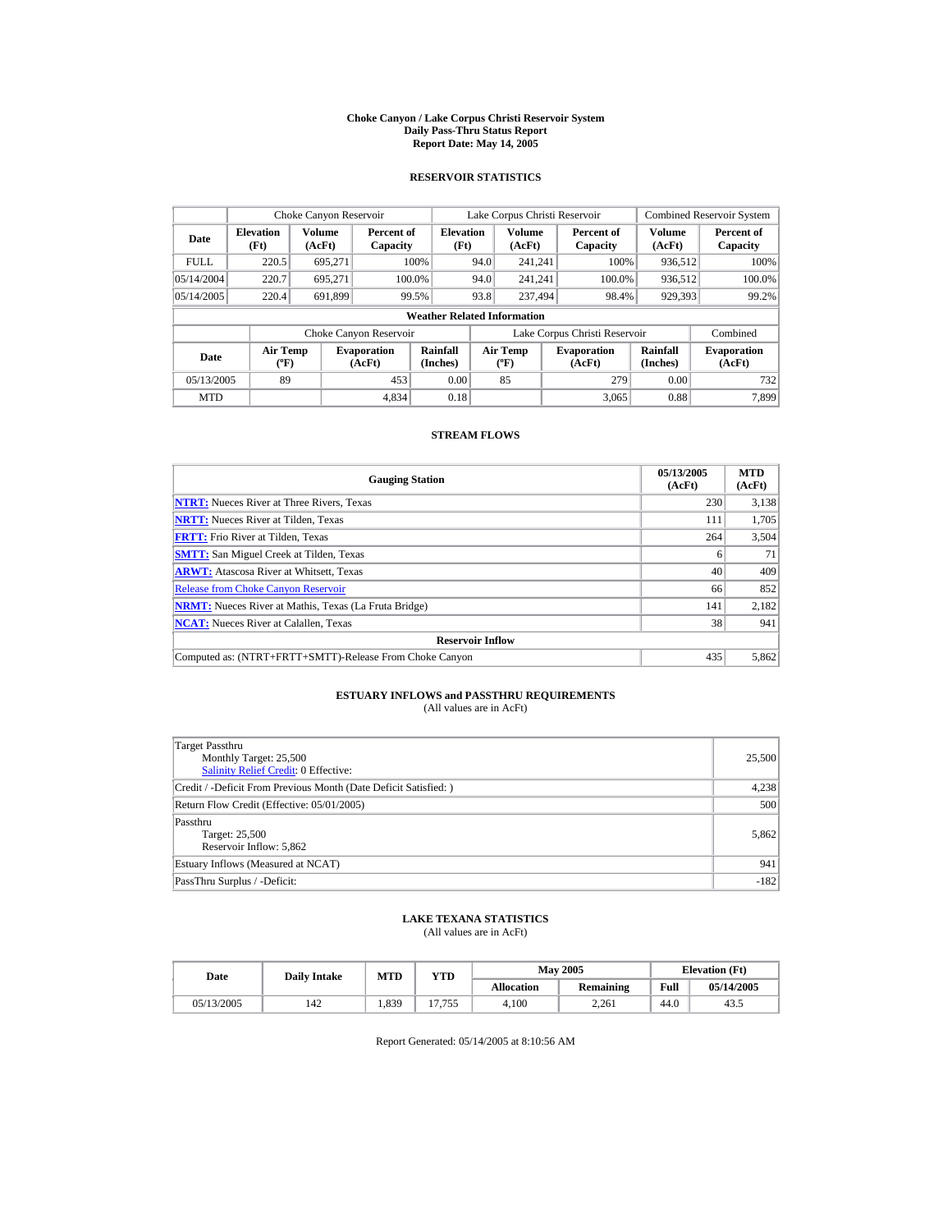#### **Choke Canyon / Lake Corpus Christi Reservoir System Daily Pass-Thru Status Report Report Date: May 14, 2005**

## **RESERVOIR STATISTICS**

|             | Choke Canyon Reservoir                      |                  |                              |                          | Lake Corpus Christi Reservoir |                                             |  |                               |                             | <b>Combined Reservoir System</b> |  |  |
|-------------|---------------------------------------------|------------------|------------------------------|--------------------------|-------------------------------|---------------------------------------------|--|-------------------------------|-----------------------------|----------------------------------|--|--|
| Date        | <b>Elevation</b><br>(Ft)                    | Volume<br>(AcFt) | Percent of<br>Capacity       | <b>Elevation</b><br>(Ft) |                               | Volume<br>(AcFt)                            |  | Percent of<br>Capacity        | Volume<br>(AcFt)            | Percent of<br>Capacity           |  |  |
| <b>FULL</b> | 220.5                                       | 695.271          |                              | 100%                     | 94.0                          | 241.241                                     |  | 100%                          | 936,512                     | 100%                             |  |  |
| 05/14/2004  | 220.7                                       | 695.271          |                              | 100.0%                   | 94.0                          | 241.241                                     |  | 100.0%                        | 936,512                     | 100.0%                           |  |  |
| 05/14/2005  | 220.4                                       | 691,899          |                              | 99.5%                    | 93.8                          | 237,494                                     |  | 98.4%                         | 929,393                     | 99.2%                            |  |  |
|             | <b>Weather Related Information</b>          |                  |                              |                          |                               |                                             |  |                               |                             |                                  |  |  |
|             |                                             |                  | Choke Canyon Reservoir       |                          |                               |                                             |  | Lake Corpus Christi Reservoir |                             | Combined                         |  |  |
| <b>Date</b> | <b>Air Temp</b><br>$({}^{\circ}\mathrm{F})$ |                  | <b>Evaporation</b><br>(AcFt) | Rainfall<br>(Inches)     |                               | <b>Air Temp</b><br>$({}^{\circ}\mathbf{F})$ |  | <b>Evaporation</b><br>(AcFt)  | <b>Rainfall</b><br>(Inches) | <b>Evaporation</b><br>(AcFt)     |  |  |
| 05/13/2005  | 89                                          |                  | 453                          | 0.00                     |                               | 85                                          |  | 279                           | 0.00                        | 732                              |  |  |
| <b>MTD</b>  |                                             |                  | 4.834                        | 0.18                     |                               |                                             |  | 3.065                         | 0.88                        | 7.899                            |  |  |

## **STREAM FLOWS**

| <b>Gauging Station</b>                                       | 05/13/2005<br>(AcFt) | <b>MTD</b><br>(AcFt) |
|--------------------------------------------------------------|----------------------|----------------------|
| <b>NTRT:</b> Nueces River at Three Rivers, Texas             | 230                  | 3,138                |
| <b>NRTT:</b> Nueces River at Tilden, Texas                   | 111                  | 1.705                |
| <b>FRTT:</b> Frio River at Tilden, Texas                     | 264                  | 3,504                |
| <b>SMTT:</b> San Miguel Creek at Tilden, Texas               | 6                    | 71                   |
| <b>ARWT:</b> Atascosa River at Whitsett, Texas               | 40                   | 409                  |
| <b>Release from Choke Canyon Reservoir</b>                   | 66                   | 852                  |
| <b>NRMT:</b> Nueces River at Mathis, Texas (La Fruta Bridge) | 141                  | 2.182                |
| <b>NCAT:</b> Nueces River at Calallen, Texas                 | 38                   | 941                  |
| <b>Reservoir Inflow</b>                                      |                      |                      |
| Computed as: (NTRT+FRTT+SMTT)-Release From Choke Canyon      | 435                  | 5,862                |

# **ESTUARY INFLOWS and PASSTHRU REQUIREMENTS**<br>(All values are in AcFt)

| Target Passthru<br>Monthly Target: 25,500<br>Salinity Relief Credit: 0 Effective: | 25,500 |
|-----------------------------------------------------------------------------------|--------|
| Credit / -Deficit From Previous Month (Date Deficit Satisfied: )                  | 4,238  |
| Return Flow Credit (Effective: 05/01/2005)                                        | 500    |
| Passthru<br>Target: 25,500<br>Reservoir Inflow: 5,862                             | 5.862  |
| Estuary Inflows (Measured at NCAT)                                                | 941    |
| PassThru Surplus / -Deficit:                                                      | $-182$ |

## **LAKE TEXANA STATISTICS**

(All values are in AcFt)

| Date       | <b>Daily Intake</b> | <b>MTD</b> | $_{\rm VTD}$ |                   | <b>May 2005</b> | <b>Elevation</b> (Ft) |            |
|------------|---------------------|------------|--------------|-------------------|-----------------|-----------------------|------------|
|            |                     |            |              | <b>Allocation</b> | Remaining       | Full                  | 05/14/2005 |
| 05/13/2005 | 142                 | 1,839      | 7.755<br>17  | 4.100             | 2.261           | 44.0                  | 43.        |

Report Generated: 05/14/2005 at 8:10:56 AM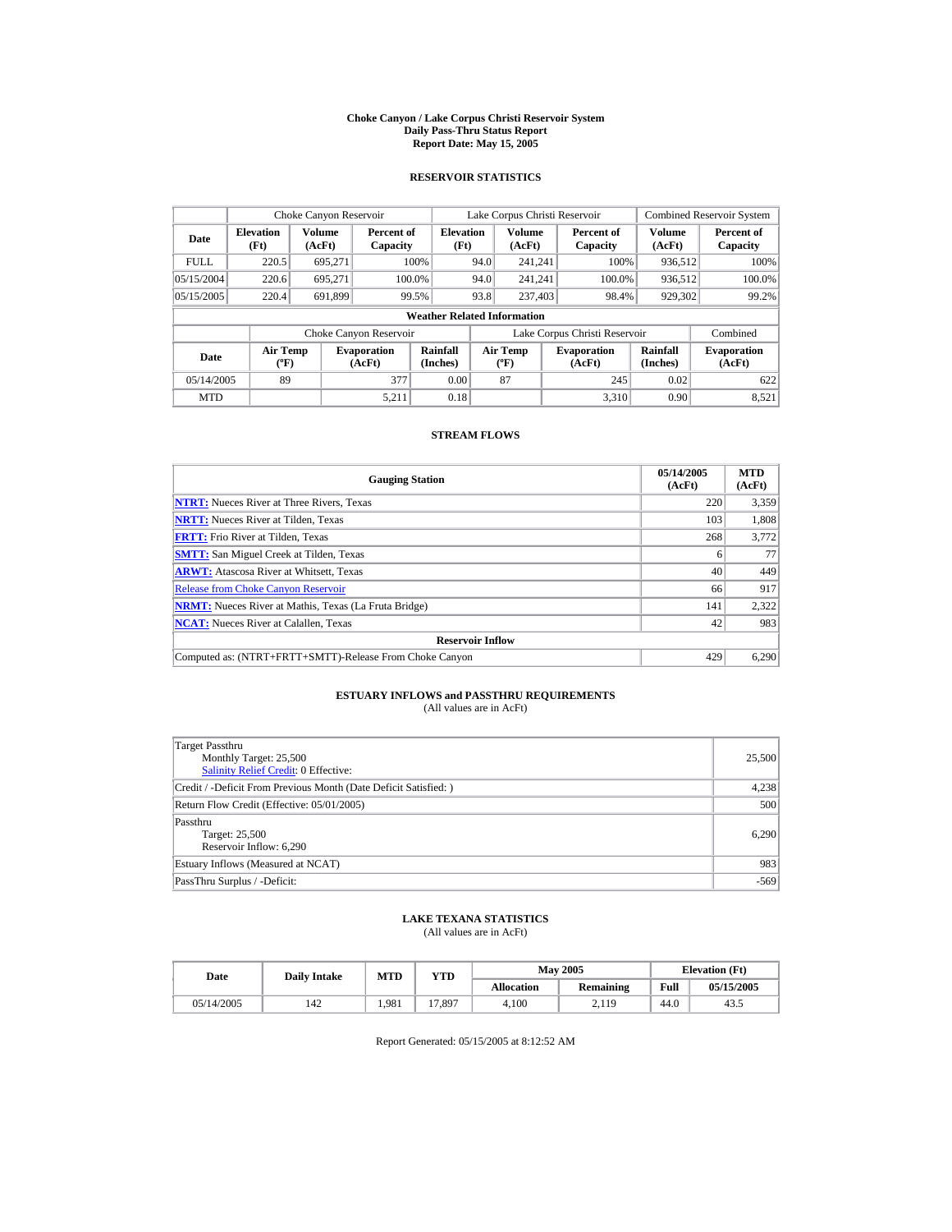#### **Choke Canyon / Lake Corpus Christi Reservoir System Daily Pass-Thru Status Report Report Date: May 15, 2005**

## **RESERVOIR STATISTICS**

|             | Choke Canyon Reservoir                      |                  |                              |                          | Lake Corpus Christi Reservoir |                                          |  |                               |                      | <b>Combined Reservoir System</b> |  |  |
|-------------|---------------------------------------------|------------------|------------------------------|--------------------------|-------------------------------|------------------------------------------|--|-------------------------------|----------------------|----------------------------------|--|--|
| Date        | <b>Elevation</b><br>(Ft)                    | Volume<br>(AcFt) | Percent of<br>Capacity       | <b>Elevation</b><br>(Ft) |                               | <b>Volume</b><br>(AcFt)                  |  | Percent of<br>Capacity        | Volume<br>(AcFt)     | Percent of<br>Capacity           |  |  |
| <b>FULL</b> | 220.5                                       | 695.271          |                              | 100%                     | 94.0                          | 241.241                                  |  | 100%                          | 936.512              | 100%                             |  |  |
| 05/15/2004  | 220.6                                       | 695.271          | 100.0%                       |                          | 94.0                          | 241.241                                  |  | 100.0%                        | 936,512              | 100.0%                           |  |  |
| 05/15/2005  | 220.4                                       | 691.899          |                              | 99.5%                    | 93.8                          | 237,403                                  |  | 98.4%                         | 929,302              | 99.2%                            |  |  |
|             | <b>Weather Related Information</b>          |                  |                              |                          |                               |                                          |  |                               |                      |                                  |  |  |
|             |                                             |                  | Choke Canyon Reservoir       |                          |                               |                                          |  | Lake Corpus Christi Reservoir |                      | Combined                         |  |  |
| Date        | <b>Air Temp</b><br>$({}^{\circ}\mathrm{F})$ |                  | <b>Evaporation</b><br>(AcFt) | Rainfall<br>(Inches)     |                               | <b>Air Temp</b><br>$({}^{\circ}{\rm F})$ |  | <b>Evaporation</b><br>(AcFt)  | Rainfall<br>(Inches) | <b>Evaporation</b><br>(AcFt)     |  |  |
| 05/14/2005  | 89                                          |                  | 377                          | 0.00                     |                               | 87                                       |  | 245                           | 0.02                 | 622                              |  |  |
| <b>MTD</b>  |                                             |                  | 5.211                        | 0.18                     |                               |                                          |  | 3.310                         | 0.90                 | 8.521                            |  |  |

## **STREAM FLOWS**

| <b>Gauging Station</b>                                       | 05/14/2005<br>(AcFt) | <b>MTD</b><br>(AcFt) |
|--------------------------------------------------------------|----------------------|----------------------|
| <b>NTRT:</b> Nueces River at Three Rivers, Texas             | 220                  | 3,359                |
| <b>NRTT:</b> Nueces River at Tilden, Texas                   | 103                  | 1.808                |
| <b>FRTT:</b> Frio River at Tilden, Texas                     | 268                  | 3,772                |
| <b>SMTT:</b> San Miguel Creek at Tilden, Texas               | 6                    | 77                   |
| <b>ARWT:</b> Atascosa River at Whitsett, Texas               | 40                   | 449                  |
| <b>Release from Choke Canvon Reservoir</b>                   | 66                   | 917                  |
| <b>NRMT:</b> Nueces River at Mathis, Texas (La Fruta Bridge) | 141                  | 2,322                |
| <b>NCAT:</b> Nueces River at Calallen, Texas                 | 42                   | 983                  |
| <b>Reservoir Inflow</b>                                      |                      |                      |
| Computed as: (NTRT+FRTT+SMTT)-Release From Choke Canyon      | 429                  | 6.290                |

# **ESTUARY INFLOWS and PASSTHRU REQUIREMENTS**<br>(All values are in AcFt)

| Target Passthru<br>Monthly Target: 25,500<br>Salinity Relief Credit: 0 Effective: | 25,500 |
|-----------------------------------------------------------------------------------|--------|
| Credit / -Deficit From Previous Month (Date Deficit Satisfied:)                   | 4,238  |
| Return Flow Credit (Effective: 05/01/2005)                                        | 500    |
| Passthru<br>Target: 25,500<br>Reservoir Inflow: 6,290                             | 6,290  |
| Estuary Inflows (Measured at NCAT)                                                | 983    |
| PassThru Surplus / -Deficit:                                                      | $-569$ |

## **LAKE TEXANA STATISTICS**

(All values are in AcFt)

| Date       | <b>Daily Intake</b> | MTD   | YTD    |                   | <b>May 2005</b>  | <b>Elevation</b> (Ft) |            |
|------------|---------------------|-------|--------|-------------------|------------------|-----------------------|------------|
|            |                     |       |        | <b>Allocation</b> | <b>Remaining</b> | Full                  | 05/15/2005 |
| 05/14/2005 | 142                 | 1.981 | 17.897 | 4.100             | 2.119            | 44.0                  | 43.5       |

Report Generated: 05/15/2005 at 8:12:52 AM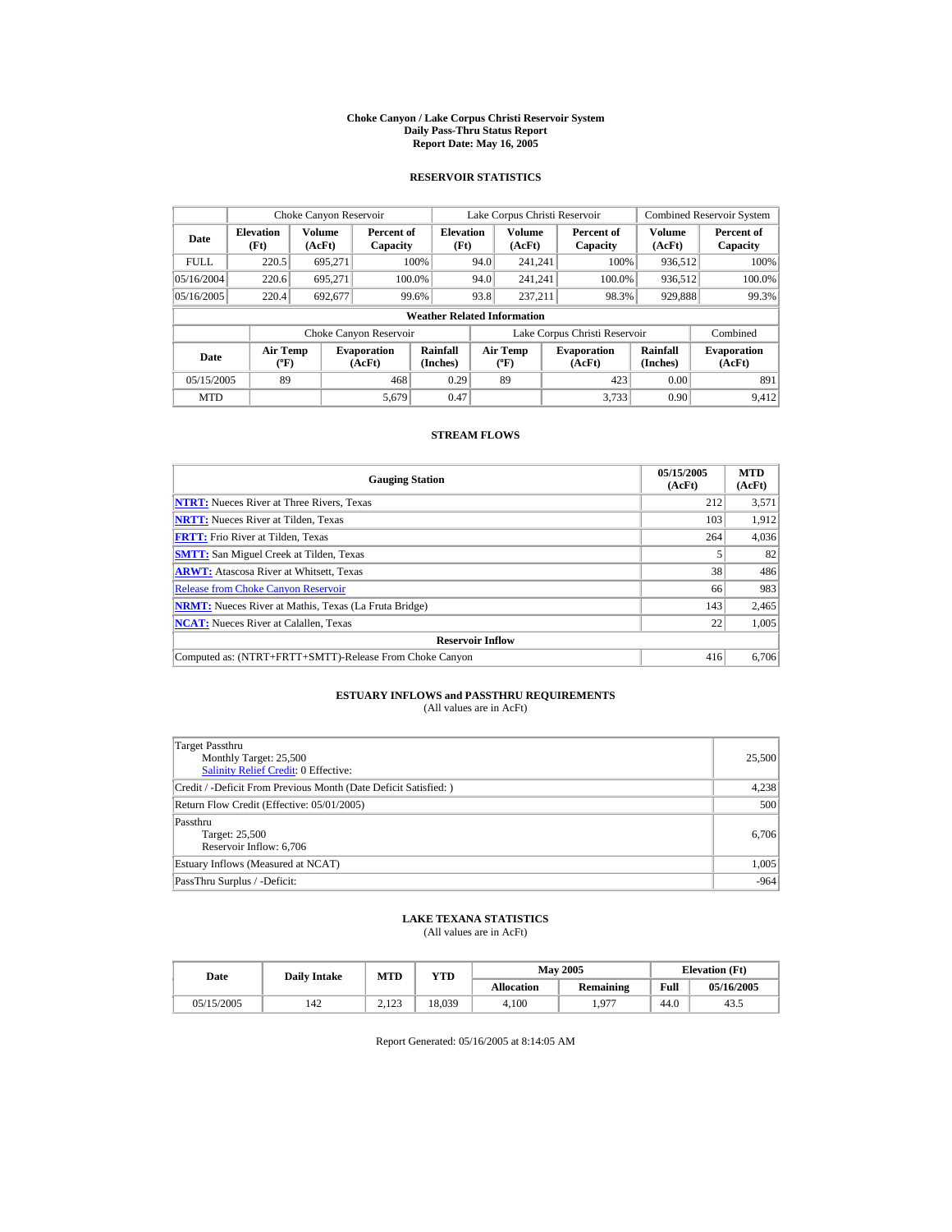#### **Choke Canyon / Lake Corpus Christi Reservoir System Daily Pass-Thru Status Report Report Date: May 16, 2005**

## **RESERVOIR STATISTICS**

|             | Choke Canyon Reservoir                      |                  |                              |                          | Lake Corpus Christi Reservoir |                                          |  |                               |                      | <b>Combined Reservoir System</b> |  |  |
|-------------|---------------------------------------------|------------------|------------------------------|--------------------------|-------------------------------|------------------------------------------|--|-------------------------------|----------------------|----------------------------------|--|--|
| Date        | <b>Elevation</b><br>(Ft)                    | Volume<br>(AcFt) | Percent of<br>Capacity       | <b>Elevation</b><br>(Ft) |                               | <b>Volume</b><br>(AcFt)                  |  | Percent of<br>Capacity        | Volume<br>(AcFt)     | Percent of<br>Capacity           |  |  |
| <b>FULL</b> | 220.5                                       | 695.271          |                              | 100%                     | 94.0                          | 241.241                                  |  | 100%                          | 936.512              | 100%                             |  |  |
| 05/16/2004  | 220.6                                       | 695.271          |                              | 100.0%                   | 94.0                          | 241.241                                  |  | 100.0%                        | 936,512              | 100.0%                           |  |  |
| 05/16/2005  | 220.4                                       | 692,677          |                              | 99.6%                    | 93.8                          | 237.211                                  |  | 98.3%                         | 929,888              | 99.3%                            |  |  |
|             | <b>Weather Related Information</b>          |                  |                              |                          |                               |                                          |  |                               |                      |                                  |  |  |
|             |                                             |                  | Choke Canyon Reservoir       |                          |                               |                                          |  | Lake Corpus Christi Reservoir |                      | Combined                         |  |  |
| Date        | <b>Air Temp</b><br>$({}^{\circ}\mathrm{F})$ |                  | <b>Evaporation</b><br>(AcFt) | Rainfall<br>(Inches)     |                               | <b>Air Temp</b><br>$({}^{\circ}{\rm F})$ |  | <b>Evaporation</b><br>(AcFt)  | Rainfall<br>(Inches) | <b>Evaporation</b><br>(AcFt)     |  |  |
| 05/15/2005  | 89                                          |                  | 468                          | 0.29                     |                               | 89                                       |  | 423                           | 0.00                 | 891                              |  |  |
| <b>MTD</b>  |                                             |                  | 5.679                        | 0.47                     |                               |                                          |  | 3.733                         | 0.90                 | 9.412                            |  |  |

## **STREAM FLOWS**

| <b>Gauging Station</b>                                       | 05/15/2005<br>(AcFt) | <b>MTD</b><br>(AcFt) |
|--------------------------------------------------------------|----------------------|----------------------|
| <b>NTRT:</b> Nueces River at Three Rivers, Texas             | 212                  | 3,571                |
| <b>NRTT:</b> Nueces River at Tilden, Texas                   | 103                  | 1.912                |
| <b>FRTT:</b> Frio River at Tilden, Texas                     | 264                  | 4,036                |
| <b>SMTT:</b> San Miguel Creek at Tilden, Texas               |                      | 82                   |
| <b>ARWT:</b> Atascosa River at Whitsett, Texas               | 38                   | 486                  |
| <b>Release from Choke Canyon Reservoir</b>                   | 66                   | 983                  |
| <b>NRMT:</b> Nueces River at Mathis, Texas (La Fruta Bridge) | 143                  | 2.465                |
| <b>NCAT:</b> Nueces River at Calallen, Texas                 | 22                   | 1,005                |
| <b>Reservoir Inflow</b>                                      |                      |                      |
| Computed as: (NTRT+FRTT+SMTT)-Release From Choke Canyon      | 416                  | 6,706                |

# **ESTUARY INFLOWS and PASSTHRU REQUIREMENTS**<br>(All values are in AcFt)

| Target Passthru<br>Monthly Target: 25,500<br>Salinity Relief Credit: 0 Effective: | 25,500 |
|-----------------------------------------------------------------------------------|--------|
| Credit / -Deficit From Previous Month (Date Deficit Satisfied:)                   | 4,238  |
| Return Flow Credit (Effective: 05/01/2005)                                        | 500    |
| Passthru<br>Target: 25,500<br>Reservoir Inflow: 6,706                             | 6,706  |
| Estuary Inflows (Measured at NCAT)                                                | 1,005  |
| PassThru Surplus / -Deficit:                                                      | $-964$ |

## **LAKE TEXANA STATISTICS**

(All values are in AcFt)

| Date       | <b>Daily Intake</b> | MTD             | YTD    |                   | <b>May 2005</b>  | <b>Elevation</b> (Ft) |            |
|------------|---------------------|-----------------|--------|-------------------|------------------|-----------------------|------------|
|            |                     |                 |        | <b>Allocation</b> | <b>Remaining</b> | Full                  | 05/16/2005 |
| 05/15/2005 | 142                 | 2122<br>ر ے ویک | 18.039 | 4.100             | 077              | 44.0                  | 43.5       |

Report Generated: 05/16/2005 at 8:14:05 AM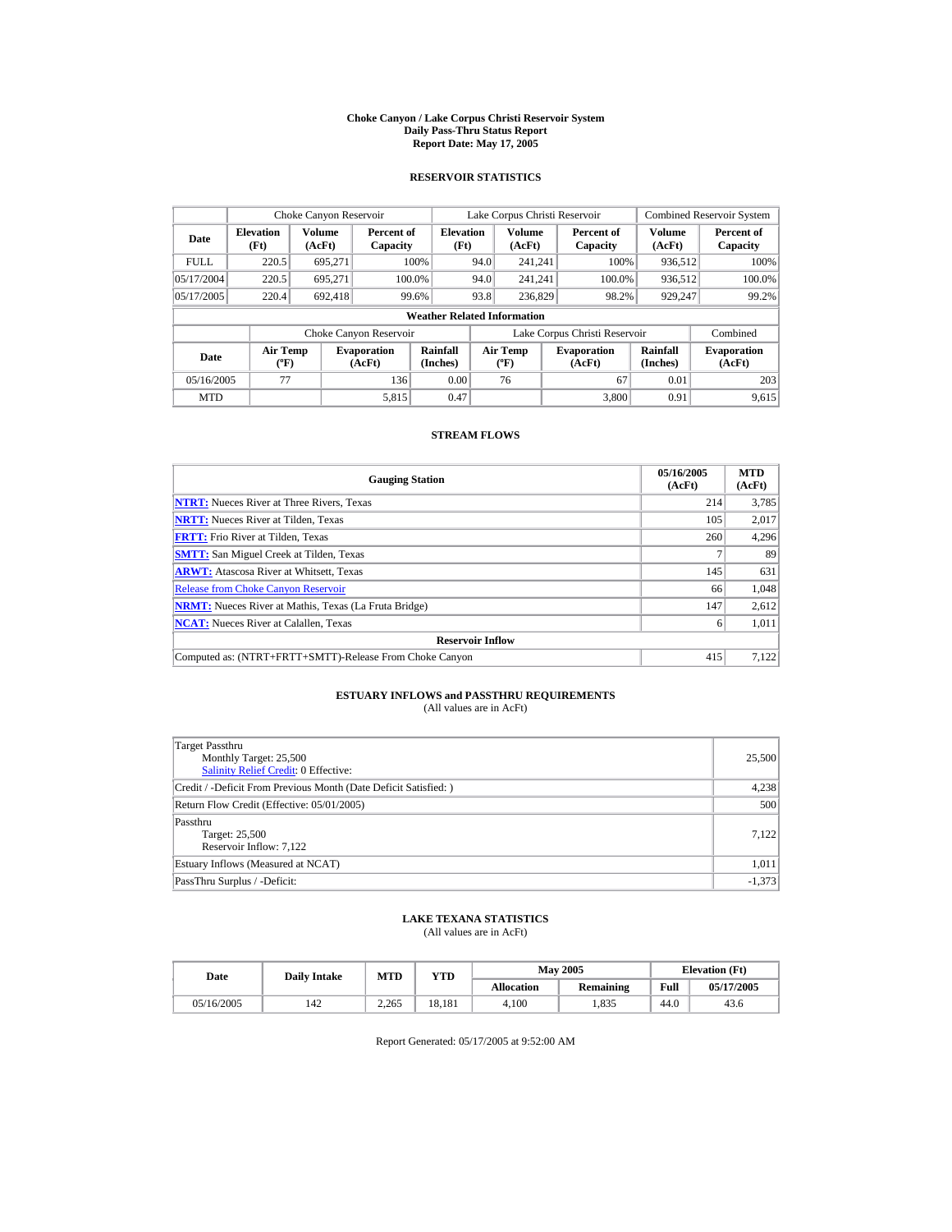#### **Choke Canyon / Lake Corpus Christi Reservoir System Daily Pass-Thru Status Report Report Date: May 17, 2005**

## **RESERVOIR STATISTICS**

|             | Choke Canyon Reservoir             |                  |                              |                          | Lake Corpus Christi Reservoir |                                  |  |                               |                             | <b>Combined Reservoir System</b> |  |  |
|-------------|------------------------------------|------------------|------------------------------|--------------------------|-------------------------------|----------------------------------|--|-------------------------------|-----------------------------|----------------------------------|--|--|
| Date        | <b>Elevation</b><br>(Ft)           | Volume<br>(AcFt) | Percent of<br>Capacity       | <b>Elevation</b><br>(Ft) |                               | Volume<br>(AcFt)                 |  | Percent of<br>Capacity        | Volume<br>(AcFt)            | Percent of<br>Capacity           |  |  |
| <b>FULL</b> | 220.5                              | 695.271          |                              | 100%                     | 94.0                          | 241.241                          |  | 100%                          | 936,512                     | 100%                             |  |  |
| 05/17/2004  | 220.5                              | 695.271          |                              | 100.0%                   | 94.0                          | 241.241                          |  | 100.0%                        | 936,512                     | 100.0%                           |  |  |
| 05/17/2005  | 220.4                              | 692.418          |                              | 99.6%                    | 93.8                          | 236,829                          |  | 98.2%                         | 929,247                     | 99.2%                            |  |  |
|             | <b>Weather Related Information</b> |                  |                              |                          |                               |                                  |  |                               |                             |                                  |  |  |
|             |                                    |                  | Choke Canyon Reservoir       |                          |                               |                                  |  | Lake Corpus Christi Reservoir |                             | Combined                         |  |  |
| Date        | <b>Air Temp</b><br>$(^{\circ}F)$   |                  | <b>Evaporation</b><br>(AcFt) | Rainfall<br>(Inches)     |                               | <b>Air Temp</b><br>$(^{\circ}F)$ |  | <b>Evaporation</b><br>(AcFt)  | <b>Rainfall</b><br>(Inches) | <b>Evaporation</b><br>(AcFt)     |  |  |
| 05/16/2005  | 77                                 |                  | 136                          | 0.00                     |                               | 76                               |  | 67                            | 0.01                        | 203                              |  |  |
| <b>MTD</b>  |                                    |                  | 5.815                        | 0.47                     |                               |                                  |  | 3.800                         | 0.91                        | 9.615                            |  |  |

## **STREAM FLOWS**

| <b>Gauging Station</b>                                       | 05/16/2005<br>(AcFt) | <b>MTD</b><br>(AcFt) |
|--------------------------------------------------------------|----------------------|----------------------|
| <b>NTRT:</b> Nueces River at Three Rivers, Texas             | 214                  | 3,785                |
| <b>NRTT:</b> Nueces River at Tilden, Texas                   | 105                  | 2,017                |
| <b>FRTT:</b> Frio River at Tilden, Texas                     | 260                  | 4,296                |
| <b>SMTT:</b> San Miguel Creek at Tilden, Texas               |                      | 89                   |
| <b>ARWT:</b> Atascosa River at Whitsett, Texas               | 145                  | 631                  |
| <b>Release from Choke Canyon Reservoir</b>                   | 66                   | 1.048                |
| <b>NRMT:</b> Nueces River at Mathis, Texas (La Fruta Bridge) | 147                  | 2,612                |
| <b>NCAT:</b> Nueces River at Calallen, Texas                 | 6                    | 1,011                |
| <b>Reservoir Inflow</b>                                      |                      |                      |
| Computed as: (NTRT+FRTT+SMTT)-Release From Choke Canyon      | 415                  | 7,122                |

# **ESTUARY INFLOWS and PASSTHRU REQUIREMENTS**<br>(All values are in AcFt)

| Target Passthru<br>Monthly Target: 25,500<br>Salinity Relief Credit: 0 Effective: | 25,500   |
|-----------------------------------------------------------------------------------|----------|
| Credit / -Deficit From Previous Month (Date Deficit Satisfied:)                   | 4,238    |
| Return Flow Credit (Effective: 05/01/2005)                                        | 500      |
| Passthru<br>Target: 25,500<br>Reservoir Inflow: 7,122                             | 7.122    |
| Estuary Inflows (Measured at NCAT)                                                | 1,011    |
| PassThru Surplus / -Deficit:                                                      | $-1,373$ |

## **LAKE TEXANA STATISTICS**

(All values are in AcFt)

| Date       | <b>Daily Intake</b> | <b>MTD</b> | $_{\rm VTD}$ |                   | <b>May 2005</b> | <b>Elevation</b> (Ft) |            |
|------------|---------------------|------------|--------------|-------------------|-----------------|-----------------------|------------|
|            |                     |            |              | <b>Allocation</b> | Remaining       | Full                  | 05/17/2005 |
| 05/16/2005 | 142                 | 2.265      | 18.181       | 4.100             | .835            | 44.0                  | 43.6       |

Report Generated: 05/17/2005 at 9:52:00 AM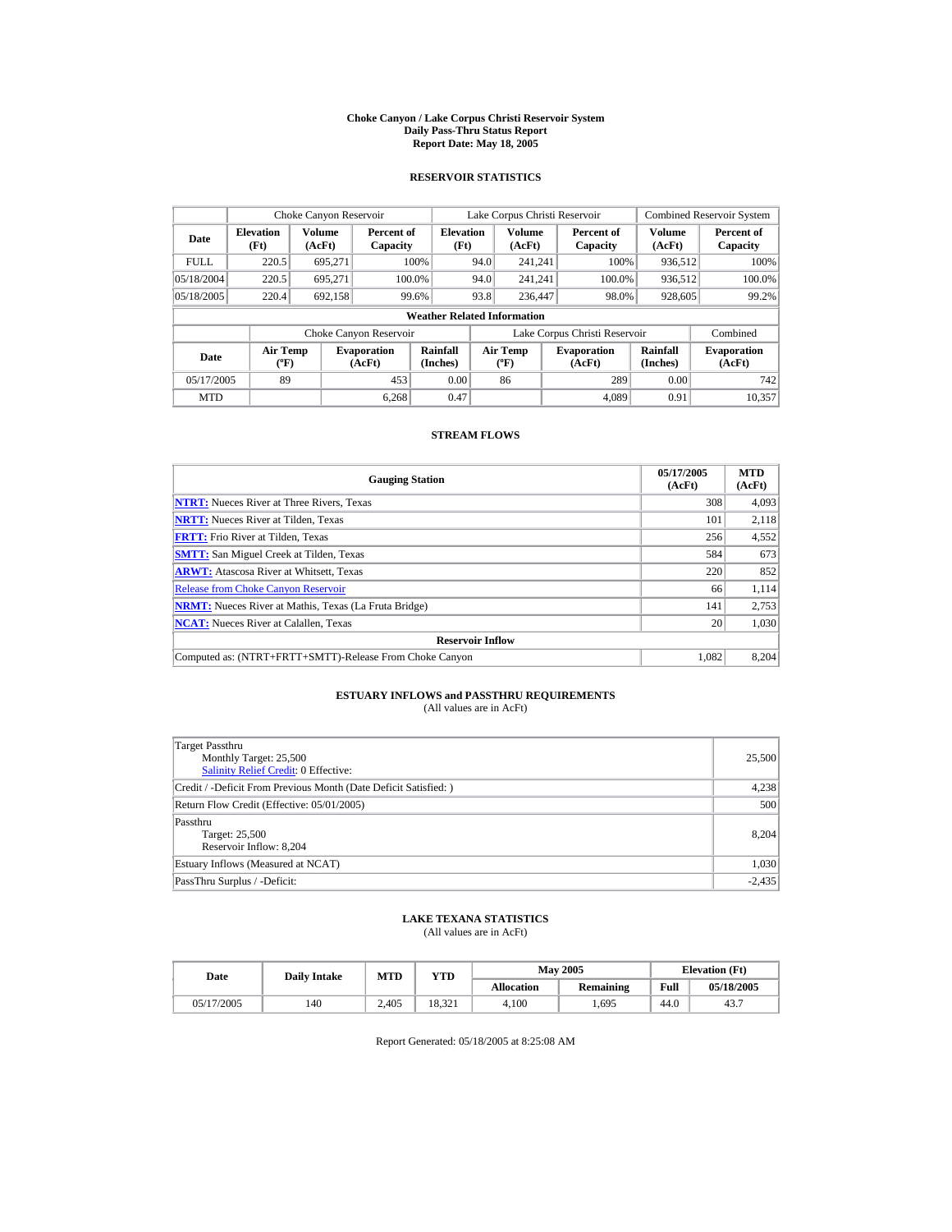#### **Choke Canyon / Lake Corpus Christi Reservoir System Daily Pass-Thru Status Report Report Date: May 18, 2005**

## **RESERVOIR STATISTICS**

|             | Choke Canyon Reservoir                      |                  |                              |                             | Lake Corpus Christi Reservoir |                                          |  |                               |                      | <b>Combined Reservoir System</b> |  |  |
|-------------|---------------------------------------------|------------------|------------------------------|-----------------------------|-------------------------------|------------------------------------------|--|-------------------------------|----------------------|----------------------------------|--|--|
| Date        | <b>Elevation</b><br>(Ft)                    | Volume<br>(AcFt) | Percent of<br>Capacity       | <b>Elevation</b><br>(Ft)    |                               | <b>Volume</b><br>(AcFt)                  |  | Percent of<br>Capacity        | Volume<br>(AcFt)     | Percent of<br>Capacity           |  |  |
| <b>FULL</b> | 220.5                                       | 695.271          |                              | 100%                        | 94.0                          | 241.241                                  |  | 100%                          | 936.512              | 100%                             |  |  |
| 05/18/2004  | 220.5                                       | 695.271          |                              | 100.0%                      | 94.0                          | 241.241                                  |  | 100.0%                        | 936,512              | 100.0%                           |  |  |
| 05/18/2005  | 220.4                                       | 692,158          |                              | 99.6%                       | 93.8                          | 236,447                                  |  | 98.0%                         | 928,605              | 99.2%                            |  |  |
|             | <b>Weather Related Information</b>          |                  |                              |                             |                               |                                          |  |                               |                      |                                  |  |  |
|             |                                             |                  | Choke Canyon Reservoir       |                             |                               |                                          |  | Lake Corpus Christi Reservoir |                      | Combined                         |  |  |
| Date        | <b>Air Temp</b><br>$({}^{\circ}\mathrm{F})$ |                  | <b>Evaporation</b><br>(AcFt) | <b>Rainfall</b><br>(Inches) |                               | <b>Air Temp</b><br>$({}^{\circ}{\rm F})$ |  | <b>Evaporation</b><br>(AcFt)  | Rainfall<br>(Inches) | <b>Evaporation</b><br>(AcFt)     |  |  |
| 05/17/2005  | 89                                          |                  | 453                          | 0.00                        |                               | 86                                       |  | 289                           | 0.00                 | 742                              |  |  |
| <b>MTD</b>  |                                             |                  | 6.268                        | 0.47                        |                               |                                          |  | 4.089                         | 0.91                 | 10.357                           |  |  |

## **STREAM FLOWS**

| <b>Gauging Station</b>                                       | 05/17/2005<br>(AcFt) | <b>MTD</b><br>(AcFt) |
|--------------------------------------------------------------|----------------------|----------------------|
| <b>NTRT:</b> Nueces River at Three Rivers, Texas             | 308                  | 4.093                |
| <b>NRTT:</b> Nueces River at Tilden, Texas                   | 101                  | 2.118                |
| <b>FRTT:</b> Frio River at Tilden, Texas                     | 256                  | 4,552                |
| <b>SMTT:</b> San Miguel Creek at Tilden, Texas               | 584                  | 673                  |
| <b>ARWT:</b> Atascosa River at Whitsett, Texas               | 220                  | 852                  |
| <b>Release from Choke Canvon Reservoir</b>                   | 66                   | 1.114                |
| <b>NRMT:</b> Nueces River at Mathis, Texas (La Fruta Bridge) | 141                  | 2,753                |
| <b>NCAT:</b> Nueces River at Calallen, Texas                 | 20                   | 1,030                |
| <b>Reservoir Inflow</b>                                      |                      |                      |
| Computed as: (NTRT+FRTT+SMTT)-Release From Choke Canyon      | 1.082                | 8.204                |

# **ESTUARY INFLOWS and PASSTHRU REQUIREMENTS**<br>(All values are in AcFt)

| Target Passthru<br>Monthly Target: 25,500<br>Salinity Relief Credit: 0 Effective: | 25,500   |
|-----------------------------------------------------------------------------------|----------|
| Credit / -Deficit From Previous Month (Date Deficit Satisfied:)                   | 4,238    |
| Return Flow Credit (Effective: 05/01/2005)                                        | 500      |
| Passthru<br>Target: 25,500<br>Reservoir Inflow: 8,204                             | 8.204    |
| Estuary Inflows (Measured at NCAT)                                                | 1,030    |
| PassThru Surplus / -Deficit:                                                      | $-2,435$ |

## **LAKE TEXANA STATISTICS**

(All values are in AcFt)

| Date       | <b>Daily Intake</b> | <b>MTD</b> | $\mathbf{v_{TD}}$ |                   | <b>May 2005</b> | <b>Elevation</b> (Ft) |            |
|------------|---------------------|------------|-------------------|-------------------|-----------------|-----------------------|------------|
|            |                     |            |                   | <b>Allocation</b> | Remaining       | Full                  | 05/18/2005 |
| 05/17/2005 | 140                 | 2.405      | 18.321            | 4.100             | .695            | 44.0                  | 43.7       |

Report Generated: 05/18/2005 at 8:25:08 AM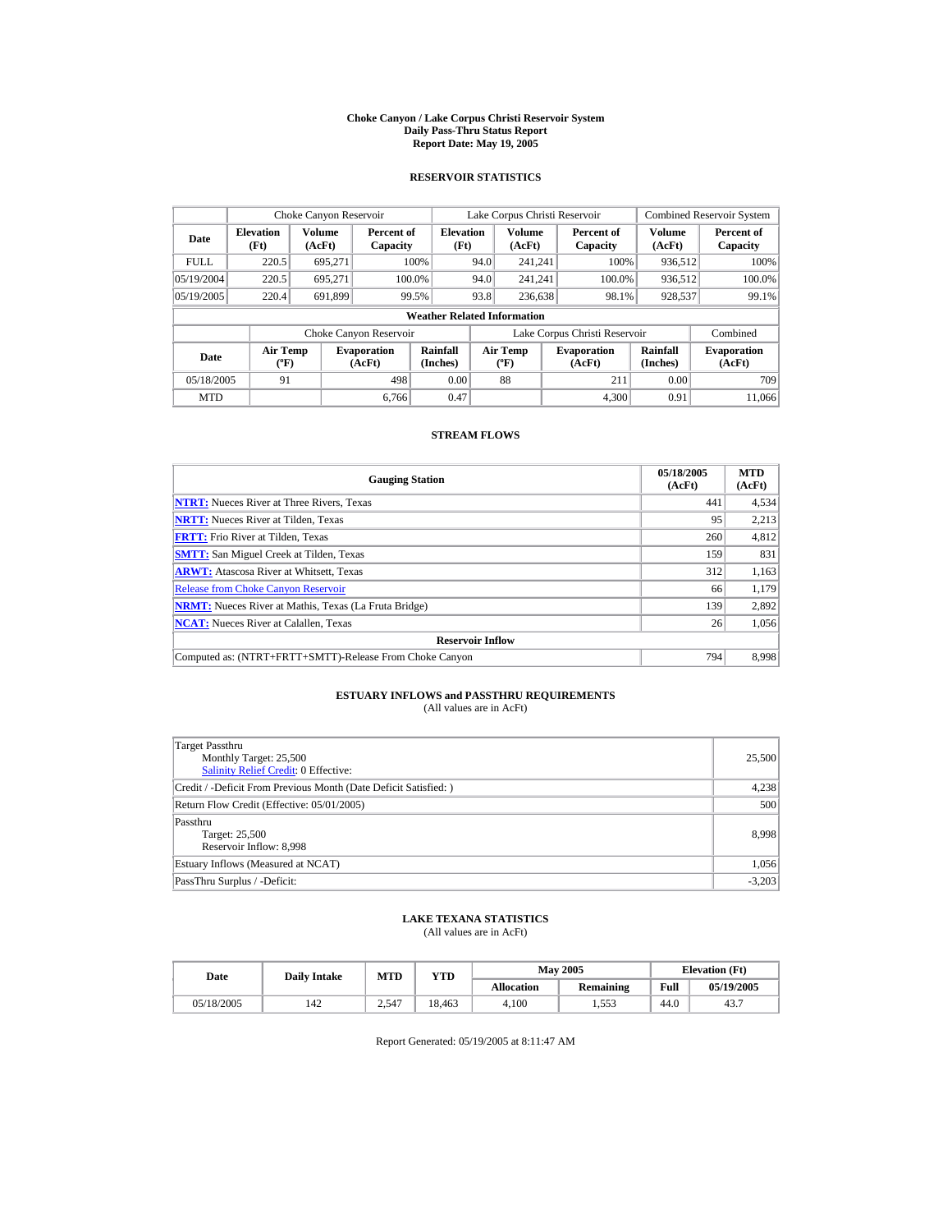#### **Choke Canyon / Lake Corpus Christi Reservoir System Daily Pass-Thru Status Report Report Date: May 19, 2005**

## **RESERVOIR STATISTICS**

|             | Choke Canyon Reservoir                      |                  |                              |                          | Lake Corpus Christi Reservoir |                                          |  |                               |                      | <b>Combined Reservoir System</b> |  |  |
|-------------|---------------------------------------------|------------------|------------------------------|--------------------------|-------------------------------|------------------------------------------|--|-------------------------------|----------------------|----------------------------------|--|--|
| Date        | <b>Elevation</b><br>(Ft)                    | Volume<br>(AcFt) | Percent of<br>Capacity       | <b>Elevation</b><br>(Ft) |                               | <b>Volume</b><br>(AcFt)                  |  | Percent of<br>Capacity        | Volume<br>(AcFt)     | Percent of<br>Capacity           |  |  |
| <b>FULL</b> | 220.5                                       | 695.271          |                              | 100%                     | 94.0                          | 241.241                                  |  | 100%                          | 936.512              | 100%                             |  |  |
| 05/19/2004  | 220.5                                       | 695.271          |                              | 100.0%                   | 94.0                          | 241.241                                  |  | 100.0%                        | 936,512              | 100.0%                           |  |  |
| 05/19/2005  | 220.4                                       | 691,899          |                              | 99.5%                    | 93.8                          | 236,638                                  |  | 98.1%                         | 928,537              | 99.1%                            |  |  |
|             | <b>Weather Related Information</b>          |                  |                              |                          |                               |                                          |  |                               |                      |                                  |  |  |
|             |                                             |                  | Choke Canyon Reservoir       |                          |                               |                                          |  | Lake Corpus Christi Reservoir |                      | Combined                         |  |  |
| Date        | <b>Air Temp</b><br>$({}^{\circ}\mathrm{F})$ |                  | <b>Evaporation</b><br>(AcFt) | Rainfall<br>(Inches)     |                               | <b>Air Temp</b><br>$({}^{\circ}{\rm F})$ |  | <b>Evaporation</b><br>(AcFt)  | Rainfall<br>(Inches) | <b>Evaporation</b><br>(AcFt)     |  |  |
| 05/18/2005  | 91                                          |                  | 498                          | 0.00                     |                               | 88                                       |  | 211                           | 0.00                 | 709                              |  |  |
| <b>MTD</b>  |                                             |                  | 6.766                        | 0.47                     |                               |                                          |  | 4.300                         | 0.91                 | 11.066                           |  |  |

## **STREAM FLOWS**

| <b>Gauging Station</b>                                       | 05/18/2005<br>(AcFt) | <b>MTD</b><br>(AcFt) |
|--------------------------------------------------------------|----------------------|----------------------|
| <b>NTRT:</b> Nueces River at Three Rivers, Texas             | 441                  | 4,534                |
| <b>NRTT:</b> Nueces River at Tilden, Texas                   | 95                   | 2.213                |
| <b>FRTT:</b> Frio River at Tilden, Texas                     | 260                  | 4,812                |
| <b>SMTT:</b> San Miguel Creek at Tilden, Texas               | 159                  | 831                  |
| <b>ARWT:</b> Atascosa River at Whitsett, Texas               | 312                  | 1,163                |
| <b>Release from Choke Canyon Reservoir</b>                   | 66                   | 1,179                |
| <b>NRMT:</b> Nueces River at Mathis, Texas (La Fruta Bridge) | 139                  | 2.892                |
| <b>NCAT:</b> Nueces River at Calallen, Texas                 | 26                   | 1,056                |
| <b>Reservoir Inflow</b>                                      |                      |                      |
| Computed as: (NTRT+FRTT+SMTT)-Release From Choke Canyon      | 794                  | 8.998                |

# **ESTUARY INFLOWS and PASSTHRU REQUIREMENTS**<br>(All values are in AcFt)

| Target Passthru<br>Monthly Target: 25,500<br>Salinity Relief Credit: 0 Effective: | 25,500   |
|-----------------------------------------------------------------------------------|----------|
| Credit / -Deficit From Previous Month (Date Deficit Satisfied:)                   | 4,238    |
| Return Flow Credit (Effective: 05/01/2005)                                        | 500      |
| Passthru<br>Target: 25,500<br>Reservoir Inflow: 8,998                             | 8.998    |
| Estuary Inflows (Measured at NCAT)                                                | 1,056    |
| PassThru Surplus / -Deficit:                                                      | $-3,203$ |

## **LAKE TEXANA STATISTICS**

(All values are in AcFt)

| Date       | <b>Daily Intake</b> | MTD   | YTD    |                   | <b>May 2005</b>  | <b>Elevation</b> (Ft) |            |
|------------|---------------------|-------|--------|-------------------|------------------|-----------------------|------------|
|            |                     |       |        | <b>Allocation</b> | <b>Remaining</b> | Full                  | 05/19/2005 |
| 05/18/2005 | 142                 | 2.547 | 18.463 | 4.100             | .553             | 44.0                  | 43.7       |

Report Generated: 05/19/2005 at 8:11:47 AM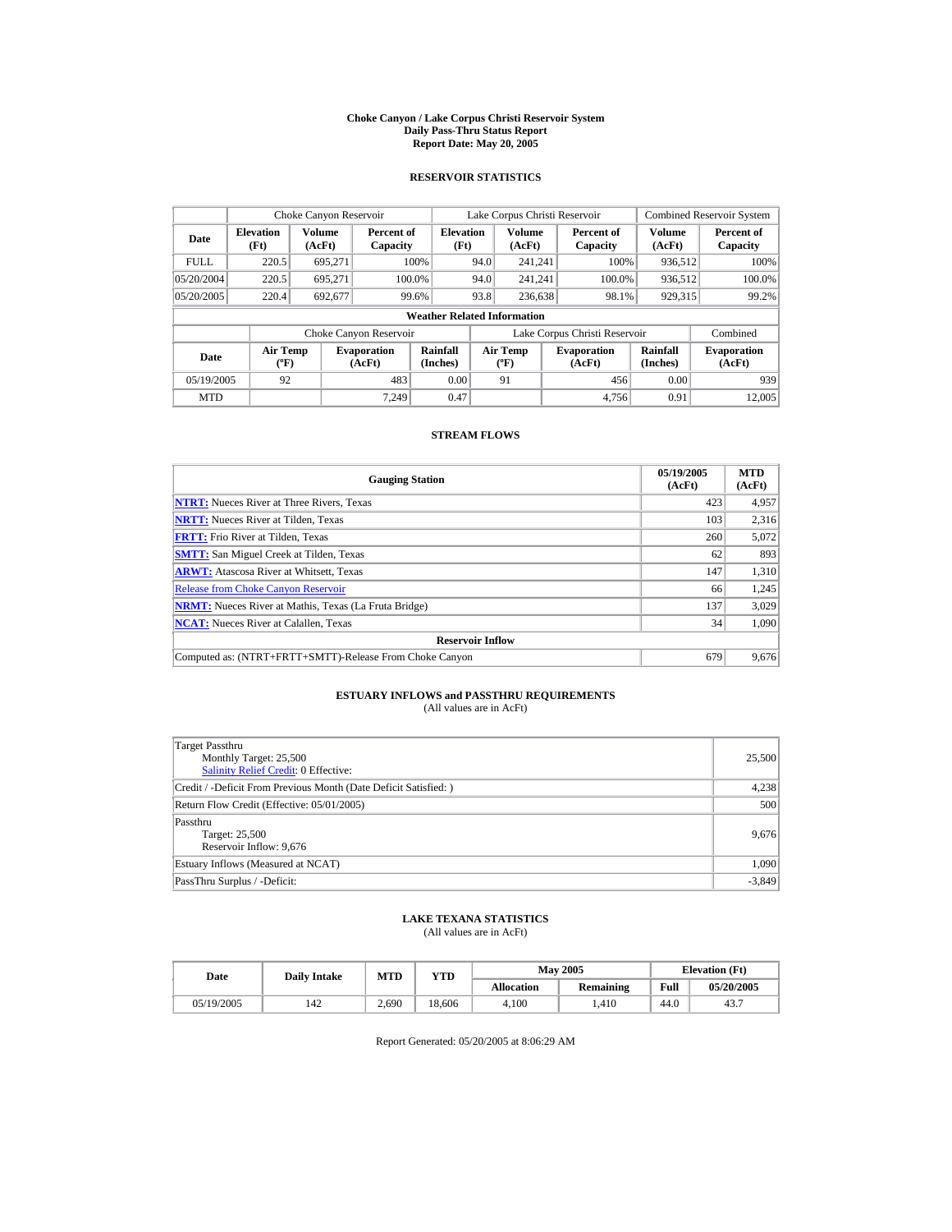#### **Choke Canyon / Lake Corpus Christi Reservoir System Daily Pass-Thru Status Report Report Date: May 20, 2005**

## **RESERVOIR STATISTICS**

|             | Choke Canyon Reservoir                      |                  |                              |                          | Lake Corpus Christi Reservoir |                                          |  |                               |                      | <b>Combined Reservoir System</b> |  |  |
|-------------|---------------------------------------------|------------------|------------------------------|--------------------------|-------------------------------|------------------------------------------|--|-------------------------------|----------------------|----------------------------------|--|--|
| Date        | <b>Elevation</b><br>(Ft)                    | Volume<br>(AcFt) | Percent of<br>Capacity       | <b>Elevation</b><br>(Ft) |                               | <b>Volume</b><br>(AcFt)                  |  | Percent of<br>Capacity        | Volume<br>(AcFt)     | Percent of<br>Capacity           |  |  |
| <b>FULL</b> | 220.5                                       | 695.271          |                              | 100%                     | 94.0                          | 241.241                                  |  | 100%                          | 936.512              | 100%                             |  |  |
| 05/20/2004  | 220.5                                       | 695.271          |                              | 100.0%                   | 94.0                          | 241.241                                  |  | 100.0%                        | 936,512              | 100.0%                           |  |  |
| 05/20/2005  | 220.4                                       | 692,677          |                              | 99.6%                    | 93.8                          | 236,638                                  |  | 98.1%                         | 929,315              | 99.2%                            |  |  |
|             | <b>Weather Related Information</b>          |                  |                              |                          |                               |                                          |  |                               |                      |                                  |  |  |
|             |                                             |                  | Choke Canyon Reservoir       |                          |                               |                                          |  | Lake Corpus Christi Reservoir |                      | Combined                         |  |  |
| Date        | <b>Air Temp</b><br>$({}^{\circ}\mathrm{F})$ |                  | <b>Evaporation</b><br>(AcFt) | Rainfall<br>(Inches)     |                               | <b>Air Temp</b><br>$({}^{\circ}{\rm F})$ |  | <b>Evaporation</b><br>(AcFt)  | Rainfall<br>(Inches) | <b>Evaporation</b><br>(AcFt)     |  |  |
| 05/19/2005  | 92                                          |                  | 483                          | 0.00                     |                               | 91                                       |  | 456                           | 0.00                 | 939                              |  |  |
| <b>MTD</b>  |                                             |                  | 7.249                        | 0.47                     |                               |                                          |  | 4.756                         | 0.91                 | 12,005                           |  |  |

## **STREAM FLOWS**

| <b>Gauging Station</b>                                       | 05/19/2005<br>(AcFt) | <b>MTD</b><br>(AcFt) |
|--------------------------------------------------------------|----------------------|----------------------|
| <b>NTRT:</b> Nueces River at Three Rivers, Texas             | 423                  | 4,957                |
| <b>NRTT:</b> Nueces River at Tilden, Texas                   | 103                  | 2.316                |
| <b>FRTT:</b> Frio River at Tilden, Texas                     | 260                  | 5,072                |
| <b>SMTT:</b> San Miguel Creek at Tilden, Texas               | 62                   | 893                  |
| <b>ARWT:</b> Atascosa River at Whitsett, Texas               | 147                  | 1,310                |
| <b>Release from Choke Canvon Reservoir</b>                   | 66                   | 1,245                |
| <b>NRMT:</b> Nueces River at Mathis, Texas (La Fruta Bridge) | 137                  | 3,029                |
| <b>NCAT:</b> Nueces River at Calallen, Texas                 | 34                   | 1,090                |
| <b>Reservoir Inflow</b>                                      |                      |                      |
| Computed as: (NTRT+FRTT+SMTT)-Release From Choke Canyon      | 679                  | 9.676                |

# **ESTUARY INFLOWS and PASSTHRU REQUIREMENTS**<br>(All values are in AcFt)

| Target Passthru<br>Monthly Target: 25,500<br>Salinity Relief Credit: 0 Effective: | 25,500   |
|-----------------------------------------------------------------------------------|----------|
| Credit / -Deficit From Previous Month (Date Deficit Satisfied:)                   | 4,238    |
| Return Flow Credit (Effective: 05/01/2005)                                        | 500      |
| Passthru<br>Target: 25,500<br>Reservoir Inflow: 9,676                             | 9,676    |
| Estuary Inflows (Measured at NCAT)                                                | 1,090    |
| PassThru Surplus / -Deficit:                                                      | $-3,849$ |

## **LAKE TEXANA STATISTICS**

(All values are in AcFt)

| Date       | <b>Daily Intake</b> | <b>MTD</b> | $_{\rm VTD}$ |                   | <b>May 2005</b> | <b>Elevation</b> (Ft) |            |
|------------|---------------------|------------|--------------|-------------------|-----------------|-----------------------|------------|
|            |                     |            |              | <b>Allocation</b> | Remaining       | Full                  | 05/20/2005 |
| 05/19/2005 | 142                 | 2.690      | 18.606       | 4.100             | .410            | 44.0                  | 43.7       |

Report Generated: 05/20/2005 at 8:06:29 AM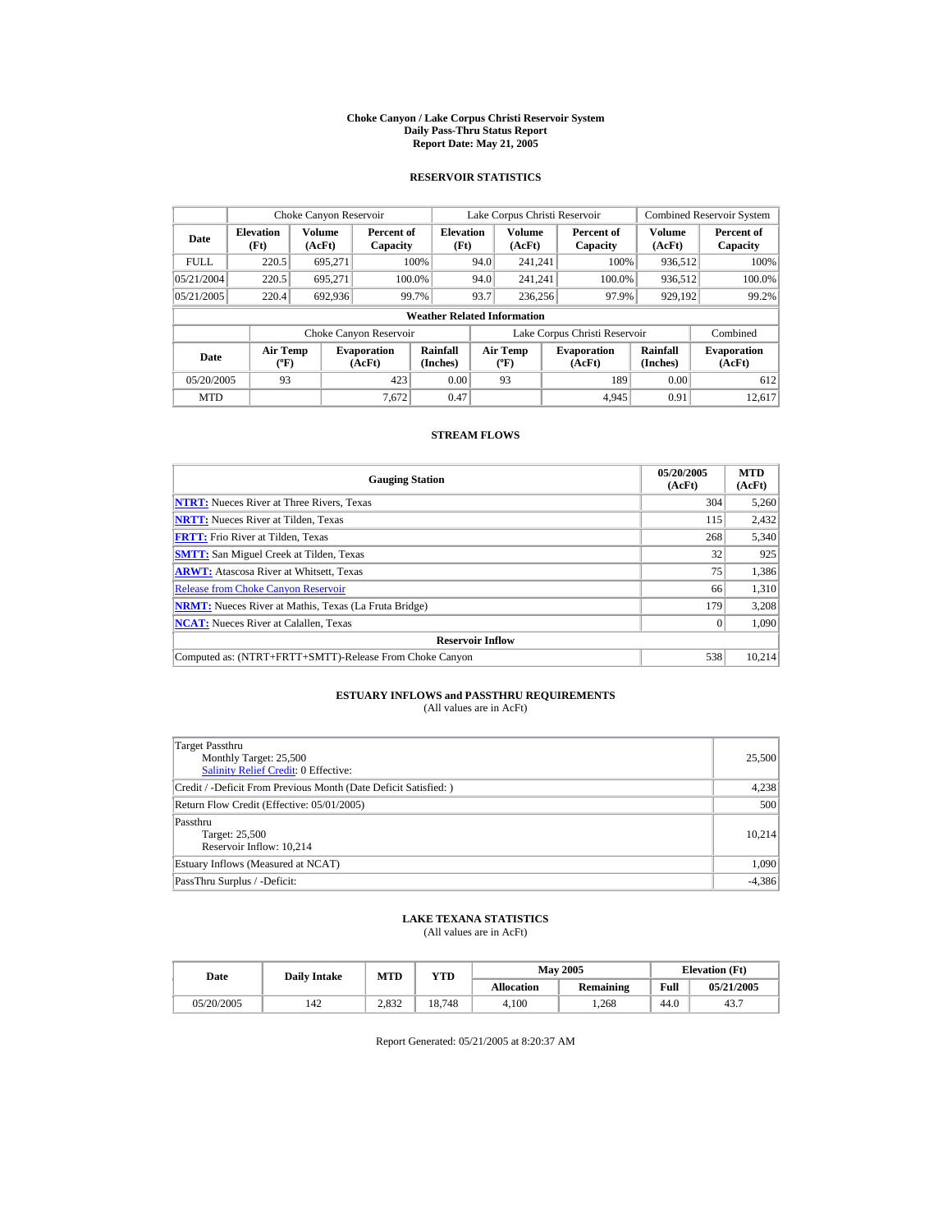#### **Choke Canyon / Lake Corpus Christi Reservoir System Daily Pass-Thru Status Report Report Date: May 21, 2005**

## **RESERVOIR STATISTICS**

|             | Choke Canyon Reservoir                      |                         |                              |                          | Lake Corpus Christi Reservoir |                                   |  |                               |                         | <b>Combined Reservoir System</b> |  |  |
|-------------|---------------------------------------------|-------------------------|------------------------------|--------------------------|-------------------------------|-----------------------------------|--|-------------------------------|-------------------------|----------------------------------|--|--|
| Date        | <b>Elevation</b><br>(Ft)                    | <b>Volume</b><br>(AcFt) | Percent of<br>Capacity       | <b>Elevation</b><br>(Ft) |                               | <b>Volume</b><br>(AcFt)           |  | Percent of<br>Capacity        | <b>Volume</b><br>(AcFt) | Percent of<br>Capacity           |  |  |
| <b>FULL</b> | 220.5                                       | 695.271                 |                              | 100%                     | 94.0                          | 241.241                           |  | 100%                          | 936,512                 | 100%                             |  |  |
| 05/21/2004  | 220.5                                       | 695.271                 | 100.0%                       |                          | 94.0                          | 241.241                           |  | 100.0%                        | 936,512                 | 100.0%                           |  |  |
| 05/21/2005  | 220.4                                       | 692,936                 |                              | 99.7%                    | 93.7                          | 236,256                           |  | 97.9%                         | 929,192                 | 99.2%                            |  |  |
|             | <b>Weather Related Information</b>          |                         |                              |                          |                               |                                   |  |                               |                         |                                  |  |  |
|             |                                             |                         | Choke Canyon Reservoir       |                          |                               |                                   |  | Lake Corpus Christi Reservoir |                         | Combined                         |  |  |
| Date        | <b>Air Temp</b><br>$({}^{\circ}\mathrm{F})$ |                         | <b>Evaporation</b><br>(AcFt) | Rainfall<br>(Inches)     |                               | Air Temp<br>$({}^{\circ}{\rm F})$ |  | <b>Evaporation</b><br>(AcFt)  | Rainfall<br>(Inches)    | <b>Evaporation</b><br>(AcFt)     |  |  |
| 05/20/2005  | 93                                          |                         | 423                          | 0.00                     |                               | 93                                |  | 189                           | 0.00                    | 612                              |  |  |
| <b>MTD</b>  |                                             |                         | 7.672                        | 0.47                     |                               |                                   |  | 4.945                         | 0.91                    | 12.617                           |  |  |

## **STREAM FLOWS**

| <b>Gauging Station</b>                                       | 05/20/2005<br>(AcFt) | <b>MTD</b><br>(AcFt) |
|--------------------------------------------------------------|----------------------|----------------------|
| <b>NTRT:</b> Nueces River at Three Rivers, Texas             | 304                  | 5,260                |
| <b>NRTT:</b> Nueces River at Tilden, Texas                   | 115                  | 2,432                |
| <b>FRTT:</b> Frio River at Tilden, Texas                     | 268                  | 5,340                |
| <b>SMTT:</b> San Miguel Creek at Tilden, Texas               | 32                   | 925                  |
| <b>ARWT:</b> Atascosa River at Whitsett, Texas               | 75                   | 1,386                |
| <b>Release from Choke Canvon Reservoir</b>                   | 66                   | 1,310                |
| <b>NRMT:</b> Nueces River at Mathis, Texas (La Fruta Bridge) | 179                  | 3,208                |
| <b>NCAT:</b> Nueces River at Calallen, Texas                 |                      | 1.090                |
| <b>Reservoir Inflow</b>                                      |                      |                      |
| Computed as: (NTRT+FRTT+SMTT)-Release From Choke Canyon      | 538                  | 10.214               |

# **ESTUARY INFLOWS and PASSTHRU REQUIREMENTS**<br>(All values are in AcFt)

| Target Passthru<br>Monthly Target: 25,500<br>Salinity Relief Credit: 0 Effective: | 25,500   |
|-----------------------------------------------------------------------------------|----------|
| Credit / -Deficit From Previous Month (Date Deficit Satisfied:)                   | 4,238    |
| Return Flow Credit (Effective: 05/01/2005)                                        | 500      |
| Passthru<br>Target: 25,500<br>Reservoir Inflow: 10.214                            | 10.214   |
| Estuary Inflows (Measured at NCAT)                                                | 1,090    |
| PassThru Surplus / -Deficit:                                                      | $-4,386$ |

## **LAKE TEXANA STATISTICS**

(All values are in AcFt)

| Date       | <b>Daily Intake</b> | <b>MTD</b> | $_{\rm VTD}$ |                   | <b>May 2005</b> | <b>Elevation</b> (Ft) |            |
|------------|---------------------|------------|--------------|-------------------|-----------------|-----------------------|------------|
|            |                     |            |              | <b>Allocation</b> | Remaining       | Full                  | 05/21/2005 |
| 05/20/2005 | 142                 | 2.832      | 18.748       | 4.100             | .268            | 44.0                  | 43.7       |

Report Generated: 05/21/2005 at 8:20:37 AM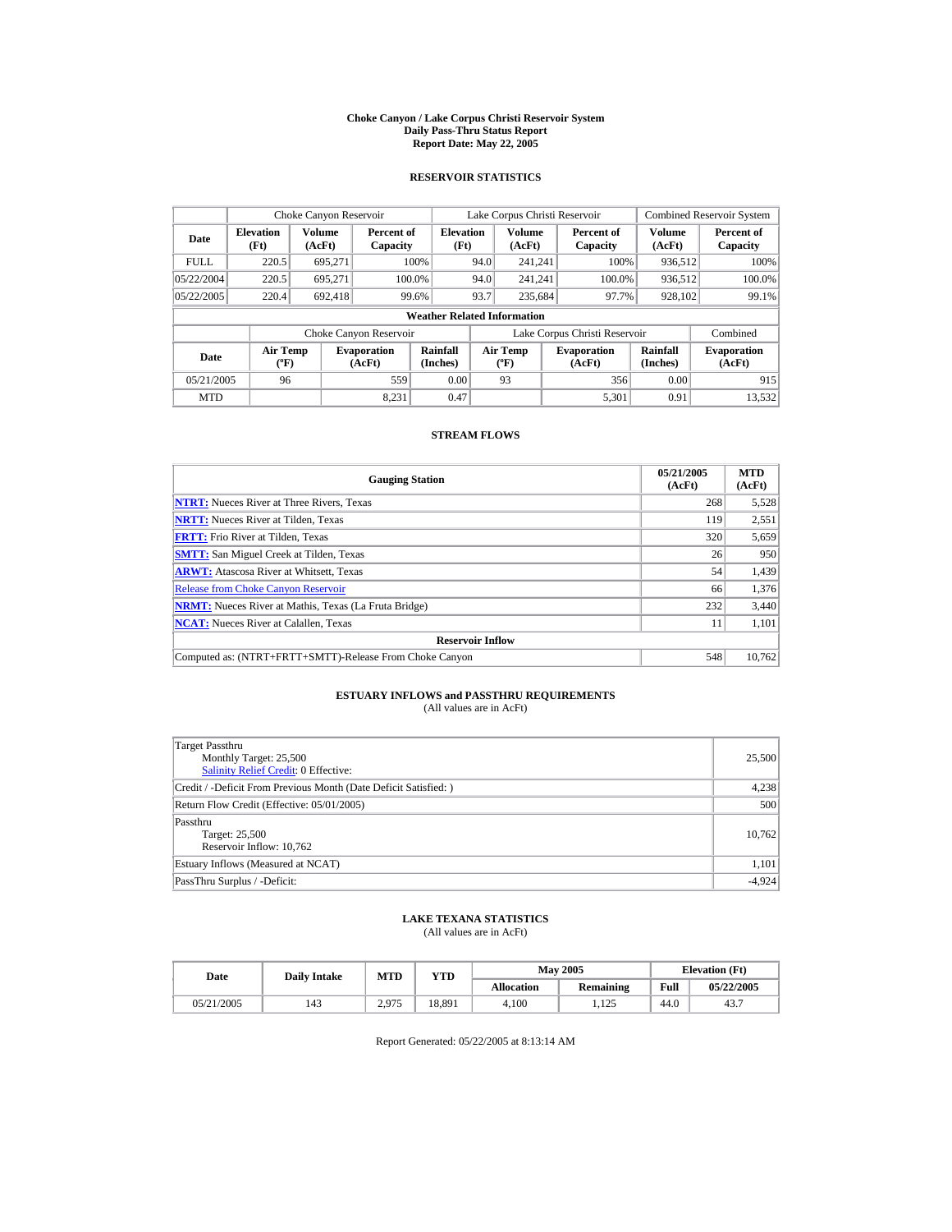#### **Choke Canyon / Lake Corpus Christi Reservoir System Daily Pass-Thru Status Report Report Date: May 22, 2005**

## **RESERVOIR STATISTICS**

|             | Choke Canyon Reservoir                      |                  |                              |                          | Lake Corpus Christi Reservoir            |                         |  |                               |                      | <b>Combined Reservoir System</b> |  |  |
|-------------|---------------------------------------------|------------------|------------------------------|--------------------------|------------------------------------------|-------------------------|--|-------------------------------|----------------------|----------------------------------|--|--|
| Date        | <b>Elevation</b><br>(Ft)                    | Volume<br>(AcFt) | Percent of<br>Capacity       | <b>Elevation</b><br>(Ft) |                                          | <b>Volume</b><br>(AcFt) |  | Percent of<br>Capacity        | Volume<br>(AcFt)     | Percent of<br>Capacity           |  |  |
| <b>FULL</b> | 220.5                                       | 695.271          |                              | 100%                     | 94.0                                     | 241.241                 |  | 100%                          | 936.512              | 100%                             |  |  |
| 05/22/2004  | 220.5                                       | 695.271          |                              | 100.0%                   | 94.0                                     | 241.241                 |  | 100.0%                        | 936,512              | 100.0%                           |  |  |
| 05/22/2005  | 220.4                                       | 692.418          |                              | 99.6%                    | 93.7                                     | 235.684                 |  | 97.7%                         | 928,102              | 99.1%                            |  |  |
|             | <b>Weather Related Information</b>          |                  |                              |                          |                                          |                         |  |                               |                      |                                  |  |  |
|             |                                             |                  | Choke Canyon Reservoir       |                          |                                          |                         |  | Lake Corpus Christi Reservoir |                      | Combined                         |  |  |
| Date        | <b>Air Temp</b><br>$({}^{\circ}\mathrm{F})$ |                  | <b>Evaporation</b><br>(AcFt) | Rainfall<br>(Inches)     | <b>Air Temp</b><br>$({}^{\circ}{\rm F})$ |                         |  | <b>Evaporation</b><br>(AcFt)  | Rainfall<br>(Inches) | <b>Evaporation</b><br>(AcFt)     |  |  |
| 05/21/2005  | 96                                          |                  | 559                          | 0.00                     |                                          | 93                      |  | 356                           | 0.00                 | 915                              |  |  |
| <b>MTD</b>  |                                             |                  | 8.231                        | 0.47                     |                                          |                         |  | 5.301                         | 0.91                 | 13.532                           |  |  |

## **STREAM FLOWS**

| <b>Gauging Station</b>                                       | 05/21/2005<br>(AcFt) | <b>MTD</b><br>(AcFt) |
|--------------------------------------------------------------|----------------------|----------------------|
| <b>NTRT:</b> Nueces River at Three Rivers, Texas             | 268                  | 5,528                |
| <b>NRTT:</b> Nueces River at Tilden, Texas                   | 119                  | 2,551                |
| <b>FRTT:</b> Frio River at Tilden, Texas                     | 320                  | 5,659                |
| <b>SMTT:</b> San Miguel Creek at Tilden, Texas               | 26                   | 950                  |
| <b>ARWT:</b> Atascosa River at Whitsett, Texas               | 54                   | 1,439                |
| <b>Release from Choke Canyon Reservoir</b>                   | 66                   | 1,376                |
| <b>NRMT:</b> Nueces River at Mathis, Texas (La Fruta Bridge) | 232                  | 3,440                |
| <b>NCAT:</b> Nueces River at Calallen, Texas                 | 11                   | 1.101                |
| <b>Reservoir Inflow</b>                                      |                      |                      |
| Computed as: (NTRT+FRTT+SMTT)-Release From Choke Canyon      | 548                  | 10.762               |

# **ESTUARY INFLOWS and PASSTHRU REQUIREMENTS**<br>(All values are in AcFt)

| Target Passthru<br>Monthly Target: 25,500<br>Salinity Relief Credit: 0 Effective: | 25,500   |
|-----------------------------------------------------------------------------------|----------|
| Credit / -Deficit From Previous Month (Date Deficit Satisfied:)                   | 4,238    |
| Return Flow Credit (Effective: 05/01/2005)                                        | 500      |
| Passthru<br>Target: 25,500<br>Reservoir Inflow: 10,762                            | 10.762   |
| Estuary Inflows (Measured at NCAT)                                                | 1,101    |
| PassThru Surplus / -Deficit:                                                      | $-4,924$ |

## **LAKE TEXANA STATISTICS**

(All values are in AcFt)

| Date       | <b>Daily Intake</b> | <b>MTD</b> | YTD    |                   | <b>May 2005</b> | <b>Elevation</b> (Ft) |            |
|------------|---------------------|------------|--------|-------------------|-----------------|-----------------------|------------|
|            |                     |            |        | <b>Allocation</b> | Remaining       | Full                  | 05/22/2005 |
| 05/21/2005 | 143                 | 2.975      | 18,891 | 4.100             | 125<br>ن کلفا   | 44.0                  | 43.7       |

Report Generated: 05/22/2005 at 8:13:14 AM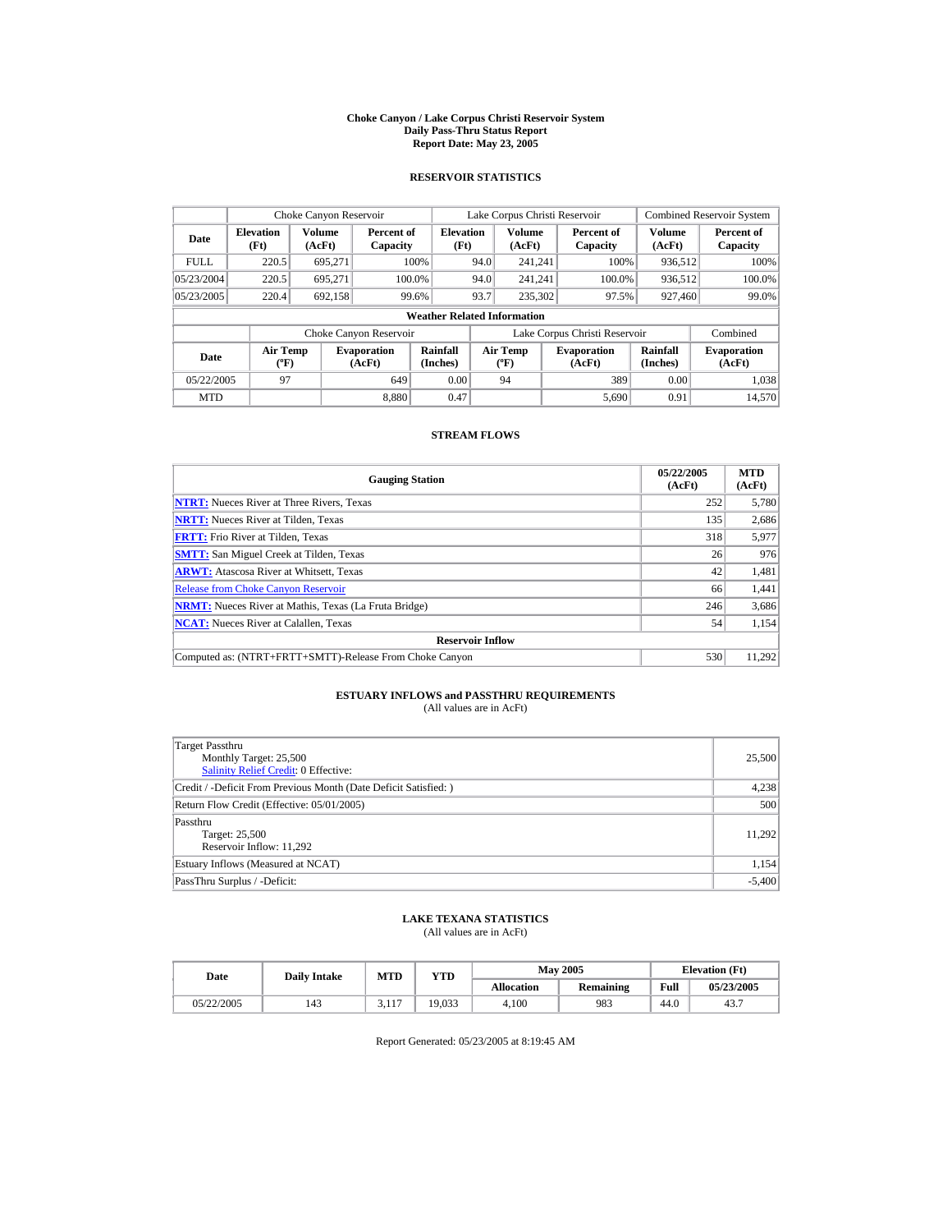#### **Choke Canyon / Lake Corpus Christi Reservoir System Daily Pass-Thru Status Report Report Date: May 23, 2005**

## **RESERVOIR STATISTICS**

|             | Choke Canyon Reservoir                      |                  |                              |                          | Lake Corpus Christi Reservoir |                                          |  |                               |                      | <b>Combined Reservoir System</b> |  |  |
|-------------|---------------------------------------------|------------------|------------------------------|--------------------------|-------------------------------|------------------------------------------|--|-------------------------------|----------------------|----------------------------------|--|--|
| Date        | <b>Elevation</b><br>(Ft)                    | Volume<br>(AcFt) | Percent of<br>Capacity       | <b>Elevation</b><br>(Ft) |                               | <b>Volume</b><br>(AcFt)                  |  | Percent of<br>Capacity        | Volume<br>(AcFt)     | Percent of<br>Capacity           |  |  |
| <b>FULL</b> | 220.5                                       | 695.271          |                              | 100%                     | 94.0                          | 241.241                                  |  | 100%                          | 936.512              | 100%                             |  |  |
| 05/23/2004  | 220.5                                       | 695.271          |                              | 100.0%                   | 94.0                          | 241.241                                  |  | 100.0%                        | 936,512              | 100.0%                           |  |  |
| 05/23/2005  | 220.4                                       | 692,158          |                              | 99.6%                    | 93.7                          | 235,302                                  |  | 97.5%                         | 927,460              | 99.0%                            |  |  |
|             | <b>Weather Related Information</b>          |                  |                              |                          |                               |                                          |  |                               |                      |                                  |  |  |
|             |                                             |                  | Choke Canyon Reservoir       |                          |                               |                                          |  | Lake Corpus Christi Reservoir |                      | Combined                         |  |  |
| Date        | <b>Air Temp</b><br>$({}^{\circ}\mathrm{F})$ |                  | <b>Evaporation</b><br>(AcFt) | Rainfall<br>(Inches)     |                               | <b>Air Temp</b><br>$({}^{\circ}{\rm F})$ |  | <b>Evaporation</b><br>(AcFt)  | Rainfall<br>(Inches) | <b>Evaporation</b><br>(AcFt)     |  |  |
| 05/22/2005  | 97                                          |                  | 649                          | 0.00                     |                               | 94                                       |  | 389                           | 0.00                 | 1.038                            |  |  |
| <b>MTD</b>  |                                             |                  | 8.880                        | 0.47                     |                               |                                          |  | 5.690                         | 0.91                 | 14.570                           |  |  |

## **STREAM FLOWS**

| <b>Gauging Station</b>                                       | 05/22/2005<br>(AcFt) | <b>MTD</b><br>(AcFt) |
|--------------------------------------------------------------|----------------------|----------------------|
| <b>NTRT:</b> Nueces River at Three Rivers, Texas             | 252                  | 5,780                |
| <b>NRTT:</b> Nueces River at Tilden, Texas                   | 135                  | 2,686                |
| <b>FRTT:</b> Frio River at Tilden, Texas                     | 318                  | 5,977                |
| <b>SMTT:</b> San Miguel Creek at Tilden, Texas               | 26                   | 976                  |
| <b>ARWT:</b> Atascosa River at Whitsett, Texas               | 42                   | 1,481                |
| <b>Release from Choke Canyon Reservoir</b>                   | 66                   | 1,441                |
| <b>NRMT:</b> Nueces River at Mathis, Texas (La Fruta Bridge) | 246                  | 3,686                |
| <b>NCAT:</b> Nueces River at Calallen, Texas                 | 54                   | 1.154                |
| <b>Reservoir Inflow</b>                                      |                      |                      |
| Computed as: (NTRT+FRTT+SMTT)-Release From Choke Canyon      | 530                  | 11.292               |

# **ESTUARY INFLOWS and PASSTHRU REQUIREMENTS**<br>(All values are in AcFt)

| Target Passthru<br>Monthly Target: 25,500<br>Salinity Relief Credit: 0 Effective: | 25,500   |
|-----------------------------------------------------------------------------------|----------|
| Credit / -Deficit From Previous Month (Date Deficit Satisfied:)                   | 4,238    |
| Return Flow Credit (Effective: 05/01/2005)                                        | 500      |
| Passthru<br>Target: 25,500<br>Reservoir Inflow: 11,292                            | 11.292   |
| Estuary Inflows (Measured at NCAT)                                                | 1,154    |
| PassThru Surplus / -Deficit:                                                      | $-5,400$ |

## **LAKE TEXANA STATISTICS**

(All values are in AcFt)

| Date       | <b>Daily Intake</b> | <b>MTD</b>  | $_{\rm VTD}$ |                   | <b>May 2005</b> | <b>Elevation</b> (Ft) |            |
|------------|---------------------|-------------|--------------|-------------------|-----------------|-----------------------|------------|
|            |                     |             |              | <b>Allocation</b> | Remaining       | Full                  | 05/23/2005 |
| 05/22/2005 | 143                 | 117<br>J.II | 19.033       | 4.100             | 983             | 44.0                  | 43.7       |

Report Generated: 05/23/2005 at 8:19:45 AM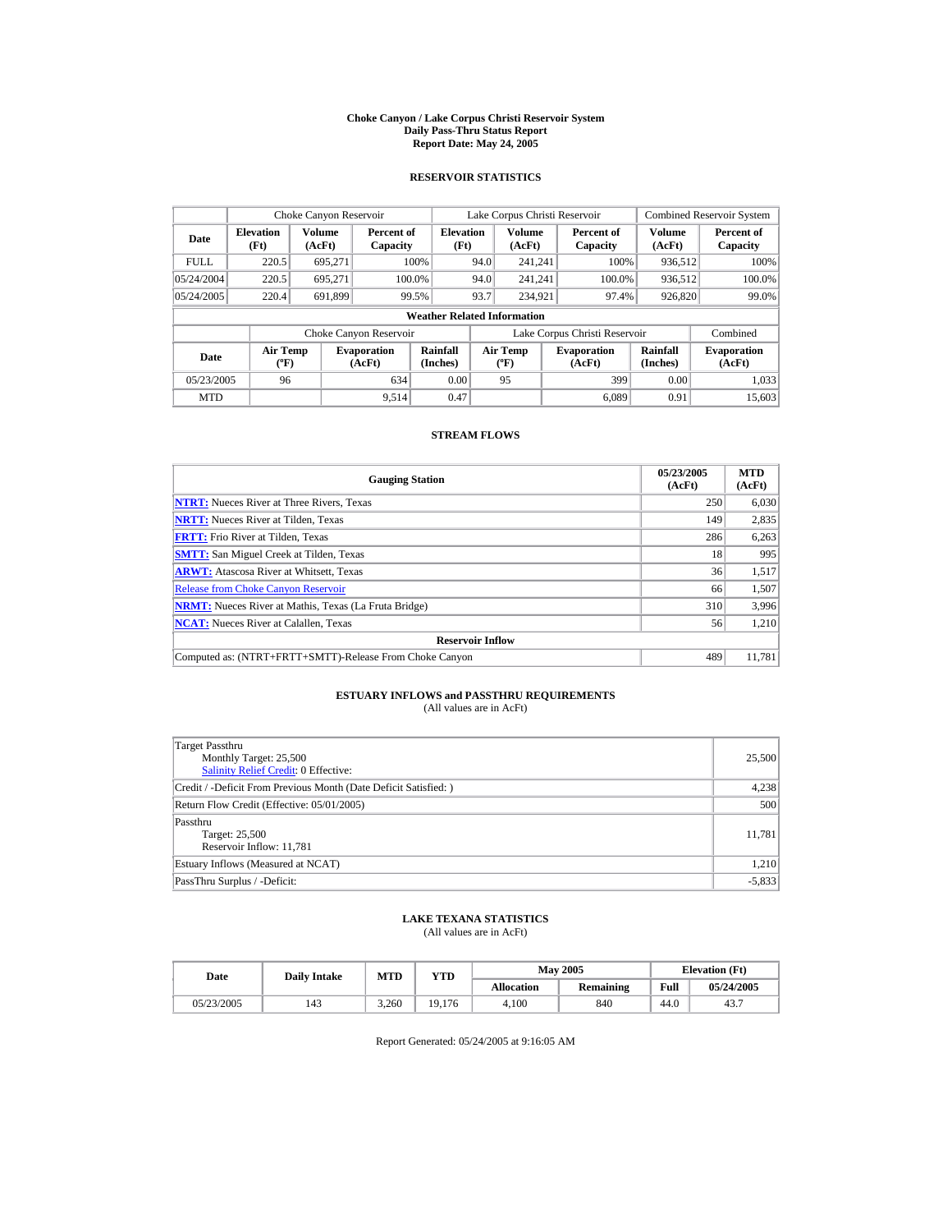#### **Choke Canyon / Lake Corpus Christi Reservoir System Daily Pass-Thru Status Report Report Date: May 24, 2005**

## **RESERVOIR STATISTICS**

|             | Choke Canyon Reservoir                      |                  |                              |                          | Lake Corpus Christi Reservoir |                                          |  |                               |                      | <b>Combined Reservoir System</b> |  |  |
|-------------|---------------------------------------------|------------------|------------------------------|--------------------------|-------------------------------|------------------------------------------|--|-------------------------------|----------------------|----------------------------------|--|--|
| Date        | <b>Elevation</b><br>(Ft)                    | Volume<br>(AcFt) | Percent of<br>Capacity       | <b>Elevation</b><br>(Ft) |                               | <b>Volume</b><br>(AcFt)                  |  | Percent of<br>Capacity        | Volume<br>(AcFt)     | Percent of<br>Capacity           |  |  |
| <b>FULL</b> | 220.5                                       | 695.271          |                              | 100%                     | 94.0                          | 241.241                                  |  | 100%                          | 936.512              | 100%                             |  |  |
| 05/24/2004  | 220.5                                       | 695.271          |                              | 100.0%                   | 94.0                          | 241.241                                  |  | 100.0%                        | 936,512              | 100.0%                           |  |  |
| 05/24/2005  | 220.4                                       | 691,899          |                              | 99.5%                    | 93.7                          | 234.921                                  |  | 97.4%                         | 926,820              | 99.0%                            |  |  |
|             | <b>Weather Related Information</b>          |                  |                              |                          |                               |                                          |  |                               |                      |                                  |  |  |
|             |                                             |                  | Choke Canyon Reservoir       |                          |                               |                                          |  | Lake Corpus Christi Reservoir |                      | Combined                         |  |  |
| Date        | <b>Air Temp</b><br>$({}^{\circ}\mathrm{F})$ |                  | <b>Evaporation</b><br>(AcFt) | Rainfall<br>(Inches)     |                               | <b>Air Temp</b><br>$({}^{\circ}{\rm F})$ |  | <b>Evaporation</b><br>(AcFt)  | Rainfall<br>(Inches) | <b>Evaporation</b><br>(AcFt)     |  |  |
| 05/23/2005  | 96                                          |                  | 634                          | 0.00                     |                               | 95                                       |  | 399                           | 0.00                 | 1.033                            |  |  |
| <b>MTD</b>  |                                             |                  | 9.514                        | 0.47                     |                               |                                          |  | 6.089                         | 0.91                 | 15,603                           |  |  |

## **STREAM FLOWS**

| <b>Gauging Station</b>                                       | 05/23/2005<br>(AcFt) | <b>MTD</b><br>(AcFt) |
|--------------------------------------------------------------|----------------------|----------------------|
| <b>NTRT:</b> Nueces River at Three Rivers, Texas             | 250                  | 6,030                |
| <b>NRTT:</b> Nueces River at Tilden, Texas                   | 149                  | 2,835                |
| <b>FRTT:</b> Frio River at Tilden, Texas                     | 286                  | 6,263                |
| <b>SMTT:</b> San Miguel Creek at Tilden, Texas               | 18                   | 995                  |
| <b>ARWT:</b> Atascosa River at Whitsett, Texas               | 36                   | 1,517                |
| <b>Release from Choke Canvon Reservoir</b>                   | 66                   | 1,507                |
| <b>NRMT:</b> Nueces River at Mathis, Texas (La Fruta Bridge) | 310                  | 3,996                |
| <b>NCAT:</b> Nueces River at Calallen, Texas                 | 56                   | 1,210                |
| <b>Reservoir Inflow</b>                                      |                      |                      |
| Computed as: (NTRT+FRTT+SMTT)-Release From Choke Canyon      | 489                  | 11.781               |

# **ESTUARY INFLOWS and PASSTHRU REQUIREMENTS**<br>(All values are in AcFt)

| Target Passthru<br>Monthly Target: 25,500<br><b>Salinity Relief Credit: 0 Effective:</b> | 25,500   |
|------------------------------------------------------------------------------------------|----------|
| Credit / -Deficit From Previous Month (Date Deficit Satisfied:)                          | 4,238    |
| Return Flow Credit (Effective: 05/01/2005)                                               | 500      |
| Passthru<br>Target: 25,500<br>Reservoir Inflow: 11,781                                   | 11,781   |
| Estuary Inflows (Measured at NCAT)                                                       | 1,210    |
| PassThru Surplus / -Deficit:                                                             | $-5,833$ |

## **LAKE TEXANA STATISTICS**

(All values are in AcFt)

| Date       | <b>Daily Intake</b> | <b>MTD</b> | $_{\rm VTD}$ |                   | <b>May 2005</b> | <b>Elevation</b> (Ft) |            |
|------------|---------------------|------------|--------------|-------------------|-----------------|-----------------------|------------|
|            |                     |            |              | <b>Allocation</b> | Remaining       | Full                  | 05/24/2005 |
| 05/23/2005 | 143                 | 3.260      | 19.176       | 4.100             | 840             | 44.0                  | 43.7       |

Report Generated: 05/24/2005 at 9:16:05 AM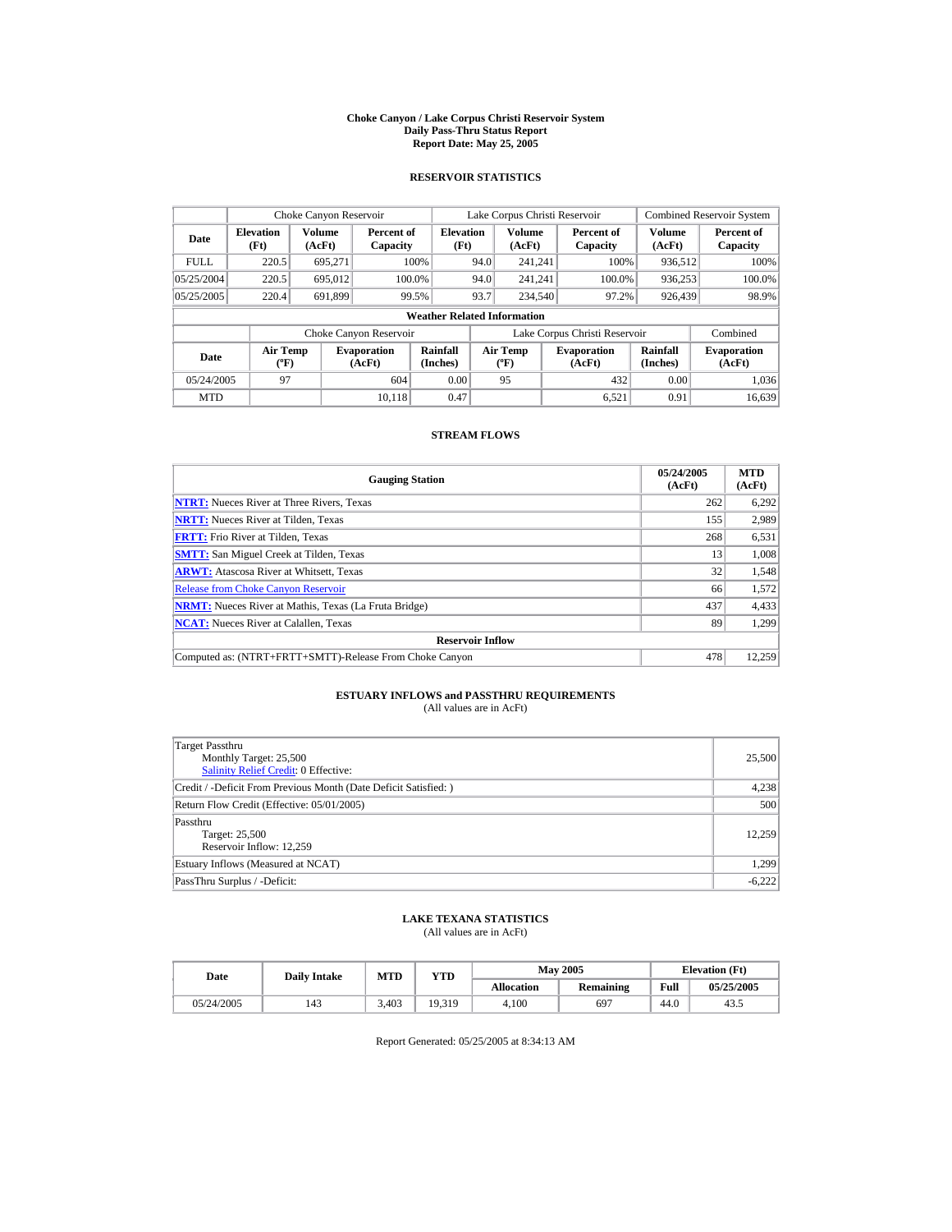#### **Choke Canyon / Lake Corpus Christi Reservoir System Daily Pass-Thru Status Report Report Date: May 25, 2005**

## **RESERVOIR STATISTICS**

|             | Choke Canyon Reservoir                      |                  |                              |                          | Lake Corpus Christi Reservoir |                                          |  |                               |                      | <b>Combined Reservoir System</b> |  |  |
|-------------|---------------------------------------------|------------------|------------------------------|--------------------------|-------------------------------|------------------------------------------|--|-------------------------------|----------------------|----------------------------------|--|--|
| Date        | <b>Elevation</b><br>(Ft)                    | Volume<br>(AcFt) | Percent of<br>Capacity       | <b>Elevation</b><br>(Ft) |                               | <b>Volume</b><br>(AcFt)                  |  | Percent of<br>Capacity        | Volume<br>(AcFt)     | Percent of<br>Capacity           |  |  |
| <b>FULL</b> | 220.5                                       | 695.271          |                              | 100%                     | 94.0                          | 241.241                                  |  | 100%                          | 936.512              | 100%                             |  |  |
| 05/25/2004  | 220.5                                       | 695.012          |                              | 100.0%                   | 94.0                          | 241.241                                  |  | 100.0%                        | 936,253              | 100.0%                           |  |  |
| 05/25/2005  | 220.4                                       | 691,899          |                              | 99.5%                    | 93.7                          | 234,540                                  |  | 97.2%                         | 926,439              | 98.9%                            |  |  |
|             | <b>Weather Related Information</b>          |                  |                              |                          |                               |                                          |  |                               |                      |                                  |  |  |
|             |                                             |                  | Choke Canyon Reservoir       |                          |                               |                                          |  | Lake Corpus Christi Reservoir |                      | Combined                         |  |  |
| Date        | <b>Air Temp</b><br>$({}^{\circ}\mathrm{F})$ |                  | <b>Evaporation</b><br>(AcFt) | Rainfall<br>(Inches)     |                               | <b>Air Temp</b><br>$({}^{\circ}{\rm F})$ |  | <b>Evaporation</b><br>(AcFt)  | Rainfall<br>(Inches) | <b>Evaporation</b><br>(AcFt)     |  |  |
| 05/24/2005  | 97                                          |                  | 604                          | 0.00                     |                               | 95                                       |  | 432                           | 0.00                 | 1.036                            |  |  |
| <b>MTD</b>  |                                             |                  | 10.118                       | 0.47                     |                               |                                          |  | 6.521                         | 0.91                 | 16.639                           |  |  |

## **STREAM FLOWS**

| <b>Gauging Station</b>                                       | 05/24/2005<br>(AcFt) | <b>MTD</b><br>(AcFt) |
|--------------------------------------------------------------|----------------------|----------------------|
| <b>NTRT:</b> Nueces River at Three Rivers, Texas             | 262                  | 6,292                |
| <b>NRTT:</b> Nueces River at Tilden, Texas                   | 155                  | 2,989                |
| <b>FRTT:</b> Frio River at Tilden, Texas                     | 268                  | 6,531                |
| <b>SMTT:</b> San Miguel Creek at Tilden, Texas               | 13                   | 1.008                |
| <b>ARWT:</b> Atascosa River at Whitsett, Texas               | 32                   | 1,548                |
| <b>Release from Choke Canvon Reservoir</b>                   | 66                   | 1,572                |
| <b>NRMT:</b> Nueces River at Mathis, Texas (La Fruta Bridge) | 437                  | 4,433                |
| <b>NCAT:</b> Nueces River at Calallen, Texas                 | 89                   | 1.299                |
| <b>Reservoir Inflow</b>                                      |                      |                      |
| Computed as: (NTRT+FRTT+SMTT)-Release From Choke Canyon      | 478                  | 12.259               |

# **ESTUARY INFLOWS and PASSTHRU REQUIREMENTS**<br>(All values are in AcFt)

| Target Passthru<br>Monthly Target: 25,500<br><b>Salinity Relief Credit: 0 Effective:</b> | 25,500   |
|------------------------------------------------------------------------------------------|----------|
| Credit / -Deficit From Previous Month (Date Deficit Satisfied:)                          | 4,238    |
| Return Flow Credit (Effective: 05/01/2005)                                               | 500      |
| Passthru<br>Target: 25,500<br>Reservoir Inflow: 12.259                                   | 12.259   |
| Estuary Inflows (Measured at NCAT)                                                       | 1,299    |
| PassThru Surplus / -Deficit:                                                             | $-6,222$ |

## **LAKE TEXANA STATISTICS**

(All values are in AcFt)

| Date       | <b>Daily Intake</b> | <b>MTD</b> | $_{\rm VTD}$ |                   | <b>May 2005</b> | <b>Elevation</b> (Ft) |            |
|------------|---------------------|------------|--------------|-------------------|-----------------|-----------------------|------------|
|            |                     |            |              | <b>Allocation</b> | Remaining       | Full                  | 05/25/2005 |
| 05/24/2005 | 143                 | 3.403      | 19.319       | 4.100             | 697             | 44.0                  | 43.        |

Report Generated: 05/25/2005 at 8:34:13 AM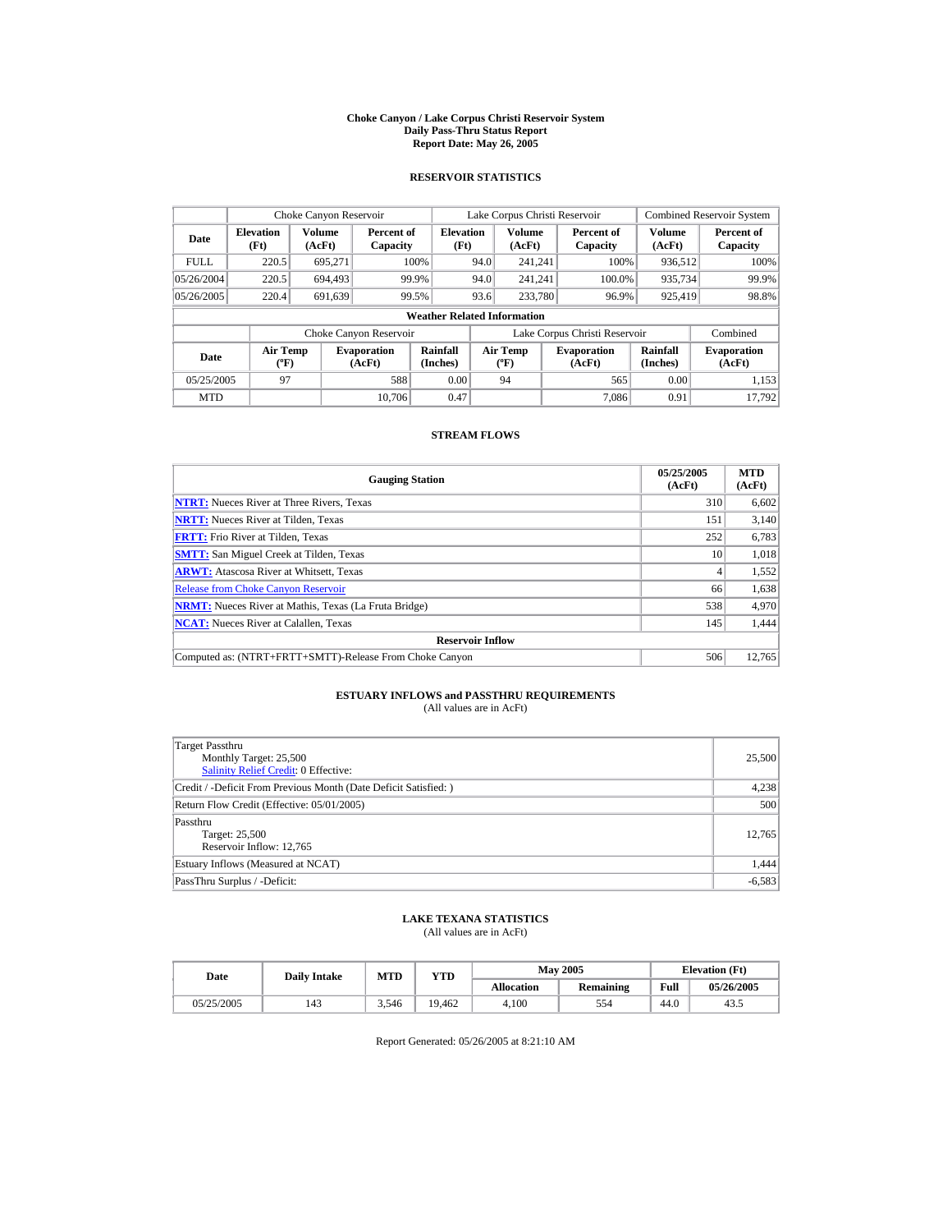#### **Choke Canyon / Lake Corpus Christi Reservoir System Daily Pass-Thru Status Report Report Date: May 26, 2005**

## **RESERVOIR STATISTICS**

|             | Choke Canyon Reservoir                      |                  |                              |                          | Lake Corpus Christi Reservoir |                                          |  |                               |                      | <b>Combined Reservoir System</b> |  |  |
|-------------|---------------------------------------------|------------------|------------------------------|--------------------------|-------------------------------|------------------------------------------|--|-------------------------------|----------------------|----------------------------------|--|--|
| Date        | <b>Elevation</b><br>(Ft)                    | Volume<br>(AcFt) | Percent of<br>Capacity       | <b>Elevation</b><br>(Ft) |                               | <b>Volume</b><br>(AcFt)                  |  | Percent of<br>Capacity        | Volume<br>(AcFt)     | Percent of<br>Capacity           |  |  |
| <b>FULL</b> | 220.5                                       | 695.271          |                              | 100%                     | 94.0                          | 241.241                                  |  | 100%                          | 936.512              | 100%                             |  |  |
| 05/26/2004  | 220.5                                       | 694,493          |                              | 99.9%                    | 94.0                          | 241.241                                  |  | 100.0%                        | 935,734              | 99.9%                            |  |  |
| 05/26/2005  | 220.4                                       | 691,639          |                              | 99.5%                    | 93.6                          | 233,780                                  |  | 96.9%                         | 925,419              | 98.8%                            |  |  |
|             | <b>Weather Related Information</b>          |                  |                              |                          |                               |                                          |  |                               |                      |                                  |  |  |
|             |                                             |                  | Choke Canyon Reservoir       |                          |                               |                                          |  | Lake Corpus Christi Reservoir |                      | Combined                         |  |  |
| Date        | <b>Air Temp</b><br>$({}^{\circ}\mathrm{F})$ |                  | <b>Evaporation</b><br>(AcFt) | Rainfall<br>(Inches)     |                               | <b>Air Temp</b><br>$({}^{\circ}{\rm F})$ |  | <b>Evaporation</b><br>(AcFt)  | Rainfall<br>(Inches) | <b>Evaporation</b><br>(AcFt)     |  |  |
| 05/25/2005  | 97                                          |                  | 588                          | 0.00                     |                               | 94                                       |  | 565                           | 0.00                 | 1.153                            |  |  |
| <b>MTD</b>  |                                             |                  | 10.706                       | 0.47                     |                               |                                          |  | 7.086                         | 0.91                 | 17.792                           |  |  |

## **STREAM FLOWS**

| <b>Gauging Station</b>                                       | 05/25/2005<br>(AcFt) | <b>MTD</b><br>(AcFt) |
|--------------------------------------------------------------|----------------------|----------------------|
| <b>NTRT:</b> Nueces River at Three Rivers, Texas             | 310                  | 6,602                |
| <b>NRTT:</b> Nueces River at Tilden, Texas                   | 151                  | 3.140                |
| <b>FRTT:</b> Frio River at Tilden, Texas                     | 252                  | 6,783                |
| <b>SMTT:</b> San Miguel Creek at Tilden, Texas               | 10                   | 1,018                |
| <b>ARWT:</b> Atascosa River at Whitsett, Texas               | 4                    | 1,552                |
| <b>Release from Choke Canvon Reservoir</b>                   | 66                   | 1,638                |
| <b>NRMT:</b> Nueces River at Mathis, Texas (La Fruta Bridge) | 538                  | 4,970                |
| <b>NCAT:</b> Nueces River at Calallen, Texas                 | 145                  | 1,444                |
| <b>Reservoir Inflow</b>                                      |                      |                      |
| Computed as: (NTRT+FRTT+SMTT)-Release From Choke Canyon      | 506                  | 12.765               |

# **ESTUARY INFLOWS and PASSTHRU REQUIREMENTS**<br>(All values are in AcFt)

| Target Passthru<br>Monthly Target: 25,500<br><b>Salinity Relief Credit: 0 Effective:</b> | 25,500   |
|------------------------------------------------------------------------------------------|----------|
| Credit / -Deficit From Previous Month (Date Deficit Satisfied:)                          | 4,238    |
| Return Flow Credit (Effective: 05/01/2005)                                               | 500      |
| Passthru<br>Target: 25,500<br>Reservoir Inflow: 12,765                                   | 12,765   |
| Estuary Inflows (Measured at NCAT)                                                       | 1,444    |
| PassThru Surplus / -Deficit:                                                             | $-6,583$ |

## **LAKE TEXANA STATISTICS**

(All values are in AcFt)

| Date       | <b>Daily Intake</b> | MTD   | <b>VTD</b> |                   | <b>May 2005</b> | <b>Elevation</b> (Ft) |            |
|------------|---------------------|-------|------------|-------------------|-----------------|-----------------------|------------|
|            |                     |       |            | <b>Allocation</b> | Remaining       | Full                  | 05/26/2005 |
| 05/25/2005 | 143                 | 3.546 | 19.462     | 4.100             | 554             | 44.0                  | 43.        |

Report Generated: 05/26/2005 at 8:21:10 AM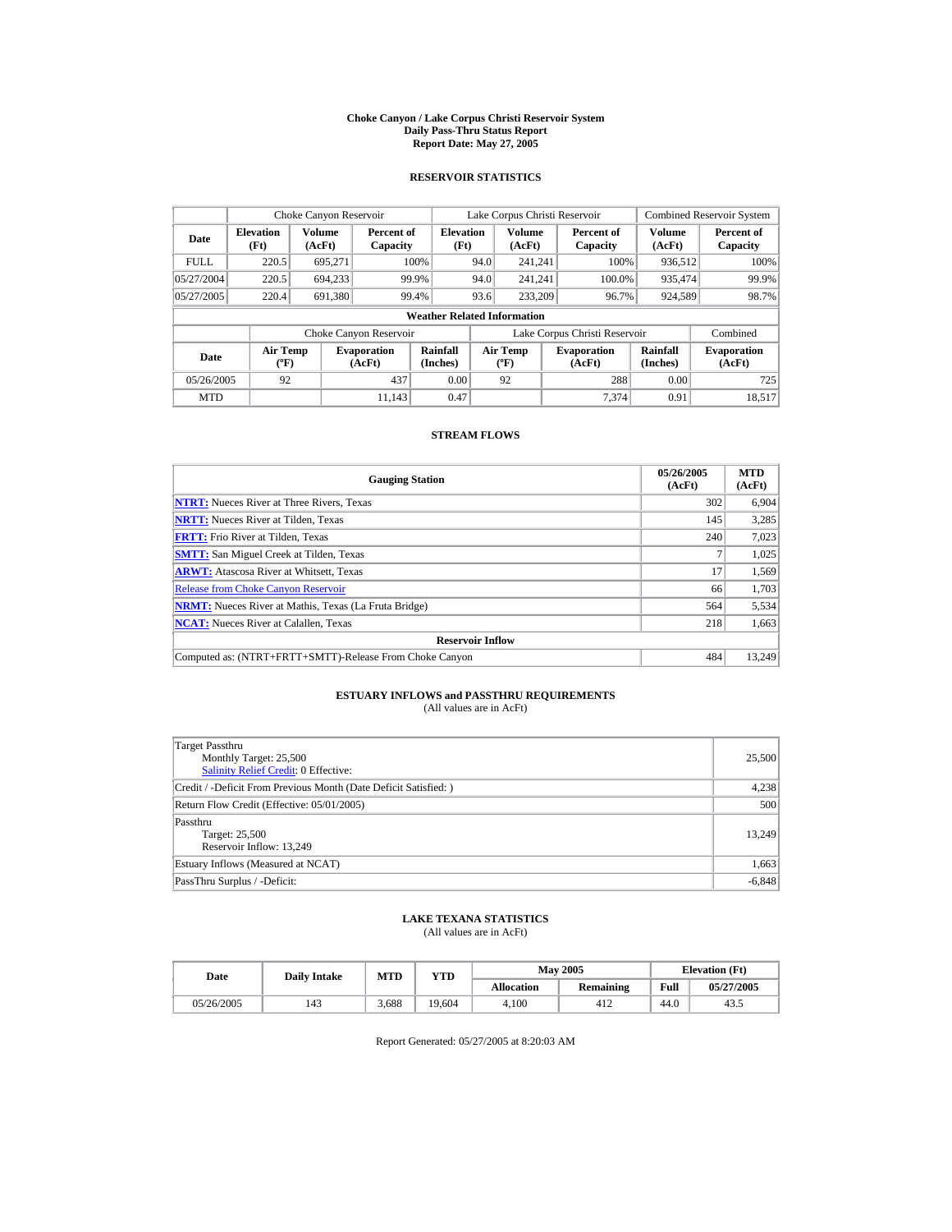#### **Choke Canyon / Lake Corpus Christi Reservoir System Daily Pass-Thru Status Report Report Date: May 27, 2005**

## **RESERVOIR STATISTICS**

|             | Choke Canyon Reservoir             |                  |                              |                          | Lake Corpus Christi Reservoir |                                             |  |                               |                             | <b>Combined Reservoir System</b> |  |  |
|-------------|------------------------------------|------------------|------------------------------|--------------------------|-------------------------------|---------------------------------------------|--|-------------------------------|-----------------------------|----------------------------------|--|--|
| Date        | <b>Elevation</b><br>(Ft)           | Volume<br>(AcFt) | Percent of<br>Capacity       | <b>Elevation</b><br>(Ft) |                               | Volume<br>(AcFt)                            |  | Percent of<br>Capacity        | Volume<br>(AcFt)            | Percent of<br>Capacity           |  |  |
| <b>FULL</b> | 220.5                              | 695.271          |                              | 100%                     | 94.0                          | 241.241                                     |  | 100%                          | 936,512                     | 100%                             |  |  |
| 05/27/2004  | 220.5                              | 694,233          |                              | 99.9%                    | 94.0                          | 241.241                                     |  | 100.0%                        | 935,474                     | 99.9%                            |  |  |
| 05/27/2005  | 220.4                              | 691,380          |                              | 99.4%                    | 93.6                          | 233,209                                     |  | 96.7%                         | 924,589                     | 98.7%                            |  |  |
|             | <b>Weather Related Information</b> |                  |                              |                          |                               |                                             |  |                               |                             |                                  |  |  |
|             |                                    |                  | Choke Canyon Reservoir       |                          |                               |                                             |  | Lake Corpus Christi Reservoir |                             | Combined                         |  |  |
| Date        | <b>Air Temp</b><br>$(^{\circ}F)$   |                  | <b>Evaporation</b><br>(AcFt) | Rainfall<br>(Inches)     |                               | <b>Air Temp</b><br>$({}^{\circ}\mathbf{F})$ |  | <b>Evaporation</b><br>(AcFt)  | <b>Rainfall</b><br>(Inches) | <b>Evaporation</b><br>(AcFt)     |  |  |
| 05/26/2005  | 92                                 |                  | 437                          | 0.00                     |                               | 92                                          |  | 288                           | 0.00                        | 725                              |  |  |
| <b>MTD</b>  |                                    |                  | 11.143                       | 0.47                     |                               |                                             |  | 7.374                         | 0.91                        | 18.517                           |  |  |

## **STREAM FLOWS**

| <b>Gauging Station</b>                                       | 05/26/2005<br>(AcFt) | <b>MTD</b><br>(AcFt) |
|--------------------------------------------------------------|----------------------|----------------------|
| <b>NTRT:</b> Nueces River at Three Rivers, Texas             | 302                  | 6.904                |
| <b>NRTT:</b> Nueces River at Tilden, Texas                   | 145                  | 3.285                |
| <b>FRTT:</b> Frio River at Tilden, Texas                     | 240                  | 7,023                |
| <b>SMTT:</b> San Miguel Creek at Tilden, Texas               |                      | 1,025                |
| <b>ARWT:</b> Atascosa River at Whitsett, Texas               | 17                   | 1,569                |
| <b>Release from Choke Canvon Reservoir</b>                   | 66                   | 1,703                |
| <b>NRMT:</b> Nueces River at Mathis, Texas (La Fruta Bridge) | 564                  | 5,534                |
| <b>NCAT:</b> Nueces River at Calallen, Texas                 | 218                  | 1,663                |
| <b>Reservoir Inflow</b>                                      |                      |                      |
| Computed as: (NTRT+FRTT+SMTT)-Release From Choke Canyon      | 484                  | 13.249               |

# **ESTUARY INFLOWS and PASSTHRU REQUIREMENTS**<br>(All values are in AcFt)

| <b>Target Passthru</b><br>Monthly Target: 25,500<br><b>Salinity Relief Credit: 0 Effective:</b> | 25,500   |
|-------------------------------------------------------------------------------------------------|----------|
| Credit / -Deficit From Previous Month (Date Deficit Satisfied:)                                 | 4,238    |
| Return Flow Credit (Effective: 05/01/2005)                                                      | 500      |
| Passthru<br>Target: 25,500<br>Reservoir Inflow: 13,249                                          | 13,249   |
| Estuary Inflows (Measured at NCAT)                                                              | 1,663    |
| PassThru Surplus / -Deficit:                                                                    | $-6,848$ |

## **LAKE TEXANA STATISTICS**

(All values are in AcFt)

| Date       | <b>Daily Intake</b> | <b>MTD</b> | $_{\rm VTD}$ |                   | <b>May 2005</b> | <b>Elevation</b> (Ft) |            |
|------------|---------------------|------------|--------------|-------------------|-----------------|-----------------------|------------|
|            |                     |            |              | <b>Allocation</b> | Remaining       | Full                  | 05/27/2005 |
| 05/26/2005 | 143                 | 3.688      | 19.604       | 4.100             | 412             | 44.0                  | 43.        |

Report Generated: 05/27/2005 at 8:20:03 AM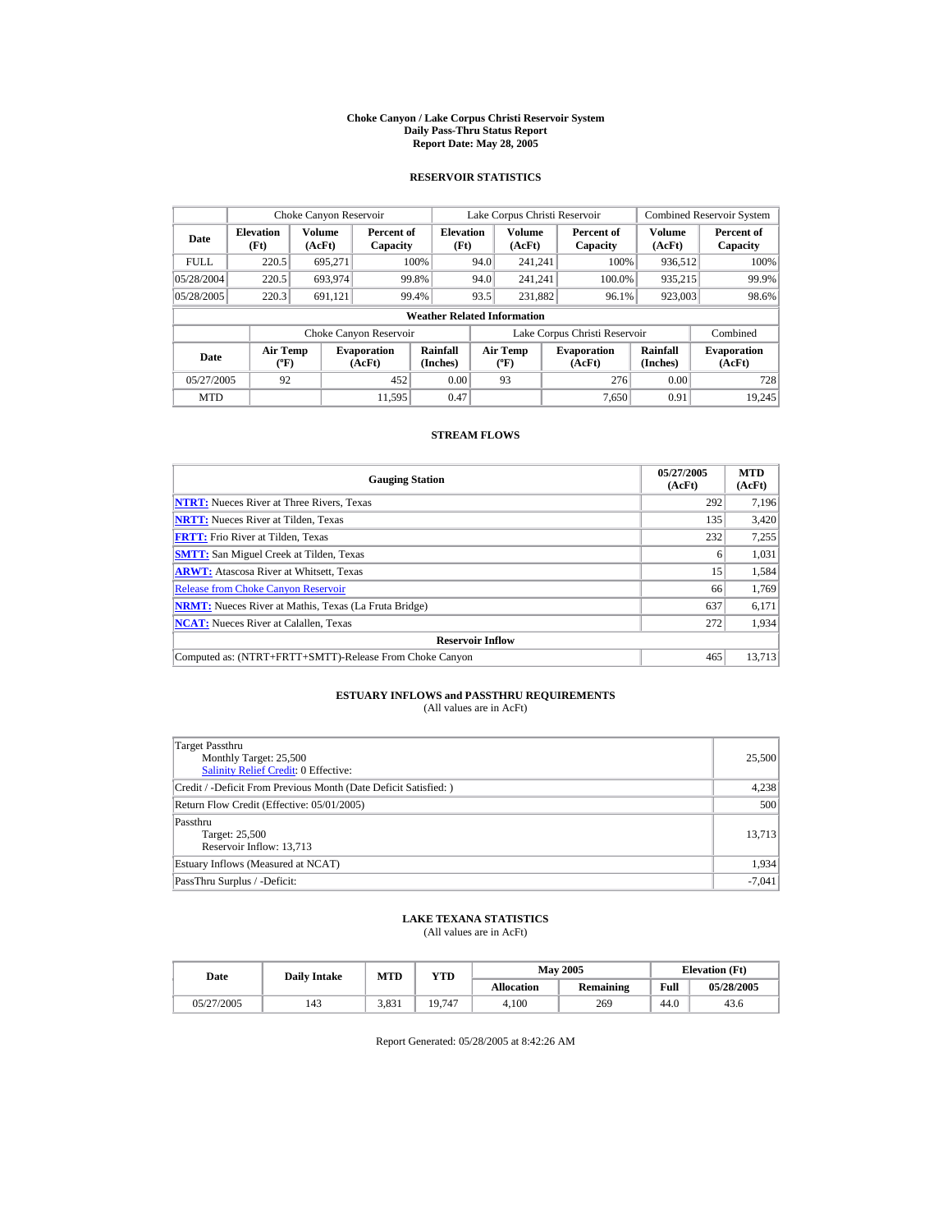#### **Choke Canyon / Lake Corpus Christi Reservoir System Daily Pass-Thru Status Report Report Date: May 28, 2005**

## **RESERVOIR STATISTICS**

|             | Choke Canyon Reservoir             |                  |                              |                          | Lake Corpus Christi Reservoir |                                             |  |                               |                             | <b>Combined Reservoir System</b> |  |  |
|-------------|------------------------------------|------------------|------------------------------|--------------------------|-------------------------------|---------------------------------------------|--|-------------------------------|-----------------------------|----------------------------------|--|--|
| Date        | <b>Elevation</b><br>(Ft)           | Volume<br>(AcFt) | Percent of<br>Capacity       | <b>Elevation</b><br>(Ft) |                               | Volume<br>(AcFt)                            |  | Percent of<br>Capacity        | Volume<br>(AcFt)            | Percent of<br>Capacity           |  |  |
| <b>FULL</b> | 220.5                              | 695.271          |                              | 100%                     | 94.0                          | 241.241                                     |  | 100%                          | 936,512                     | 100%                             |  |  |
| 05/28/2004  | 220.5                              | 693,974          |                              | 99.8%                    | 94.0                          | 241.241                                     |  | 100.0%                        | 935,215                     | 99.9%                            |  |  |
| 05/28/2005  | 220.3                              | 691,121          |                              | 99.4%                    | 93.5                          | 231,882                                     |  | 96.1%                         | 923,003                     | 98.6%                            |  |  |
|             | <b>Weather Related Information</b> |                  |                              |                          |                               |                                             |  |                               |                             |                                  |  |  |
|             |                                    |                  | Choke Canyon Reservoir       |                          |                               |                                             |  | Lake Corpus Christi Reservoir |                             | Combined                         |  |  |
| Date        | <b>Air Temp</b><br>$(^{\circ}F)$   |                  | <b>Evaporation</b><br>(AcFt) | Rainfall<br>(Inches)     |                               | <b>Air Temp</b><br>$({}^{\circ}\mathbf{F})$ |  | <b>Evaporation</b><br>(AcFt)  | <b>Rainfall</b><br>(Inches) | <b>Evaporation</b><br>(AcFt)     |  |  |
| 05/27/2005  | 92                                 |                  | 452                          | 0.00                     |                               | 93                                          |  | 276                           | 0.00                        | 728                              |  |  |
| <b>MTD</b>  |                                    |                  | 11.595                       | 0.47                     |                               |                                             |  | 7.650                         | 0.91                        | 19.245                           |  |  |

## **STREAM FLOWS**

| <b>Gauging Station</b>                                       | 05/27/2005<br>(AcFt) | <b>MTD</b><br>(AcFt) |
|--------------------------------------------------------------|----------------------|----------------------|
| <b>NTRT:</b> Nueces River at Three Rivers, Texas             | 292                  | 7.196                |
| <b>NRTT:</b> Nueces River at Tilden, Texas                   | 135                  | 3,420                |
| <b>FRTT:</b> Frio River at Tilden, Texas                     | 232                  | 7,255                |
| <b>SMTT:</b> San Miguel Creek at Tilden, Texas               | 6                    | 1,031                |
| <b>ARWT:</b> Atascosa River at Whitsett, Texas               | 15                   | 1,584                |
| <b>Release from Choke Canvon Reservoir</b>                   | 66                   | 1.769                |
| <b>NRMT:</b> Nueces River at Mathis, Texas (La Fruta Bridge) | 637                  | 6,171                |
| <b>NCAT:</b> Nueces River at Calallen, Texas                 | 272                  | 1,934                |
| <b>Reservoir Inflow</b>                                      |                      |                      |
| Computed as: (NTRT+FRTT+SMTT)-Release From Choke Canyon      | 465                  | 13.713               |

# **ESTUARY INFLOWS and PASSTHRU REQUIREMENTS**<br>(All values are in AcFt)

| Target Passthru<br>Monthly Target: 25,500<br>Salinity Relief Credit: 0 Effective: | 25,500   |
|-----------------------------------------------------------------------------------|----------|
| Credit / -Deficit From Previous Month (Date Deficit Satisfied: )                  | 4,238    |
| Return Flow Credit (Effective: 05/01/2005)                                        | 500      |
| Passthru<br>Target: 25,500<br>Reservoir Inflow: 13,713                            | 13.713   |
| Estuary Inflows (Measured at NCAT)                                                | 1,934    |
| PassThru Surplus / -Deficit:                                                      | $-7,041$ |

## **LAKE TEXANA STATISTICS**

(All values are in AcFt)

| Date       | <b>Daily Intake</b> | <b>MTD</b> | $\mathbf{v_{TD}}$ |                   | <b>May 2005</b> | <b>Elevation</b> (Ft) |            |
|------------|---------------------|------------|-------------------|-------------------|-----------------|-----------------------|------------|
|            |                     |            |                   | <b>Allocation</b> | Remaining       | Full                  | 05/28/2005 |
| 05/27/2005 | 143                 | 3,831      | 19.747            | 4.100             | 269             | 44.0                  | 43.6       |

Report Generated: 05/28/2005 at 8:42:26 AM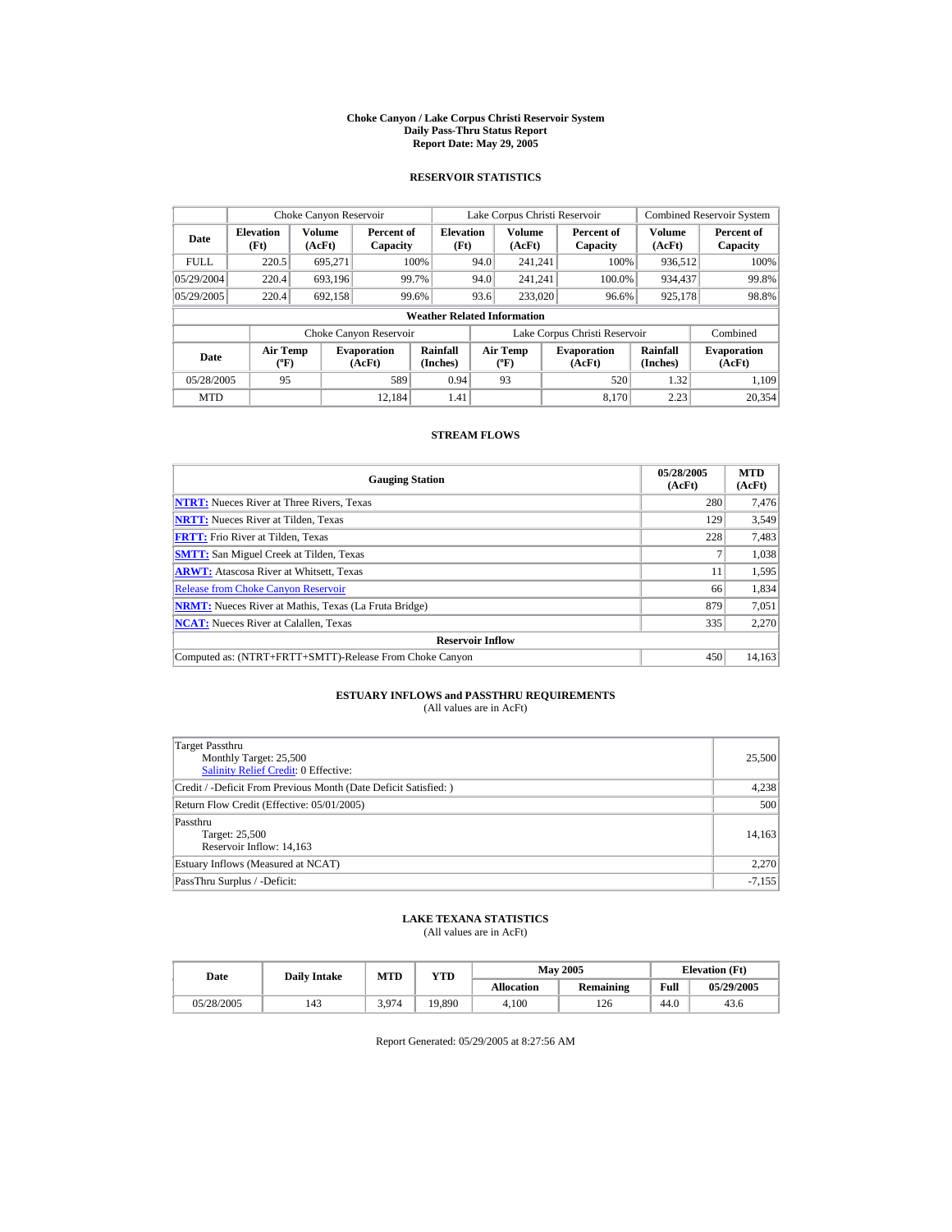#### **Choke Canyon / Lake Corpus Christi Reservoir System Daily Pass-Thru Status Report Report Date: May 29, 2005**

## **RESERVOIR STATISTICS**

|             | Choke Canyon Reservoir                      |                  |                              |                          | Lake Corpus Christi Reservoir |                                          |  |                               |                      | <b>Combined Reservoir System</b> |  |  |
|-------------|---------------------------------------------|------------------|------------------------------|--------------------------|-------------------------------|------------------------------------------|--|-------------------------------|----------------------|----------------------------------|--|--|
| Date        | <b>Elevation</b><br>(Ft)                    | Volume<br>(AcFt) | Percent of<br>Capacity       | <b>Elevation</b><br>(Ft) |                               | <b>Volume</b><br>(AcFt)                  |  | Percent of<br>Capacity        | Volume<br>(AcFt)     | Percent of<br>Capacity           |  |  |
| <b>FULL</b> | 220.5                                       | 695.271          |                              | 100%                     | 94.0                          | 241.241                                  |  | 100%                          | 936.512              | 100%                             |  |  |
| 05/29/2004  | 220.4                                       | 693.196          |                              | 99.7%                    | 94.0                          | 241.241                                  |  | 100.0%                        | 934,437              | 99.8%                            |  |  |
| 05/29/2005  | 220.4                                       | 692,158          |                              | 99.6%                    | 93.6                          | 233,020                                  |  | 96.6%                         | 925,178              | 98.8%                            |  |  |
|             | <b>Weather Related Information</b>          |                  |                              |                          |                               |                                          |  |                               |                      |                                  |  |  |
|             |                                             |                  | Choke Canyon Reservoir       |                          |                               |                                          |  | Lake Corpus Christi Reservoir |                      | Combined                         |  |  |
| Date        | <b>Air Temp</b><br>$({}^{\circ}\mathrm{F})$ |                  | <b>Evaporation</b><br>(AcFt) | Rainfall<br>(Inches)     |                               | <b>Air Temp</b><br>$({}^{\circ}{\rm F})$ |  | <b>Evaporation</b><br>(AcFt)  | Rainfall<br>(Inches) | <b>Evaporation</b><br>(AcFt)     |  |  |
| 05/28/2005  | 95                                          |                  | 589                          | 0.94                     |                               | 93                                       |  | 520                           | 1.32                 | 1.109                            |  |  |
| <b>MTD</b>  |                                             |                  | 12.184                       | 1.41                     |                               |                                          |  | 8.170                         | 2.23                 | 20.354                           |  |  |

## **STREAM FLOWS**

| <b>Gauging Station</b>                                       | 05/28/2005<br>(AcFt) | <b>MTD</b><br>(AcFt) |
|--------------------------------------------------------------|----------------------|----------------------|
| <b>NTRT:</b> Nueces River at Three Rivers, Texas             | 280                  | 7,476                |
| <b>NRTT:</b> Nueces River at Tilden, Texas                   | 129                  | 3.549                |
| <b>FRTT:</b> Frio River at Tilden, Texas                     | 228                  | 7,483                |
| <b>SMTT:</b> San Miguel Creek at Tilden, Texas               |                      | 1,038                |
| <b>ARWT:</b> Atascosa River at Whitsett, Texas               | 11                   | 1,595                |
| <b>Release from Choke Canvon Reservoir</b>                   | 66                   | 1,834                |
| <b>NRMT:</b> Nueces River at Mathis, Texas (La Fruta Bridge) | 879                  | 7,051                |
| <b>NCAT:</b> Nueces River at Calallen, Texas                 | 335                  | 2,270                |
| <b>Reservoir Inflow</b>                                      |                      |                      |
| Computed as: (NTRT+FRTT+SMTT)-Release From Choke Canyon      | 450                  | 14.163               |

# **ESTUARY INFLOWS and PASSTHRU REQUIREMENTS**<br>(All values are in AcFt)

| Target Passthru<br>Monthly Target: 25,500<br>Salinity Relief Credit: 0 Effective: | 25,500   |
|-----------------------------------------------------------------------------------|----------|
| Credit / -Deficit From Previous Month (Date Deficit Satisfied:)                   | 4,238    |
| Return Flow Credit (Effective: 05/01/2005)                                        | 500      |
| Passthru<br>Target: 25,500<br>Reservoir Inflow: 14,163                            | 14,163   |
| Estuary Inflows (Measured at NCAT)                                                | 2,270    |
| PassThru Surplus / -Deficit:                                                      | $-7,155$ |

## **LAKE TEXANA STATISTICS**

(All values are in AcFt)

| Date       | <b>Daily Intake</b> | <b>MTD</b> | $_{\rm VTD}$ |                   | <b>May 2005</b> |      | <b>Elevation</b> (Ft) |
|------------|---------------------|------------|--------------|-------------------|-----------------|------|-----------------------|
|            |                     |            |              | <b>Allocation</b> | Remaining       | Full | 05/29/2005            |
| 05/28/2005 | 143                 | 3.974      | 19,890       | 4.100             | 126             | 44.0 | 43.6                  |

Report Generated: 05/29/2005 at 8:27:56 AM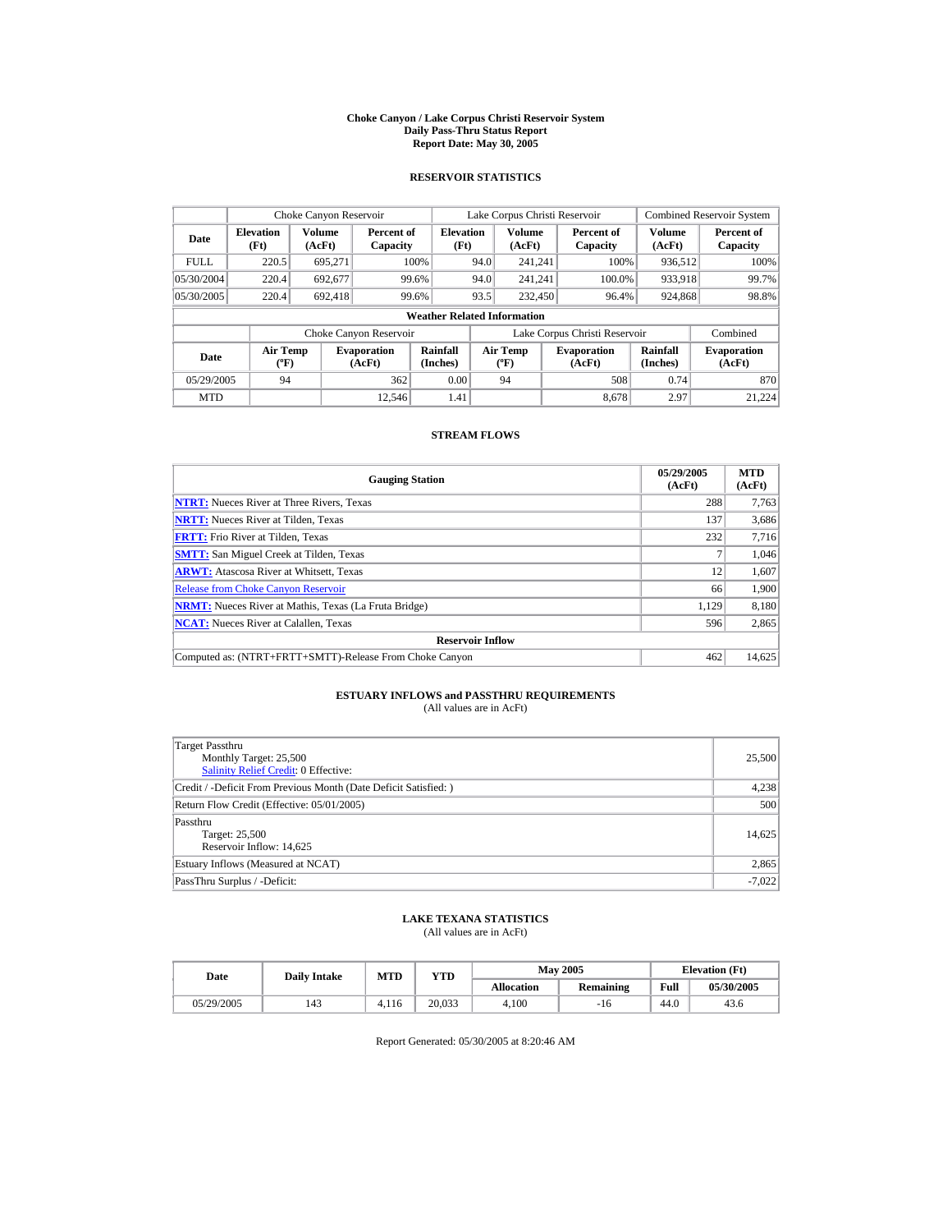#### **Choke Canyon / Lake Corpus Christi Reservoir System Daily Pass-Thru Status Report Report Date: May 30, 2005**

## **RESERVOIR STATISTICS**

|             | Choke Canyon Reservoir                      |                  |                              |                          | Lake Corpus Christi Reservoir |                                          |  |                               |                      | <b>Combined Reservoir System</b> |  |  |
|-------------|---------------------------------------------|------------------|------------------------------|--------------------------|-------------------------------|------------------------------------------|--|-------------------------------|----------------------|----------------------------------|--|--|
| Date        | <b>Elevation</b><br>(Ft)                    | Volume<br>(AcFt) | Percent of<br>Capacity       | <b>Elevation</b><br>(Ft) |                               | <b>Volume</b><br>(AcFt)                  |  | Percent of<br>Capacity        | Volume<br>(AcFt)     | Percent of<br>Capacity           |  |  |
| <b>FULL</b> | 220.5                                       | 695.271          |                              | 100%                     | 94.0                          | 241.241                                  |  | 100%                          | 936.512              | 100%                             |  |  |
| 05/30/2004  | 220.4                                       | 692.677          |                              | 99.6%                    | 94.0                          | 241.241                                  |  | 100.0%                        | 933,918              | 99.7%                            |  |  |
| 05/30/2005  | 220.4                                       | 692.418          |                              | 99.6%                    | 93.5                          | 232,450                                  |  | 96.4%                         | 924,868              | 98.8%                            |  |  |
|             | <b>Weather Related Information</b>          |                  |                              |                          |                               |                                          |  |                               |                      |                                  |  |  |
|             |                                             |                  | Choke Canyon Reservoir       |                          |                               |                                          |  | Lake Corpus Christi Reservoir |                      | Combined                         |  |  |
| Date        | <b>Air Temp</b><br>$({}^{\circ}\mathrm{F})$ |                  | <b>Evaporation</b><br>(AcFt) | Rainfall<br>(Inches)     |                               | <b>Air Temp</b><br>$({}^{\circ}{\rm F})$ |  | <b>Evaporation</b><br>(AcFt)  | Rainfall<br>(Inches) | <b>Evaporation</b><br>(AcFt)     |  |  |
| 05/29/2005  | 94                                          |                  | 362                          | 0.00                     |                               | 94                                       |  | 508                           | 0.74                 | 870                              |  |  |
| <b>MTD</b>  |                                             |                  | 12.546                       | 1.41                     |                               |                                          |  | 8.678                         | 2.97                 | 21.224                           |  |  |

## **STREAM FLOWS**

| <b>Gauging Station</b>                                       | 05/29/2005<br>(AcFt) | <b>MTD</b><br>(AcFt) |
|--------------------------------------------------------------|----------------------|----------------------|
| <b>NTRT:</b> Nueces River at Three Rivers, Texas             | 288                  | 7,763                |
| <b>NRTT:</b> Nueces River at Tilden, Texas                   | 137                  | 3,686                |
| <b>FRTT:</b> Frio River at Tilden, Texas                     | 232                  | 7,716                |
| <b>SMTT:</b> San Miguel Creek at Tilden, Texas               |                      | 1,046                |
| <b>ARWT:</b> Atascosa River at Whitsett, Texas               | 12                   | 1,607                |
| <b>Release from Choke Canyon Reservoir</b>                   | 66                   | 1,900                |
| <b>NRMT:</b> Nueces River at Mathis, Texas (La Fruta Bridge) | 1.129                | 8,180                |
| <b>NCAT:</b> Nueces River at Calallen, Texas                 | 596                  | 2,865                |
| <b>Reservoir Inflow</b>                                      |                      |                      |
| Computed as: (NTRT+FRTT+SMTT)-Release From Choke Canyon      | 462                  | 14,625               |

# **ESTUARY INFLOWS and PASSTHRU REQUIREMENTS**<br>(All values are in AcFt)

| Target Passthru<br>Monthly Target: 25,500<br>Salinity Relief Credit: 0 Effective: | 25,500   |
|-----------------------------------------------------------------------------------|----------|
| Credit / -Deficit From Previous Month (Date Deficit Satisfied: )                  | 4,238    |
| Return Flow Credit (Effective: 05/01/2005)                                        | 500      |
| Passthru<br>Target: 25,500<br>Reservoir Inflow: 14,625                            | 14.625   |
| Estuary Inflows (Measured at NCAT)                                                | 2,865    |
| PassThru Surplus / -Deficit:                                                      | $-7,022$ |

## **LAKE TEXANA STATISTICS**

(All values are in AcFt)

| Date       | <b>Daily Intake</b> | MTD   | $_{\rm VTD}$ |                   | <b>May 2005</b> | <b>Elevation</b> (Ft) |            |
|------------|---------------------|-------|--------------|-------------------|-----------------|-----------------------|------------|
|            |                     |       |              | <b>Allocation</b> | Remaining       | Full                  | 05/30/2005 |
| 05/29/2005 | 143                 | 4.116 | 20.033       | 4.100             | -10             | 44.0                  | 43.6       |

Report Generated: 05/30/2005 at 8:20:46 AM